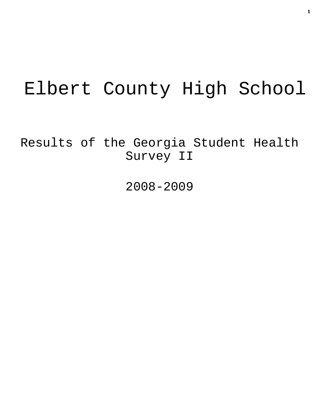# Elbert County High School

Results of the Georgia Student Health Survey II

2008-2009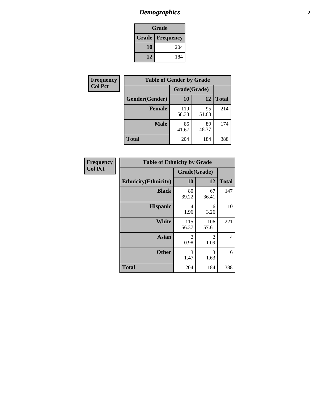# *Demographics* **2**

| Grade                    |     |  |  |  |
|--------------------------|-----|--|--|--|
| <b>Grade   Frequency</b> |     |  |  |  |
| 10                       | 204 |  |  |  |
| 12                       | 184 |  |  |  |

| <b>Frequency</b> | <b>Table of Gender by Grade</b> |              |             |              |  |
|------------------|---------------------------------|--------------|-------------|--------------|--|
| <b>Col Pct</b>   |                                 | Grade(Grade) |             |              |  |
|                  | Gender(Gender)                  | 10           | 12          | <b>Total</b> |  |
|                  | <b>Female</b>                   | 119<br>58.33 | 95<br>51.63 | 214          |  |
|                  | <b>Male</b>                     | 85<br>41.67  | 89<br>48.37 | 174          |  |
|                  | <b>Total</b>                    | 204          | 184         | 388          |  |

| <b>Frequency</b> |
|------------------|
| <b>Col Pct</b>   |

| <b>Table of Ethnicity by Grade</b> |              |              |              |  |  |  |
|------------------------------------|--------------|--------------|--------------|--|--|--|
|                                    | Grade(Grade) |              |              |  |  |  |
| <b>Ethnicity</b> (Ethnicity)       | 10           | 12           | <b>Total</b> |  |  |  |
| <b>Black</b>                       | 80<br>39.22  | 67<br>36.41  | 147          |  |  |  |
| <b>Hispanic</b>                    | 4<br>1.96    | 6<br>3.26    | 10           |  |  |  |
| White                              | 115<br>56.37 | 106<br>57.61 | 221          |  |  |  |
| <b>Asian</b>                       | 2<br>0.98    | 2<br>1.09    | 4            |  |  |  |
| <b>Other</b>                       | 3<br>1.47    | 3<br>1.63    | 6            |  |  |  |
| <b>Total</b>                       | 204          | 184          | 388          |  |  |  |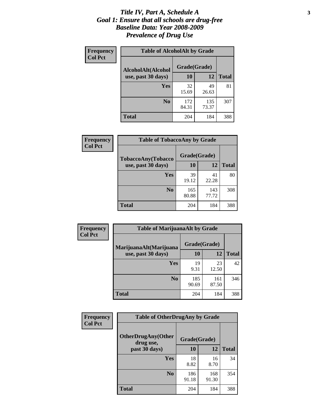#### *Title IV, Part A, Schedule A* **3** *Goal 1: Ensure that all schools are drug-free Baseline Data: Year 2008-2009 Prevalence of Drug Use*

| Frequency<br><b>Col Pct</b> | <b>Table of AlcoholAlt by Grade</b> |              |              |              |  |
|-----------------------------|-------------------------------------|--------------|--------------|--------------|--|
|                             | AlcoholAlt(Alcohol                  | Grade(Grade) |              |              |  |
|                             | use, past 30 days)                  | <b>10</b>    | 12           | <b>Total</b> |  |
|                             | Yes                                 | 32<br>15.69  | 49<br>26.63  | 81           |  |
|                             | N <sub>0</sub>                      | 172<br>84.31 | 135<br>73.37 | 307          |  |
|                             | <b>Total</b>                        | 204          | 184          | 388          |  |

| Frequency<br><b>Col Pct</b> | <b>Table of TobaccoAny by Grade</b> |              |              |              |  |
|-----------------------------|-------------------------------------|--------------|--------------|--------------|--|
|                             | <b>TobaccoAny(Tobacco</b>           | Grade(Grade) |              |              |  |
|                             | use, past 30 days)                  | 10           | 12           | <b>Total</b> |  |
|                             | Yes                                 | 39<br>19.12  | 41<br>22.28  | 80           |  |
|                             | N <sub>0</sub>                      | 165<br>80.88 | 143<br>77.72 | 308          |  |
|                             | Total                               | 204          | 184          | 388          |  |

| Frequency<br><b>Col Pct</b> | <b>Table of MarijuanaAlt by Grade</b> |              |              |              |  |
|-----------------------------|---------------------------------------|--------------|--------------|--------------|--|
|                             | MarijuanaAlt(Marijuana                | Grade(Grade) |              |              |  |
|                             | use, past 30 days)                    | 10           | 12           | <b>Total</b> |  |
|                             | <b>Yes</b>                            | 19<br>9.31   | 23<br>12.50  | 42           |  |
|                             | N <sub>0</sub>                        | 185<br>90.69 | 161<br>87.50 | 346          |  |
|                             | <b>Total</b>                          | 204          | 184          | 388          |  |

| <b>Frequency</b> | <b>Table of OtherDrugAny by Grade</b>  |              |              |              |  |
|------------------|----------------------------------------|--------------|--------------|--------------|--|
| <b>Col Pct</b>   | <b>OtherDrugAny(Other</b><br>drug use, | Grade(Grade) |              |              |  |
|                  | past 30 days)                          | 10           | <b>12</b>    | <b>Total</b> |  |
|                  | Yes                                    | 18<br>8.82   | 16<br>8.70   | 34           |  |
|                  | N <sub>0</sub>                         | 186<br>91.18 | 168<br>91.30 | 354          |  |
|                  | <b>Total</b>                           | 204          | 184          | 388          |  |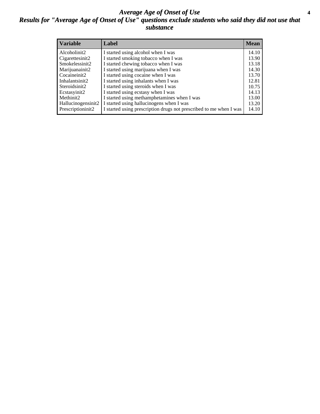#### *Average Age of Onset of Use* **4** *Results for "Average Age of Onset of Use" questions exclude students who said they did not use that substance*

| <b>Variable</b>    | Label                                                              | <b>Mean</b> |
|--------------------|--------------------------------------------------------------------|-------------|
| Alcoholinit2       | I started using alcohol when I was                                 | 14.10       |
| Cigarettesinit2    | I started smoking tobacco when I was                               | 13.90       |
| Smokelessinit2     | I started chewing tobacco when I was                               | 13.18       |
| Marijuanainit2     | I started using marijuana when I was                               | 14.30       |
| Cocaineinit2       | I started using cocaine when I was                                 | 13.70       |
| Inhalantsinit2     | I started using inhalants when I was                               | 12.81       |
| Steroidsinit2      | I started using steroids when I was                                | 10.75       |
| Ecstasyinit2       | I started using ecstasy when I was                                 | 14.13       |
| Methinit2          | I started using methamphetamines when I was                        | 13.00       |
| Hallucinogensinit2 | I started using hallucinogens when I was                           | 13.20       |
| Prescriptioninit2  | I started using prescription drugs not prescribed to me when I was | 14.10       |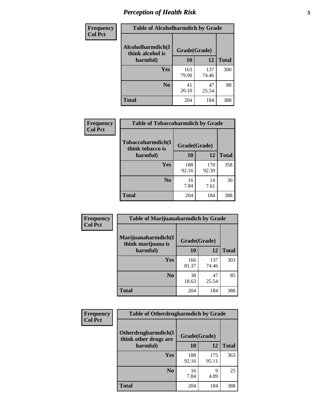# *Perception of Health Risk* **5**

| Frequency      | <b>Table of Alcoholharmdich by Grade</b> |              |              |              |  |
|----------------|------------------------------------------|--------------|--------------|--------------|--|
| <b>Col Pct</b> | Alcoholharmdich(I<br>think alcohol is    | Grade(Grade) |              |              |  |
|                | harmful)                                 | 10           | 12           | <b>Total</b> |  |
|                | <b>Yes</b>                               | 163<br>79.90 | 137<br>74.46 | 300          |  |
|                | N <sub>0</sub>                           | 41<br>20.10  | 47<br>25.54  | 88           |  |
|                | <b>Total</b>                             | 204          | 184          | 388          |  |

| <b>Frequency</b> | <b>Table of Tobaccoharmdich by Grade</b> |              |              |              |
|------------------|------------------------------------------|--------------|--------------|--------------|
| <b>Col Pct</b>   | Tobaccoharmdich(I<br>think tobacco is    | Grade(Grade) |              |              |
|                  | harmful)                                 | 10           | 12           | <b>Total</b> |
|                  | Yes                                      | 188<br>92.16 | 170<br>92.39 | 358          |
|                  | N <sub>0</sub>                           | 16<br>7.84   | 14<br>7.61   | 30           |
|                  | Total                                    | 204          | 184          | 388          |

| Frequency      | <b>Table of Marijuanaharmdich by Grade</b> |              |              |              |  |  |
|----------------|--------------------------------------------|--------------|--------------|--------------|--|--|
| <b>Col Pct</b> | Marijuanaharmdich(I<br>think marijuana is  | Grade(Grade) |              |              |  |  |
|                | harmful)                                   | 10           | 12           | <b>Total</b> |  |  |
|                | Yes                                        | 166<br>81.37 | 137<br>74.46 | 303          |  |  |
|                | N <sub>0</sub>                             | 38<br>18.63  | 47<br>25.54  | 85           |  |  |
|                | <b>Total</b>                               | 204          | 184          | 388          |  |  |

| Frequency      | <b>Table of Otherdrugharmdich by Grade</b>   |              |              |              |  |  |  |  |
|----------------|----------------------------------------------|--------------|--------------|--------------|--|--|--|--|
| <b>Col Pct</b> | Otherdrugharmdich(I<br>think other drugs are | Grade(Grade) |              |              |  |  |  |  |
|                | harmful)                                     | 10           | 12           | <b>Total</b> |  |  |  |  |
|                | Yes                                          | 188<br>92.16 | 175<br>95.11 | 363          |  |  |  |  |
|                | N <sub>0</sub>                               | 16<br>7.84   | 9<br>4.89    | 25           |  |  |  |  |
|                | <b>Total</b>                                 | 204          | 184          | 388          |  |  |  |  |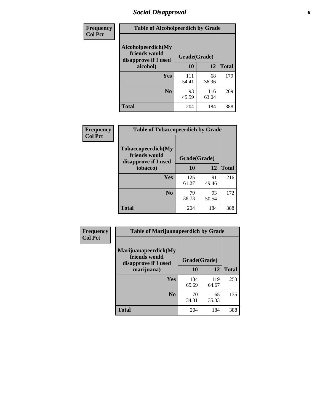# *Social Disapproval* **6**

| Frequency      | <b>Table of Alcoholpeerdich by Grade</b>                    |              |              |     |
|----------------|-------------------------------------------------------------|--------------|--------------|-----|
| <b>Col Pct</b> | Alcoholpeerdich(My<br>friends would<br>disapprove if I used | Grade(Grade) |              |     |
|                | alcohol)                                                    | 10           | <b>Total</b> |     |
|                | <b>Yes</b>                                                  | 111<br>54.41 | 68<br>36.96  | 179 |
|                | N <sub>0</sub>                                              | 93<br>45.59  | 116<br>63.04 | 209 |
|                | <b>Total</b>                                                | 204          | 184          | 388 |

| <b>Frequency</b> |
|------------------|
| <b>Col Pct</b>   |

| <b>Table of Tobaccopeerdich by Grade</b>                            |              |             |              |  |  |  |  |
|---------------------------------------------------------------------|--------------|-------------|--------------|--|--|--|--|
| <b>Tobaccopeerdich</b> (My<br>friends would<br>disapprove if I used | Grade(Grade) |             |              |  |  |  |  |
| tobacco)                                                            | 10           | 12          | <b>Total</b> |  |  |  |  |
| Yes                                                                 | 125<br>61.27 | 91<br>49.46 | 216          |  |  |  |  |
| N <sub>0</sub>                                                      | 79<br>38.73  | 93<br>50.54 | 172          |  |  |  |  |
| <b>Total</b>                                                        | 204          | 184         | 388          |  |  |  |  |

| <b>Frequency</b> | <b>Table of Marijuanapeerdich by Grade</b>                    |              |              |              |  |  |  |  |
|------------------|---------------------------------------------------------------|--------------|--------------|--------------|--|--|--|--|
| <b>Col Pct</b>   | Marijuanapeerdich(My<br>friends would<br>disapprove if I used | Grade(Grade) |              |              |  |  |  |  |
|                  | marijuana)                                                    | 10           | 12           | <b>Total</b> |  |  |  |  |
|                  | <b>Yes</b>                                                    | 134<br>65.69 | 119<br>64.67 | 253          |  |  |  |  |
|                  | N <sub>0</sub>                                                | 70<br>34.31  | 65<br>35.33  | 135          |  |  |  |  |
|                  | <b>Total</b>                                                  | 204          | 184          | 388          |  |  |  |  |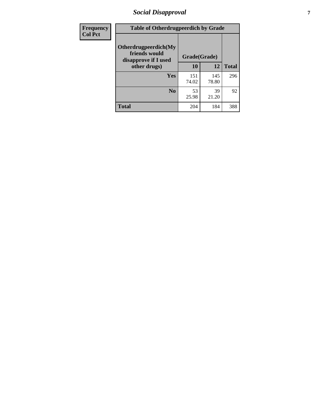# *Social Disapproval* **7**

| Frequency      | <b>Table of Otherdrugpeerdich by Grade</b>                    |              |              |              |  |  |  |  |
|----------------|---------------------------------------------------------------|--------------|--------------|--------------|--|--|--|--|
| <b>Col Pct</b> | Otherdrugpeerdich(My<br>friends would<br>disapprove if I used | Grade(Grade) |              |              |  |  |  |  |
|                | other drugs)                                                  | 10           | 12           | <b>Total</b> |  |  |  |  |
|                | Yes                                                           | 151<br>74.02 | 145<br>78.80 | 296          |  |  |  |  |
|                | N <sub>0</sub>                                                | 53<br>25.98  | 39<br>21.20  | 92           |  |  |  |  |
|                | <b>Total</b>                                                  | 204          | 184          | 388          |  |  |  |  |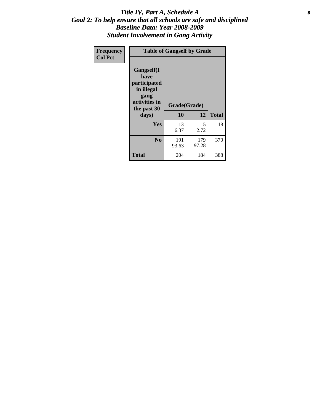### Title IV, Part A, Schedule A **8** *Goal 2: To help ensure that all schools are safe and disciplined Baseline Data: Year 2008-2009 Student Involvement in Gang Activity*

| Frequency      | <b>Table of Gangself by Grade</b>                                                                         |                    |              |              |  |  |  |  |
|----------------|-----------------------------------------------------------------------------------------------------------|--------------------|--------------|--------------|--|--|--|--|
| <b>Col Pct</b> | <b>Gangself</b> (I<br>have<br>participated<br>in illegal<br>gang<br>activities in<br>the past 30<br>days) | Grade(Grade)<br>10 | 12           | <b>Total</b> |  |  |  |  |
|                | Yes                                                                                                       | 13<br>6.37         | 5<br>2.72    | 18           |  |  |  |  |
|                | N <sub>0</sub>                                                                                            | 191<br>93.63       | 179<br>97.28 | 370          |  |  |  |  |
|                | <b>Total</b>                                                                                              | 204                | 184          | 388          |  |  |  |  |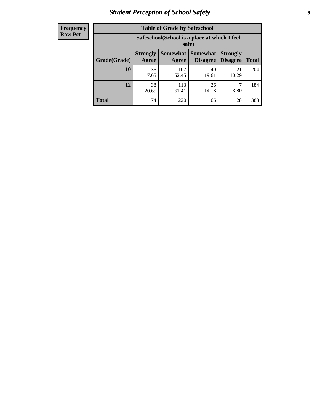# *Student Perception of School Safety* **9**

| <b>Frequency</b><br>Row Pct |
|-----------------------------|
|                             |

| <b>Table of Grade by Safeschool</b> |                          |                                                                                                                      |             |             |     |  |  |  |
|-------------------------------------|--------------------------|----------------------------------------------------------------------------------------------------------------------|-------------|-------------|-----|--|--|--|
|                                     |                          | Safeschool (School is a place at which I feel<br>safe)                                                               |             |             |     |  |  |  |
| Grade(Grade)                        | <b>Strongly</b><br>Agree | <b>Somewhat</b><br><b>Somewhat</b><br><b>Strongly</b><br><b>Disagree</b><br><b>Disagree</b><br><b>Total</b><br>Agree |             |             |     |  |  |  |
| <b>10</b>                           | 36<br>17.65              | 107<br>52.45                                                                                                         | 40<br>19.61 | 21<br>10.29 | 204 |  |  |  |
| 12                                  | 38<br>20.65              | 113<br>61.41                                                                                                         | 26<br>14.13 | 3.80        | 184 |  |  |  |
| <b>Total</b>                        | 74                       | 220                                                                                                                  | 66          | 28          | 388 |  |  |  |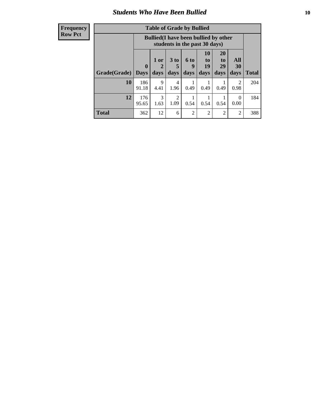### *Students Who Have Been Bullied* **10**

| <b>Frequency</b> |
|------------------|
| Row Pct          |

| <b>Table of Grade by Bullied</b> |                            |                                                                               |                              |                   |                        |                        |                                 |              |
|----------------------------------|----------------------------|-------------------------------------------------------------------------------|------------------------------|-------------------|------------------------|------------------------|---------------------------------|--------------|
|                                  |                            | <b>Bullied</b> (I have been bullied by other<br>students in the past 30 days) |                              |                   |                        |                        |                                 |              |
| Grade(Grade)                     | $\mathbf 0$<br><b>Days</b> | 1 or<br>2<br>days                                                             | 3 <sub>to</sub><br>5<br>days | 6 to<br>9<br>days | 10<br>to<br>19<br>days | 20<br>to<br>29<br>days | <b>All</b><br><b>30</b><br>days | <b>Total</b> |
| 10                               | 186<br>91.18               | 9<br>4.41                                                                     | 4<br>1.96                    | 0.49              | 0.49                   | 0.49                   | 2<br>0.98                       | 204          |
| 12                               | 176<br>95.65               | 3<br>1.63                                                                     | 2<br>1.09                    | 0.54              | 0.54                   | 0.54                   | $\Omega$<br>0.00                | 184          |
| Total                            | 362                        | 12                                                                            | 6                            | 2                 | 2                      | $\overline{2}$         | 2                               | 388          |

 $\blacksquare$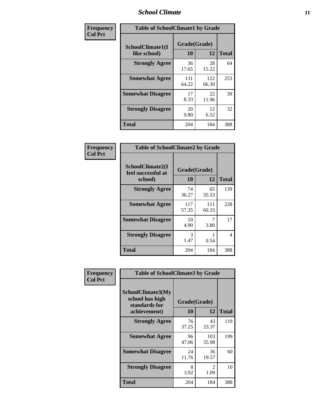### *School Climate* **11**

| Frequency      | <b>Table of SchoolClimate1 by Grade</b> |                    |              |              |  |  |  |
|----------------|-----------------------------------------|--------------------|--------------|--------------|--|--|--|
| <b>Col Pct</b> | SchoolClimate1(I<br>like school)        | Grade(Grade)<br>10 | 12           | <b>Total</b> |  |  |  |
|                | <b>Strongly Agree</b>                   | 36<br>17.65        | 28<br>15.22  | 64           |  |  |  |
|                | <b>Somewhat Agree</b>                   | 131<br>64.22       | 122<br>66.30 | 253          |  |  |  |
|                | <b>Somewhat Disagree</b>                | 17<br>8.33         | 22<br>11.96  | 39           |  |  |  |
|                | <b>Strongly Disagree</b>                | 20<br>9.80         | 12<br>6.52   | 32           |  |  |  |
|                | Total                                   | 204                | 184          | 388          |  |  |  |

| Frequency      | <b>Table of SchoolClimate2 by Grade</b>           |                    |              |              |
|----------------|---------------------------------------------------|--------------------|--------------|--------------|
| <b>Col Pct</b> | SchoolClimate2(I<br>feel successful at<br>school) | Grade(Grade)<br>10 | 12           | <b>Total</b> |
|                | <b>Strongly Agree</b>                             | 74<br>36.27        | 65<br>35.33  | 139          |
|                | <b>Somewhat Agree</b>                             | 117<br>57.35       | 111<br>60.33 | 228          |
|                | <b>Somewhat Disagree</b>                          | 10<br>4.90         | 3.80         | 17           |
|                | <b>Strongly Disagree</b>                          | 3<br>1.47          | 0.54         | 4            |
|                | <b>Total</b>                                      | 204                | 184          | 388          |

| Frequency      | <b>Table of SchoolClimate3 by Grade</b>                                      |                    |                        |              |
|----------------|------------------------------------------------------------------------------|--------------------|------------------------|--------------|
| <b>Col Pct</b> | <b>SchoolClimate3(My</b><br>school has high<br>standards for<br>achievement) | Grade(Grade)<br>10 | 12                     | <b>Total</b> |
|                |                                                                              |                    |                        |              |
|                | <b>Strongly Agree</b>                                                        | 76<br>37.25        | 43<br>23.37            | 119          |
|                | <b>Somewhat Agree</b>                                                        | 96<br>47.06        | 103<br>55.98           | 199          |
|                | <b>Somewhat Disagree</b>                                                     | 24<br>11.76        | 36<br>19.57            | 60           |
|                | <b>Strongly Disagree</b>                                                     | 8<br>3.92          | $\mathfrak{D}$<br>1.09 | 10           |
|                | Total                                                                        | 204                | 184                    | 388          |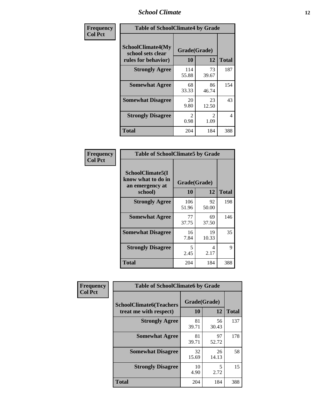### *School Climate* **12**

| Frequency      | <b>Table of SchoolClimate4 by Grade</b>                       |                                     |                                     |              |
|----------------|---------------------------------------------------------------|-------------------------------------|-------------------------------------|--------------|
| <b>Col Pct</b> | SchoolClimate4(My<br>school sets clear<br>rules for behavior) | Grade(Grade)<br>10                  | 12                                  | <b>Total</b> |
|                | <b>Strongly Agree</b>                                         | 114<br>55.88                        | 73<br>39.67                         | 187          |
|                | <b>Somewhat Agree</b>                                         | 68<br>33.33                         | 86<br>46.74                         | 154          |
|                | <b>Somewhat Disagree</b>                                      | 20<br>9.80                          | 23<br>12.50                         | 43           |
|                | <b>Strongly Disagree</b>                                      | $\mathcal{D}_{\mathcal{L}}$<br>0.98 | $\mathcal{D}_{\mathcal{L}}$<br>1.09 | 4            |
|                | <b>Total</b>                                                  | 204                                 | 184                                 | 388          |

| <b>Table of SchoolClimate5 by Grade</b>                              |                    |             |              |  |
|----------------------------------------------------------------------|--------------------|-------------|--------------|--|
| SchoolClimate5(I<br>know what to do in<br>an emergency at<br>school) | Grade(Grade)<br>10 | 12          | <b>Total</b> |  |
| <b>Strongly Agree</b>                                                | 106<br>51.96       | 92<br>50.00 | 198          |  |
| <b>Somewhat Agree</b>                                                | 77<br>37.75        | 69<br>37.50 | 146          |  |
| <b>Somewhat Disagree</b>                                             | 16<br>7.84         | 19<br>10.33 | 35           |  |
| <b>Strongly Disagree</b>                                             | 5<br>2.45          | 4<br>2.17   | 9            |  |
| <b>Total</b>                                                         | 204                | 184         | 388          |  |

| Frequency      | <b>Table of SchoolClimate6 by Grade</b>                  |                    |             |              |
|----------------|----------------------------------------------------------|--------------------|-------------|--------------|
| <b>Col Pct</b> | <b>SchoolClimate6(Teachers</b><br>treat me with respect) | Grade(Grade)<br>10 | 12          | <b>Total</b> |
|                | <b>Strongly Agree</b>                                    | 81<br>39.71        | 56<br>30.43 | 137          |
|                | <b>Somewhat Agree</b>                                    | 81<br>39.71        | 97<br>52.72 | 178          |
|                | <b>Somewhat Disagree</b>                                 | 32<br>15.69        | 26<br>14.13 | 58           |
|                | <b>Strongly Disagree</b>                                 | 10<br>4.90         | 5<br>2.72   | 15           |
|                | <b>Total</b>                                             | 204                | 184         | 388          |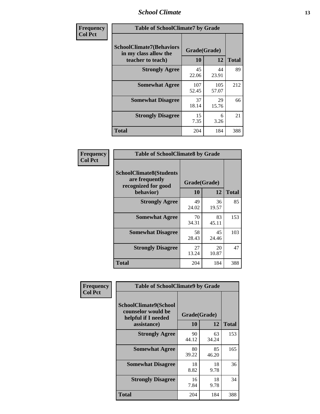### *School Climate* **13**

| Frequency      | <b>Table of SchoolClimate7 by Grade</b>                                       |                           |              |              |
|----------------|-------------------------------------------------------------------------------|---------------------------|--------------|--------------|
| <b>Col Pct</b> | <b>SchoolClimate7(Behaviors</b><br>in my class allow the<br>teacher to teach) | Grade(Grade)<br><b>10</b> | 12           | <b>Total</b> |
|                | <b>Strongly Agree</b>                                                         | 45<br>22.06               | 44<br>23.91  | 89           |
|                | <b>Somewhat Agree</b>                                                         | 107<br>52.45              | 105<br>57.07 | 212          |
|                | <b>Somewhat Disagree</b>                                                      | 37<br>18.14               | 29<br>15.76  | 66           |
|                | <b>Strongly Disagree</b>                                                      | 15<br>7.35                | 6<br>3.26    | 21           |
|                | <b>Total</b>                                                                  | 204                       | 184          | 388          |

| Frequency      | <b>Table of SchoolClimate8 by Grade</b>                                              |                    |             |              |
|----------------|--------------------------------------------------------------------------------------|--------------------|-------------|--------------|
| <b>Col Pct</b> | <b>SchoolClimate8(Students</b><br>are frequently<br>recognized for good<br>behavior) | Grade(Grade)<br>10 | 12          | <b>Total</b> |
|                | <b>Strongly Agree</b>                                                                | 49<br>24.02        | 36<br>19.57 | 85           |
|                | <b>Somewhat Agree</b>                                                                | 70<br>34.31        | 83<br>45.11 | 153          |
|                | <b>Somewhat Disagree</b>                                                             | 58<br>28.43        | 45<br>24.46 | 103          |
|                | <b>Strongly Disagree</b>                                                             | 27<br>13.24        | 20<br>10.87 | 47           |
|                | <b>Total</b>                                                                         | 204                | 184         | 388          |

| Frequency      | <b>Table of SchoolClimate9 by Grade</b>                                           |                    |             |              |
|----------------|-----------------------------------------------------------------------------------|--------------------|-------------|--------------|
| <b>Col Pct</b> | SchoolClimate9(School<br>counselor would be<br>helpful if I needed<br>assistance) | Grade(Grade)<br>10 | 12          | <b>Total</b> |
|                | <b>Strongly Agree</b>                                                             | 90<br>44.12        | 63<br>34.24 | 153          |
|                | <b>Somewhat Agree</b>                                                             | 80<br>39.22        | 85<br>46.20 | 165          |
|                | <b>Somewhat Disagree</b>                                                          | 18<br>8.82         | 18<br>9.78  | 36           |
|                | <b>Strongly Disagree</b>                                                          | 16<br>7.84         | 18<br>9.78  | 34           |
|                | <b>Total</b>                                                                      | 204                | 184         | 388          |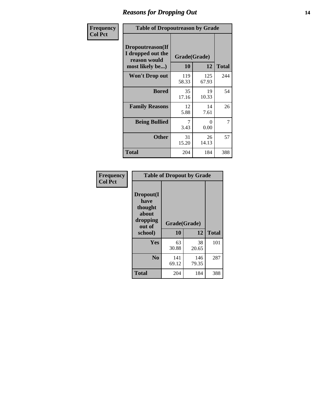### *Reasons for Dropping Out* **14**

| Frequency      | <b>Table of Dropoutreason by Grade</b>                                   |                    |              |              |
|----------------|--------------------------------------------------------------------------|--------------------|--------------|--------------|
| <b>Col Pct</b> | Dropoutreason(If<br>I dropped out the<br>reason would<br>most likely be) | Grade(Grade)<br>10 | 12           | <b>Total</b> |
|                | Won't Drop out                                                           | 119<br>58.33       | 125<br>67.93 | 244          |
|                | <b>Bored</b>                                                             | 35<br>17.16        | 19<br>10.33  | 54           |
|                | <b>Family Reasons</b>                                                    | 12<br>5.88         | 14<br>7.61   | 26           |
|                | <b>Being Bullied</b>                                                     | 7<br>3.43          | 0<br>0.00    | 7            |
|                | <b>Other</b>                                                             | 31<br>15.20        | 26<br>14.13  | 57           |
|                | <b>Total</b>                                                             | 204                | 184          | 388          |

| Frequency      | <b>Table of Dropout by Grade</b>                                       |                          |              |              |  |  |
|----------------|------------------------------------------------------------------------|--------------------------|--------------|--------------|--|--|
| <b>Col Pct</b> | Dropout(I<br>have<br>thought<br>about<br>dropping<br>out of<br>school) | Grade(Grade)<br>12<br>10 |              | <b>Total</b> |  |  |
|                |                                                                        |                          |              |              |  |  |
|                | Yes                                                                    | 63<br>30.88              | 38<br>20.65  | 101          |  |  |
|                | N <sub>0</sub>                                                         | 141<br>69.12             | 146<br>79.35 | 287          |  |  |
|                | <b>Total</b>                                                           | 204                      | 184          | 388          |  |  |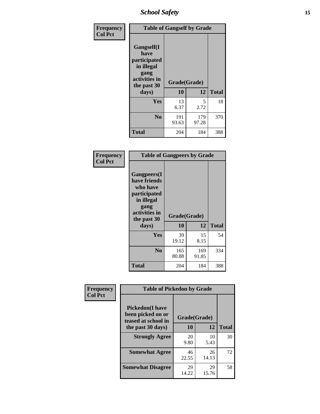*School Safety* **15**

| Frequency      | <b>Table of Gangself by Grade</b>                                                                 |                    |              |              |
|----------------|---------------------------------------------------------------------------------------------------|--------------------|--------------|--------------|
| <b>Col Pct</b> | Gangself(I<br>have<br>participated<br>in illegal<br>gang<br>activities in<br>the past 30<br>days) | Grade(Grade)<br>10 | 12           | <b>Total</b> |
|                | Yes                                                                                               | 13<br>6.37         | 5<br>2.72    | 18           |
|                | N <sub>0</sub>                                                                                    | 191<br>93.63       | 179<br>97.28 | 370          |
|                | <b>Total</b>                                                                                      | 204                | 184          | 388          |

| Frequency<br><b>Col Pct</b> | <b>Table of Gangpeers by Grade</b>                                                                                             |                    |              |              |
|-----------------------------|--------------------------------------------------------------------------------------------------------------------------------|--------------------|--------------|--------------|
|                             | <b>Gangpeers</b> (I<br>have friends<br>who have<br>participated<br>in illegal<br>gang<br>activities in<br>the past 30<br>days) | Grade(Grade)<br>10 | 12           | <b>Total</b> |
|                             | <b>Yes</b>                                                                                                                     | 39<br>19.12        | 15<br>8.15   | 54           |
|                             | N <sub>0</sub>                                                                                                                 | 165<br>80.88       | 169<br>91.85 | 334          |
|                             | <b>Total</b>                                                                                                                   | 204                | 184          | 388          |

| Frequency      |                                                                    | <b>Table of Pickedon by Grade</b> |             |              |  |  |  |  |  |  |  |
|----------------|--------------------------------------------------------------------|-----------------------------------|-------------|--------------|--|--|--|--|--|--|--|
| <b>Col Pct</b> | <b>Pickedon(I have</b><br>been picked on or<br>teased at school in | Grade(Grade)                      |             |              |  |  |  |  |  |  |  |
|                | the past 30 days)                                                  | 10                                | 12          | <b>Total</b> |  |  |  |  |  |  |  |
|                | <b>Strongly Agree</b>                                              | 20<br>9.80                        | 10<br>5.43  | 30           |  |  |  |  |  |  |  |
|                | <b>Somewhat Agree</b>                                              | 46<br>22.55                       | 26<br>14.13 | 72           |  |  |  |  |  |  |  |
|                | <b>Somewhat Disagree</b>                                           | 29<br>14.22                       | 29<br>15.76 | 58           |  |  |  |  |  |  |  |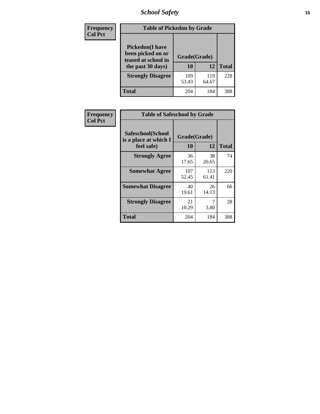# *School Safety* **16**

| <b>Frequency</b> | <b>Table of Pickedon by Grade</b>                                                        |                    |              |              |
|------------------|------------------------------------------------------------------------------------------|--------------------|--------------|--------------|
| <b>Col Pct</b>   | <b>Pickedon</b> (I have<br>been picked on or<br>teased at school in<br>the past 30 days) | Grade(Grade)<br>10 | 12           | <b>Total</b> |
|                  | <b>Strongly Disagree</b>                                                                 | 109<br>53.43       | 119<br>64.67 | 228          |
|                  | Total                                                                                    | 204                | 184          | 388          |

| Frequency      | <b>Table of Safeschool by Grade</b>                      |                    |              |     |
|----------------|----------------------------------------------------------|--------------------|--------------|-----|
| <b>Col Pct</b> | Safeschool(School<br>is a place at which I<br>feel safe) | Grade(Grade)<br>10 | <b>Total</b> |     |
|                | <b>Strongly Agree</b>                                    | 36<br>17.65        | 38<br>20.65  | 74  |
|                | <b>Somewhat Agree</b>                                    | 107<br>52.45       | 113<br>61.41 | 220 |
|                | <b>Somewhat Disagree</b>                                 | 40<br>19.61        | 26<br>14.13  | 66  |
|                | <b>Strongly Disagree</b>                                 | 21<br>10.29        | 3.80         | 28  |
|                | <b>Total</b>                                             | 204                | 184          | 388 |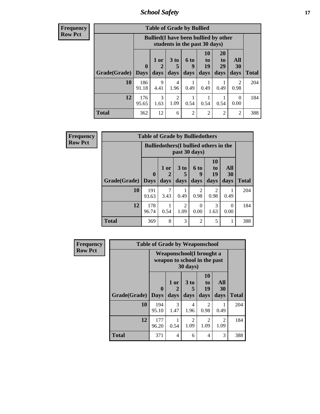*School Safety* **17**

| <b>Frequend</b><br>Row Pct |
|----------------------------|

| $\overline{\textbf{c}\textbf{y}}$ | <b>Table of Grade by Bullied</b> |              |                |                        |                   |                                                                               |                               |                   |              |  |
|-----------------------------------|----------------------------------|--------------|----------------|------------------------|-------------------|-------------------------------------------------------------------------------|-------------------------------|-------------------|--------------|--|
| Þ,                                |                                  |              |                |                        |                   | <b>Bullied</b> (I have been bullied by other<br>students in the past 30 days) |                               |                   |              |  |
|                                   | Grade(Grade)   Days              | $\mathbf{0}$ | $1$ or<br>days | 3 to<br>days           | 6 to<br>9<br>days | 10<br>to<br>19<br>days                                                        | <b>20</b><br>to<br>29<br>days | All<br>30<br>days | <b>Total</b> |  |
|                                   | 10                               | 186<br>91.18 | 9<br>4.41      | $\overline{4}$<br>1.96 | 0.49              | 0.49                                                                          | 0.49                          | 2<br>0.98         | 204          |  |
|                                   | 12                               | 176<br>95.65 | 3<br>1.63      | $\overline{2}$<br>1.09 | 0.54              | 0.54                                                                          | 0.54                          | $\Omega$<br>0.00  | 184          |  |
|                                   | <b>Total</b>                     | 362          | 12             | 6                      | $\overline{2}$    | $\mathfrak{D}$                                                                | $\mathfrak{D}$                | $\overline{2}$    | 388          |  |

| Frequency      |                     | <b>Table of Grade by Bulliedothers</b> |                                                                |           |                  |                       |           |              |  |  |  |  |
|----------------|---------------------|----------------------------------------|----------------------------------------------------------------|-----------|------------------|-----------------------|-----------|--------------|--|--|--|--|
| <b>Row Pct</b> |                     |                                        | <b>Bulliedothers</b> (I bullied others in the<br>past 30 days) |           |                  |                       |           |              |  |  |  |  |
|                |                     | $\mathbf{0}$                           | 1 or                                                           | 3 to      | <b>6 to</b><br>9 | <b>10</b><br>to<br>19 | All<br>30 |              |  |  |  |  |
|                | Grade(Grade)   Days |                                        | days                                                           | days      | days             | days                  | days      | <b>Total</b> |  |  |  |  |
|                | 10                  | 191<br>93.63                           | 3.43                                                           | 0.49      | 2<br>0.98        | 2<br>0.98             | 0.49      | 204          |  |  |  |  |
|                | 12                  | 178<br>96.74                           | 0.54                                                           | 2<br>1.09 | 0<br>0.00        | 3<br>1.63             | 0<br>0.00 | 184          |  |  |  |  |
|                | <b>Total</b>        | 369                                    | 8                                                              | 3         | $\overline{2}$   | 5                     | 1         | 388          |  |  |  |  |

| <b>Frequency</b> |              | <b>Table of Grade by Weaponschool</b>                            |                   |                     |                               |                   |              |
|------------------|--------------|------------------------------------------------------------------|-------------------|---------------------|-------------------------------|-------------------|--------------|
| <b>Row Pct</b>   |              | <b>Weaponschool</b> (I brought a<br>weapon to school in the past |                   |                     |                               |                   |              |
|                  | Grade(Grade) | $\bf{0}$<br><b>Days</b>                                          | 1 or<br>2<br>days | $3$ to<br>5<br>days | <b>10</b><br>to<br>19<br>days | All<br>30<br>days | <b>Total</b> |
|                  | 10           | 194<br>95.10                                                     | 3<br>1.47         | 4<br>1.96           | 2<br>0.98                     | 0.49              | 204          |
|                  | 12           | 177<br>96.20                                                     | 0.54              | 2<br>1.09           | 2<br>1.09                     | 2<br>1.09         | 184          |
|                  | <b>Total</b> | 371                                                              | $\overline{4}$    | 6                   | 4                             | 3                 | 388          |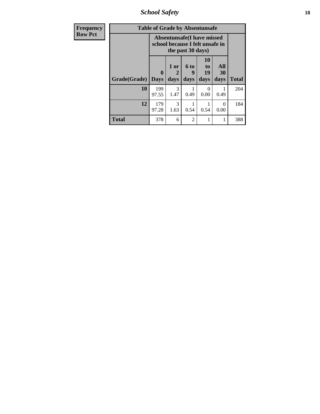*School Safety* **18**

| <b>Frequency</b> |              | <b>Table of Grade by Absentunsafe</b>                                |                   |                   |                        |                   |              |
|------------------|--------------|----------------------------------------------------------------------|-------------------|-------------------|------------------------|-------------------|--------------|
| <b>Row Pct</b>   |              | <b>Absentunsafe(I have missed</b><br>school because I felt unsafe in |                   |                   |                        |                   |              |
|                  | Grade(Grade) | $\mathbf{0}$<br><b>Days</b>                                          | 1 or<br>2<br>days | 6 to<br>9<br>days | 10<br>to<br>19<br>days | All<br>30<br>days | <b>Total</b> |
|                  | 10           | 199<br>97.55                                                         | 3<br>1.47         | 0.49              | 0.00                   | 0.49              | 204          |
|                  | 12           | 179<br>97.28                                                         | 3<br>1.63         | 0.54              | 0.54                   | $\Omega$<br>0.00  | 184          |
|                  | <b>Total</b> | 378                                                                  | 6                 | $\mathfrak{D}$    | 1                      |                   | 388          |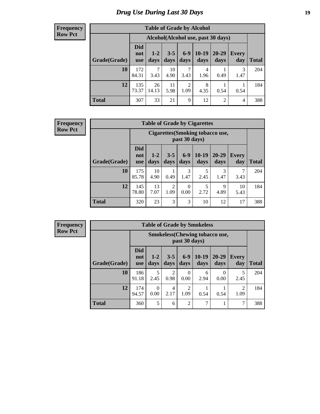# *Drug Use During Last 30 Days* **19**

#### **Frequency Row Pct**

| <b>Table of Grade by Alcohol</b> |                                 |                 |                 |                        |                 |                                     |                     |       |  |  |  |
|----------------------------------|---------------------------------|-----------------|-----------------|------------------------|-----------------|-------------------------------------|---------------------|-------|--|--|--|
|                                  |                                 |                 |                 |                        |                 | Alcohol (Alcohol use, past 30 days) |                     |       |  |  |  |
| Grade(Grade)                     | <b>Did</b><br>not<br><b>use</b> | $1 - 2$<br>days | $3 - 5$<br>days | $6-9$<br>days          | $10-19$<br>days | $20 - 29$<br>days                   | <b>Every</b><br>day | Total |  |  |  |
| 10                               | 172<br>84.31                    | 7<br>3.43       | 10<br>4.90      | 7<br>3.43              | 4<br>1.96       | 0.49                                | 3<br>1.47           | 204   |  |  |  |
| 12                               | 135<br>73.37                    | 26<br>14.13     | 11<br>5.98      | $\overline{2}$<br>1.09 | 8<br>4.35       | 0.54                                | 0.54                | 184   |  |  |  |
| <b>Total</b>                     | 307                             | 33              | 21              | 9                      | 12              | $\overline{2}$                      | 4                   | 388   |  |  |  |

#### **Frequency Row Pct**

| <b>Table of Grade by Cigarettes</b> |                                 |                                                   |                 |                  |                 |               |                     |              |  |  |  |
|-------------------------------------|---------------------------------|---------------------------------------------------|-----------------|------------------|-----------------|---------------|---------------------|--------------|--|--|--|
|                                     |                                 | Cigarettes (Smoking tobacco use,<br>past 30 days) |                 |                  |                 |               |                     |              |  |  |  |
| Grade(Grade)                        | <b>Did</b><br>not<br><b>use</b> | $1 - 2$<br>days                                   | $3 - 5$<br>days | $6 - 9$<br>days  | $10-19$<br>days | 20-29<br>days | <b>Every</b><br>day | <b>Total</b> |  |  |  |
| 10                                  | 175<br>85.78                    | 10<br>4.90                                        | 0.49            | 3<br>1.47        | 5<br>2.45       | 3<br>1.47     | 3.43                | 204          |  |  |  |
| 12                                  | 145<br>78.80                    | 13<br>7.07                                        | 2<br>1.09       | $\Omega$<br>0.00 | 5<br>2.72       | 9<br>4.89     | 10<br>5.43          | 184          |  |  |  |
| <b>Total</b>                        | 320                             | 23                                                | 3               | 3                | 10              | 12            | 17                  | 388          |  |  |  |

**Frequency Row Pct**

| <b>Table of Grade by Smokeless</b> |                                 |                                                         |                        |                  |                 |                   |              |              |  |  |  |
|------------------------------------|---------------------------------|---------------------------------------------------------|------------------------|------------------|-----------------|-------------------|--------------|--------------|--|--|--|
|                                    |                                 | <b>Smokeless</b> (Chewing tobacco use,<br>past 30 days) |                        |                  |                 |                   |              |              |  |  |  |
| Grade(Grade)                       | <b>Did</b><br>not<br><b>use</b> | $1 - 2$<br>days                                         | $3-5$<br>days          | $6 - 9$<br>days  | $10-19$<br>days | $20 - 29$<br>days | Every<br>day | <b>Total</b> |  |  |  |
| 10                                 | 186<br>91.18                    | 5<br>2.45                                               | $\overline{c}$<br>0.98 | $\Omega$<br>0.00 | 6<br>2.94       | 0.00              | 5<br>2.45    | 204          |  |  |  |
| 12                                 | 174<br>94.57                    | $\Omega$<br>0.00                                        | 4<br>2.17              | 2<br>1.09        | 0.54            | 0.54              | 2<br>1.09    | 184          |  |  |  |
| <b>Total</b>                       | 360                             | 5                                                       | 6                      | $\overline{2}$   | 7               |                   | 7            | 388          |  |  |  |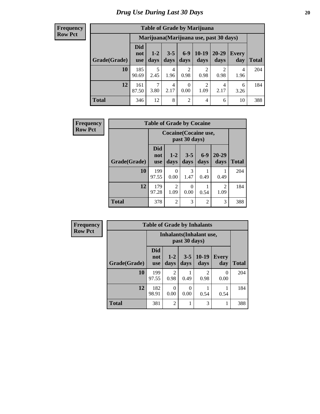#### **Frequency Row Pct**

| <b>Table of Grade by Marijuana</b> |                          |                       |                 |                  |                        |                                         |                     |       |  |  |  |
|------------------------------------|--------------------------|-----------------------|-----------------|------------------|------------------------|-----------------------------------------|---------------------|-------|--|--|--|
|                                    |                          |                       |                 |                  |                        | Marijuana (Marijuana use, past 30 days) |                     |       |  |  |  |
| Grade(Grade)                       | Did<br>not<br><b>use</b> | $1 - 2$<br>days       | $3 - 5$<br>days | $6 - 9$<br>days  | $10-19$<br>days        | 20-29<br>days                           | <b>Every</b><br>day | Total |  |  |  |
| 10                                 | 185<br>90.69             | 5<br>2.45             | 4<br>1.96       | 2<br>0.98        | 2<br>0.98              | $\overline{2}$<br>0.98                  | 4<br>1.96           | 204   |  |  |  |
| 12                                 | 161<br>87.50             | $\mathcal{I}$<br>3.80 | 4<br>2.17       | $\theta$<br>0.00 | $\overline{2}$<br>1.09 | 4<br>2.17                               | 6<br>3.26           | 184   |  |  |  |
| <b>Total</b>                       | 346                      | 12                    | 8               | $\overline{2}$   | 4                      | 6                                       | 10                  | 388   |  |  |  |

| Frequency      | <b>Table of Grade by Cocaine</b> |                                               |                  |                  |                |                        |              |
|----------------|----------------------------------|-----------------------------------------------|------------------|------------------|----------------|------------------------|--------------|
| <b>Row Pct</b> |                                  | <b>Cocaine</b> (Cocaine use,<br>past 30 days) |                  |                  |                |                        |              |
|                | Grade(Grade)                     | Did<br>not<br><b>use</b>                      | $1 - 2$<br>days  | $3 - 5$<br>days  | $6-9$<br>days  | 20-29<br>days          | <b>Total</b> |
|                | 10                               | 199<br>97.55                                  | $\Omega$<br>0.00 | 3<br>1.47        | 0.49           | 0.49                   | 204          |
|                | 12                               | 179<br>97.28                                  | 2<br>1.09        | $\Omega$<br>0.00 | 0.54           | $\mathfrak{D}$<br>1.09 | 184          |
|                | <b>Total</b>                     | 378                                           | $\overline{2}$   | 3                | $\overline{2}$ | 3                      | 388          |

| Frequency      | <b>Table of Grade by Inhalants</b> |                                                  |                       |                  |                        |                     |              |
|----------------|------------------------------------|--------------------------------------------------|-----------------------|------------------|------------------------|---------------------|--------------|
| <b>Row Pct</b> |                                    | <b>Inhalants</b> (Inhalant use,<br>past 30 days) |                       |                  |                        |                     |              |
|                | Grade(Grade)                       | <b>Did</b><br>not<br><b>use</b>                  | $1 - 2$<br>days       | $3 - 5$<br>days  | $10-19$<br>days        | <b>Every</b><br>day | <b>Total</b> |
|                | 10                                 | 199<br>97.55                                     | $\mathcal{D}$<br>0.98 | 0.49             | $\mathfrak{D}$<br>0.98 | 0<br>0.00           | 204          |
|                | 12                                 | 182<br>98.91                                     | 0<br>0.00             | $\Omega$<br>0.00 | 0.54                   | 0.54                | 184          |
|                | <b>Total</b>                       | 381                                              | $\overline{2}$        |                  | 3                      |                     | 388          |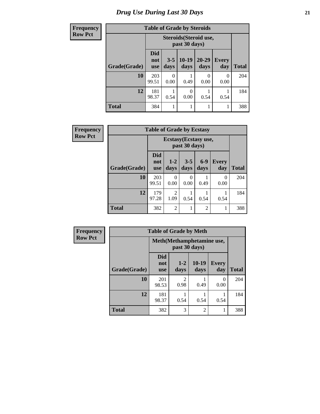### **Frequency Row**

# **Table of Grade by Steroids**

| quency | Tuble of Gruue by Decroius |                                 |                                         |                  |                   |                     |              |  |  |  |
|--------|----------------------------|---------------------------------|-----------------------------------------|------------------|-------------------|---------------------|--------------|--|--|--|
| v Pct  |                            |                                 | Steroids (Steroid use,<br>past 30 days) |                  |                   |                     |              |  |  |  |
|        | Grade(Grade)               | <b>Did</b><br>not<br><b>use</b> | $3 - 5$<br>days                         | $10-19$<br>days  | $20 - 29$<br>days | <b>Every</b><br>day | <b>Total</b> |  |  |  |
|        | 10                         | 203<br>99.51                    | 0<br>0.00                               | 0.49             | $\theta$<br>0.00  | 0<br>0.00           | 204          |  |  |  |
|        | 12                         | 181<br>98.37                    | 0.54                                    | $\Omega$<br>0.00 | 0.54              | 0.54                | 184          |  |  |  |
|        | <b>Total</b>               | 384                             |                                         |                  |                   |                     | 388          |  |  |  |

| Frequency      | <b>Table of Grade by Ecstasy</b> |                                        |                        |                 |                |                     |              |  |
|----------------|----------------------------------|----------------------------------------|------------------------|-----------------|----------------|---------------------|--------------|--|
| <b>Row Pct</b> |                                  | Ecstasy (Ecstasy use,<br>past 30 days) |                        |                 |                |                     |              |  |
|                | Grade(Grade)                     | <b>Did</b><br>not<br><b>use</b>        | $1-2$<br>days          | $3 - 5$<br>days | $6-9$<br>days  | <b>Every</b><br>day | <b>Total</b> |  |
|                | 10                               | 203<br>99.51                           | 0<br>0.00              | 0<br>0.00       | 0.49           | 0<br>0.00           | 204          |  |
|                | 12                               | 179<br>97.28                           | $\overline{2}$<br>1.09 | 0.54            | 0.54           | 0.54                | 184          |  |
|                | <b>Total</b>                     | 382                                    | 2                      |                 | $\overline{c}$ |                     | 388          |  |

| Frequency      | <b>Table of Grade by Meth</b> |                                             |                 |                 |                     |              |  |  |
|----------------|-------------------------------|---------------------------------------------|-----------------|-----------------|---------------------|--------------|--|--|
| <b>Row Pct</b> |                               | Meth (Methamphetamine use,<br>past 30 days) |                 |                 |                     |              |  |  |
|                | Grade(Grade)                  | <b>Did</b><br>not<br><b>use</b>             | $1 - 2$<br>days | $10-19$<br>days | <b>Every</b><br>day | <b>Total</b> |  |  |
|                | 10                            | 201<br>98.53                                | 2<br>0.98       | 0.49            | 0<br>0.00           | 204          |  |  |
|                | 12                            | 181<br>98.37                                | 0.54            | 0.54            | 0.54                | 184          |  |  |
|                | <b>Total</b>                  | 382                                         | 3               | $\overline{2}$  |                     | 388          |  |  |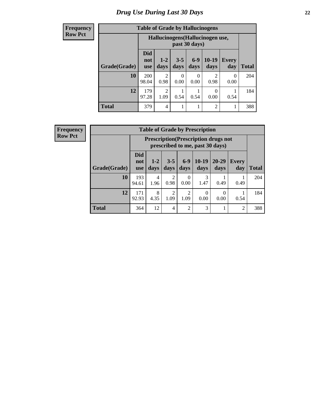#### **Frequency Row Pct**

| <b>Table of Grade by Hallucinogens</b> |              |                                                                                                                                                                                                       |                  |                  |                |           |     |  |  |
|----------------------------------------|--------------|-------------------------------------------------------------------------------------------------------------------------------------------------------------------------------------------------------|------------------|------------------|----------------|-----------|-----|--|--|
|                                        |              | Hallucinogens (Hallucinogen use,<br>past 30 days)<br><b>Did</b><br>$6-9$<br>$10-19$<br>$3 - 5$<br>$1 - 2$<br><b>Every</b><br>not<br>days<br>days<br>days<br>day<br><b>Total</b><br>days<br><b>use</b> |                  |                  |                |           |     |  |  |
| <b>Grade</b> (Grade)                   |              |                                                                                                                                                                                                       |                  |                  |                |           |     |  |  |
| 10                                     | 200<br>98.04 | 2<br>0.98                                                                                                                                                                                             | $\theta$<br>0.00 | $\theta$<br>0.00 | 2<br>0.98      | 0<br>0.00 | 204 |  |  |
| 12                                     | 179<br>97.28 | 2<br>1.09                                                                                                                                                                                             | 0.54             | 0.54             | 0.00           | 0.54      | 184 |  |  |
| <b>Total</b>                           | 379          | 4                                                                                                                                                                                                     |                  |                  | $\overline{c}$ | 1         | 388 |  |  |

**Frequency Row Pct**

| <b>Table of Grade by Prescription</b> |                                                                                                                                                   |                                                                                |                        |                |           |      |                |              |  |
|---------------------------------------|---------------------------------------------------------------------------------------------------------------------------------------------------|--------------------------------------------------------------------------------|------------------------|----------------|-----------|------|----------------|--------------|--|
|                                       |                                                                                                                                                   | <b>Prescription</b> (Prescription drugs not<br>prescribed to me, past 30 days) |                        |                |           |      |                |              |  |
| Grade(Grade)                          | <b>Did</b><br>$10-19$<br>$6-9$<br>20-29<br>$3 - 5$<br>$1 - 2$<br><b>Every</b><br>not<br>days<br>days<br>days<br>day<br>days<br>days<br><b>use</b> |                                                                                |                        |                |           |      |                | <b>Total</b> |  |
| 10                                    | 193<br>94.61                                                                                                                                      | 4<br>1.96                                                                      | 2<br>0.98              | 0<br>0.00      | 3<br>1.47 | 0.49 | 0.49           | 204          |  |
| 12                                    | 171<br>92.93                                                                                                                                      | 8<br>4.35                                                                      | $\mathfrak{D}$<br>1.09 | 2<br>1.09      | 0<br>0.00 | 0.00 | 0.54           | 184          |  |
| <b>Total</b>                          | 364                                                                                                                                               | 12                                                                             | 4                      | $\overline{2}$ | 3         |      | $\overline{2}$ | 388          |  |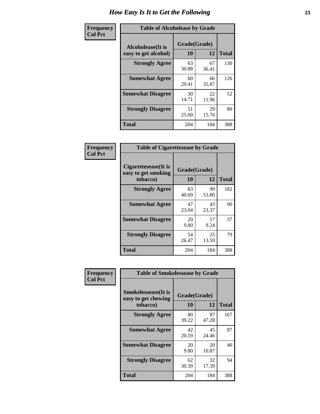| Frequency      | <b>Table of Alcoholease by Grade</b>              |                    |             |              |  |  |
|----------------|---------------------------------------------------|--------------------|-------------|--------------|--|--|
| <b>Col Pct</b> | <b>Alcoholease</b> (It is<br>easy to get alcohol) | Grade(Grade)<br>10 | 12          | <b>Total</b> |  |  |
|                | <b>Strongly Agree</b><br><b>Somewhat Agree</b>    | 63<br>30.88        | 67<br>36.41 | 130          |  |  |
|                |                                                   | 60<br>29.41        | 66<br>35.87 | 126          |  |  |
|                | <b>Somewhat Disagree</b>                          | 30<br>14.71        | 22<br>11.96 | 52           |  |  |
|                | <b>Strongly Disagree</b>                          | 51<br>25.00        | 29<br>15.76 | 80           |  |  |
|                | <b>Total</b>                                      | 204                | 184         | 388          |  |  |

| Frequency      | <b>Table of Cigarettesease by Grade</b>                  |                           |             |              |  |
|----------------|----------------------------------------------------------|---------------------------|-------------|--------------|--|
| <b>Col Pct</b> | Cigarettesease (It is<br>easy to get smoking<br>tobacco) | Grade(Grade)<br><b>10</b> | 12          | <b>Total</b> |  |
|                | <b>Strongly Agree</b>                                    | 83<br>40.69               | 99<br>53.80 | 182          |  |
|                | <b>Somewhat Agree</b>                                    | 47<br>23.04               | 43<br>23.37 | 90           |  |
|                | <b>Somewhat Disagree</b>                                 | 20<br>9.80                | 17<br>9.24  | 37           |  |
|                | <b>Strongly Disagree</b>                                 | 54<br>26.47               | 25<br>13.59 | 79           |  |
|                | <b>Total</b>                                             | 204                       | 184         | 388          |  |

| Frequency      | <b>Table of Smokelessease by Grade</b>             |              |             |              |
|----------------|----------------------------------------------------|--------------|-------------|--------------|
| <b>Col Pct</b> | <b>Smokelessease</b> (It is<br>easy to get chewing | Grade(Grade) |             |              |
|                | tobacco)                                           | 10           | 12          | <b>Total</b> |
|                | <b>Strongly Agree</b>                              | 80<br>39.22  | 87<br>47.28 | 167          |
|                | <b>Somewhat Agree</b>                              | 42<br>20.59  | 45<br>24.46 | 87           |
|                | <b>Somewhat Disagree</b>                           | 20<br>9.80   | 20<br>10.87 | 40           |
|                | <b>Strongly Disagree</b>                           | 62<br>30.39  | 32<br>17.39 | 94           |
|                | <b>Total</b>                                       | 204          | 184         | 388          |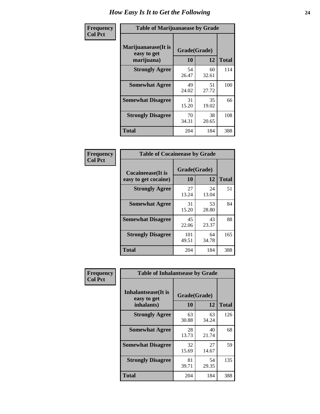| Frequency      | <b>Table of Marijuanaease by Grade</b>           |                    |             |              |  |
|----------------|--------------------------------------------------|--------------------|-------------|--------------|--|
| <b>Col Pct</b> | Marijuanaease(It is<br>easy to get<br>marijuana) | Grade(Grade)<br>10 | 12          | <b>Total</b> |  |
|                | <b>Strongly Agree</b>                            | 54<br>26.47        | 60<br>32.61 | 114          |  |
|                | <b>Somewhat Agree</b>                            | 49<br>24.02        | 51<br>27.72 | 100          |  |
|                | <b>Somewhat Disagree</b>                         | 31<br>15.20        | 35<br>19.02 | 66           |  |
|                | <b>Strongly Disagree</b>                         | 70<br>34.31        | 38<br>20.65 | 108          |  |
|                | <b>Total</b>                                     | 204                | 184         | 388          |  |

| <b>Table of Cocaineease by Grade</b>      |                    |             |              |  |  |  |  |
|-------------------------------------------|--------------------|-------------|--------------|--|--|--|--|
| Cocaineease(It is<br>easy to get cocaine) | Grade(Grade)<br>10 | 12          | <b>Total</b> |  |  |  |  |
| <b>Strongly Agree</b>                     | 27<br>13.24        | 24<br>13.04 | 51           |  |  |  |  |
| <b>Somewhat Agree</b>                     | 31<br>15.20        | 53<br>28.80 | 84           |  |  |  |  |
| <b>Somewhat Disagree</b>                  | 45<br>22.06        | 43<br>23.37 | 88           |  |  |  |  |
| <b>Strongly Disagree</b>                  | 101<br>49.51       | 64<br>34.78 | 165          |  |  |  |  |
| <b>Total</b>                              | 204                | 184         | 388          |  |  |  |  |

| Frequency      | <b>Table of Inhalantsease by Grade</b>           |                    |             |              |
|----------------|--------------------------------------------------|--------------------|-------------|--------------|
| <b>Col Pct</b> | Inhalantsease(It is<br>easy to get<br>inhalants) | Grade(Grade)<br>10 | 12          | <b>Total</b> |
|                | <b>Strongly Agree</b>                            | 63<br>30.88        | 63<br>34.24 | 126          |
|                | <b>Somewhat Agree</b>                            | 28<br>13.73        | 40<br>21.74 | 68           |
|                | <b>Somewhat Disagree</b>                         | 32<br>15.69        | 27<br>14.67 | 59           |
|                | <b>Strongly Disagree</b>                         | 81<br>39.71        | 54<br>29.35 | 135          |
|                | <b>Total</b>                                     | 204                | 184         | 388          |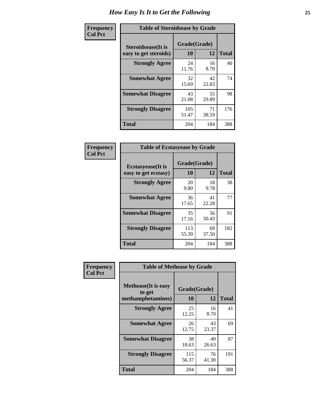| Frequency      |                                                     | <b>Table of Steroidsease by Grade</b> |             |              |  |  |  |  |  |  |  |  |
|----------------|-----------------------------------------------------|---------------------------------------|-------------|--------------|--|--|--|--|--|--|--|--|
| <b>Col Pct</b> | <b>Steroidsease</b> (It is<br>easy to get steroids) | Grade(Grade)<br>10                    | 12          | <b>Total</b> |  |  |  |  |  |  |  |  |
|                | <b>Strongly Agree</b>                               | 24<br>11.76                           | 16<br>8.70  | 40           |  |  |  |  |  |  |  |  |
|                | <b>Somewhat Agree</b>                               | 32<br>15.69                           | 42<br>22.83 | 74           |  |  |  |  |  |  |  |  |
|                | <b>Somewhat Disagree</b>                            | 43<br>21.08                           | 55<br>29.89 | 98           |  |  |  |  |  |  |  |  |
|                | <b>Strongly Disagree</b>                            | 105<br>51.47                          | 71<br>38.59 | 176          |  |  |  |  |  |  |  |  |
|                | <b>Total</b>                                        | 204                                   | 184         | 388          |  |  |  |  |  |  |  |  |

| Frequency      | <b>Table of Ecstasyease by Grade</b>              |                           |             |              |
|----------------|---------------------------------------------------|---------------------------|-------------|--------------|
| <b>Col Pct</b> | <b>Ecstasyease</b> (It is<br>easy to get ecstasy) | Grade(Grade)<br><b>10</b> | 12          | <b>Total</b> |
|                | <b>Strongly Agree</b>                             | 20<br>9.80                | 18<br>9.78  | 38           |
|                | <b>Somewhat Agree</b>                             | 36<br>17.65               | 41<br>22.28 | 77           |
|                | <b>Somewhat Disagree</b>                          | 35<br>17.16               | 56<br>30.43 | 91           |
|                | <b>Strongly Disagree</b>                          | 113<br>55.39              | 69<br>37.50 | 182          |
|                | Total                                             | 204                       | 184         | 388          |

| Frequency      | <b>Table of Methease by Grade</b>                          |                    |             |              |
|----------------|------------------------------------------------------------|--------------------|-------------|--------------|
| <b>Col Pct</b> | <b>Methease</b> (It is easy<br>to get<br>methamphetamines) | Grade(Grade)<br>10 | 12          | <b>Total</b> |
|                | <b>Strongly Agree</b>                                      | 25<br>12.25        | 16<br>8.70  | 41           |
|                | <b>Somewhat Agree</b>                                      | 26<br>12.75        | 43<br>23.37 | 69           |
|                | <b>Somewhat Disagree</b>                                   | 38<br>18.63        | 49<br>26.63 | 87           |
|                | <b>Strongly Disagree</b>                                   | 115<br>56.37       | 76<br>41.30 | 191          |
|                | <b>Total</b>                                               | 204                | 184         | 388          |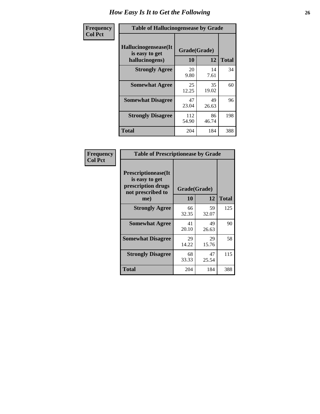| <b>Frequency</b> | <b>Table of Hallucinogensease by Grade</b>               |                    |             |              |
|------------------|----------------------------------------------------------|--------------------|-------------|--------------|
| <b>Col Pct</b>   | Hallucinogensease(It<br>is easy to get<br>hallucinogens) | Grade(Grade)<br>10 | 12          | <b>Total</b> |
|                  | <b>Strongly Agree</b>                                    | 20<br>9.80         | 14<br>7.61  | 34           |
|                  | <b>Somewhat Agree</b>                                    | 25<br>12.25        | 35<br>19.02 | 60           |
|                  | <b>Somewhat Disagree</b>                                 | 47<br>23.04        | 49<br>26.63 | 96           |
|                  | <b>Strongly Disagree</b>                                 | 112<br>54.90       | 86<br>46.74 | 198          |
|                  | <b>Total</b>                                             | 204                | 184         | 388          |

| Frequency<br>Col Pct |
|----------------------|
|                      |

| <b>Table of Prescriptionease by Grade</b>                                                |             |              |              |
|------------------------------------------------------------------------------------------|-------------|--------------|--------------|
| <b>Prescriptionease</b> (It<br>is easy to get<br>prescription drugs<br>not prescribed to |             | Grade(Grade) |              |
| me)                                                                                      | 10          | 12           | <b>Total</b> |
| <b>Strongly Agree</b>                                                                    | 66<br>32.35 | 59<br>32.07  | 125          |
| <b>Somewhat Agree</b>                                                                    | 41<br>20.10 | 49<br>26.63  | 90           |
| <b>Somewhat Disagree</b>                                                                 | 29<br>14.22 | 29<br>15.76  | 58           |
| <b>Strongly Disagree</b>                                                                 | 68<br>33.33 | 47<br>25.54  | 115          |
| Total                                                                                    | 204         | 184          | 388          |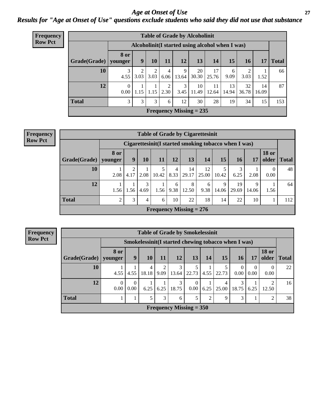### *Age at Onset of Use* **27** *Results for "Age at Onset of Use" questions exclude students who said they did not use that substance*

| <b>Frequency</b> |                        |                  |      |                                                  |           |            | <b>Table of Grade by Alcoholinit</b> |             |             |             |             |              |
|------------------|------------------------|------------------|------|--------------------------------------------------|-----------|------------|--------------------------------------|-------------|-------------|-------------|-------------|--------------|
| <b>Row Pct</b>   |                        |                  |      | Alcoholinit (I started using alcohol when I was) |           |            |                                      |             |             |             |             |              |
|                  | Grade(Grade)   younger | <b>8 or</b>      | 9    | 10                                               | <b>11</b> | 12         | 13                                   | 14          | 15          | <b>16</b>   | 17          | <b>Total</b> |
|                  | 10                     | 4.55             | 3.03 | 3.03                                             | 4<br>6.06 | 9<br>13.64 | 20<br>30.30                          | 17<br>25.76 | 6<br>9.09   | 3.03        | 1.52        | 66           |
|                  | 12                     | $\Omega$<br>0.00 | 1.15 | 1.15                                             | 2<br>2.30 | 3<br>3.45  | 10<br>11.49                          | 11<br>12.64 | 13<br>14.94 | 32<br>36.78 | 14<br>16.09 | 87           |
|                  | <b>Total</b>           | 3                | 3    | 3                                                | 6         | 12         | 30                                   | 28          | 19          | 34          | 15          | 153          |
|                  |                        |                  |      |                                                  |           |            | Frequency Missing $= 235$            |             |             |             |             |              |

#### **Frequency Row Pct**

|              | <b>Table of Grade by Cigarettesinit</b> |                                                      |      |       |           |                           |             |            |             |            |                       |              |  |  |
|--------------|-----------------------------------------|------------------------------------------------------|------|-------|-----------|---------------------------|-------------|------------|-------------|------------|-----------------------|--------------|--|--|
|              |                                         | Cigarettesinit(I started smoking tobacco when I was) |      |       |           |                           |             |            |             |            |                       |              |  |  |
| Grade(Grade) | 8 or<br>vounger                         | 9                                                    | 10   | 11    | 12        | 13                        | 14          | 15         | 16          | 17         | <b>18 or</b><br>older | <b>Total</b> |  |  |
| 10           | 2.08                                    | 4.17                                                 | 2.08 | 10.42 | 4<br>8.33 | 14<br>29.17               | 12<br>25.00 | 5<br>10.42 | 3<br>6.25   | 2.08       | 0<br>0.00             | 48           |  |  |
| 12           | 1.56                                    | 1.56                                                 | 4.69 | 1.56  | 6<br>9.38 | 8<br>12.50                | 6<br>9.38   | 9<br>14.06 | 19<br>29.69 | q<br>14.06 | 1.56                  | 64           |  |  |
| <b>Total</b> | $\overline{2}$                          | 3                                                    | 4    | 6     | 10        | 22                        | 18          | 14         | 22          | 10         |                       | 112          |  |  |
|              |                                         |                                                      |      |       |           | Frequency Missing $= 276$ |             |            |             |            |                       |              |  |  |

**Frequency Row Pct**

|              | <b>Table of Grade by Smokelessinit</b> |                  |            |                        |                                                     |           |      |            |                  |                  |                       |                 |  |  |
|--------------|----------------------------------------|------------------|------------|------------------------|-----------------------------------------------------|-----------|------|------------|------------------|------------------|-----------------------|-----------------|--|--|
|              |                                        |                  |            |                        | Smokelessinit(I started chewing tobacco when I was) |           |      |            |                  |                  |                       |                 |  |  |
| Grade(Grade) | 8 or<br>vounger                        | 9                | <b>10</b>  | 11                     | 12                                                  | 13        | 14   | 15         | <b>16</b>        | 17               | <b>18 or</b><br>older | <b>Total</b>    |  |  |
| 10           | 4.55                                   | 4.55             | 4<br>18.18 | $\mathfrak{D}$<br>9.09 | 3<br>13.64                                          | 22.73     | 4.55 | 22.73      | $\Omega$<br>0.00 | $\theta$<br>0.00 | $\theta$<br>0.00      | 22              |  |  |
| 12           | $\Omega$<br>0.00                       | $\Omega$<br>0.00 | 6.25       | 6.25                   | 3<br>18.75                                          | 0<br>0.00 | 6.25 | 4<br>25.00 | 3<br>18.75       | 6.25             | 2<br>12.50            | 16 <sup>1</sup> |  |  |
| <b>Total</b> |                                        |                  | 5          | 3                      | 6                                                   | 5         | 2    | 9          | 3                |                  | 2                     | 38              |  |  |
|              |                                        |                  |            |                        | Frequency Missing $= 350$                           |           |      |            |                  |                  |                       |                 |  |  |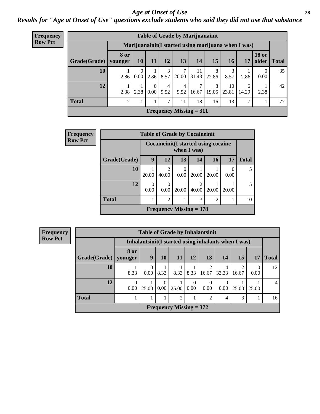#### *Age at Onset of Use* **28**

*Results for "Age at Onset of Use" questions exclude students who said they did not use that substance*

| <b>Frequency</b> |                          |                |                 |           |           |            | <b>Table of Grade by Marijuanainit</b> |                                                      |             |            |              |               |
|------------------|--------------------------|----------------|-----------------|-----------|-----------|------------|----------------------------------------|------------------------------------------------------|-------------|------------|--------------|---------------|
| <b>Row Pct</b>   |                          |                |                 |           |           |            |                                        | Marijuanainit (I started using marijuana when I was) |             |            |              |               |
|                  | $Grade(Grade)$   younger | 8 or           | 10 <sup>1</sup> | 11        | <b>12</b> | 13         | 14                                     | 15 <sup>15</sup>                                     | 16          | 17         | <b>18 or</b> | older   Total |
|                  | 10                       | 2.86           | 0<br>0.00       | 2.86      | 8.57      | 7<br>20.00 | 11<br>31.43                            | 8<br>22.86                                           | 8.57        | 2.86       | 0<br>0.00    | 35            |
|                  | 12                       |                | $2.38$   $2.38$ | 0<br>0.00 | 4<br>9.52 | 4<br>9.52  | $\mathcal{I}$<br>16.67                 | 8<br>19.05                                           | 10<br>23.81 | 6<br>14.29 | 2.38         | 42            |
|                  | <b>Total</b>             | $\mathfrak{D}$ |                 |           |           | 11         | 18                                     | 16                                                   | 13          | ⇁          |              | 77            |
|                  |                          |                |                 |           |           |            | <b>Frequency Missing = 311</b>         |                                                      |             |            |              |               |

| Frequency      |              |           |                         |                  | <b>Table of Grade by Cocaineinit</b>                 |       |           |              |
|----------------|--------------|-----------|-------------------------|------------------|------------------------------------------------------|-------|-----------|--------------|
| <b>Row Pct</b> |              |           |                         |                  | Cocaine init (I started using cocaine<br>when I was) |       |           |              |
|                | Grade(Grade) | 9         | 12                      | 13               | 14                                                   | 16    | <b>17</b> | <b>Total</b> |
|                | 10           | 20.00     | $\overline{c}$<br>40.00 | $\theta$<br>0.00 | 20.00                                                | 20.00 | 0.00      | 5            |
|                | 12           | 0<br>0.00 | 0<br>0.00               | 20.00            | $\mathcal{D}$<br>40.00                               | 20.00 | 20.00     | 5            |
|                | <b>Total</b> |           | $\overline{c}$          |                  | 3                                                    | 2     |           | 10           |
|                |              |           |                         |                  | Frequency Missing $=$ 378                            |       |           |              |

| Frequency      | <b>Table of Grade by Inhalantsinit</b> |                  |                                                      |                     |                           |                       |                      |                         |                         |                  |              |
|----------------|----------------------------------------|------------------|------------------------------------------------------|---------------------|---------------------------|-----------------------|----------------------|-------------------------|-------------------------|------------------|--------------|
| <b>Row Pct</b> |                                        |                  | Inhalantsinit (I started using inhalants when I was) |                     |                           |                       |                      |                         |                         |                  |              |
|                | Grade(Grade)   younger                 | <b>8 or</b>      | 9                                                    | <b>10</b>           | -11                       | 12                    | 13                   | 14                      | 15                      | 17               | <b>Total</b> |
|                | 10                                     | 8.33             | 0                                                    | $0.00 \,   \, 8.33$ |                           | $8.33 \mid 8.33 \mid$ | 16.67                | $\overline{4}$<br>33.33 | $\mathfrak{D}$<br>16.67 | $\Omega$<br>0.00 | 12           |
|                | 12                                     | $\Omega$<br>0.00 | 25.00                                                | 0<br>0.00           | 25.00                     | $\Omega$<br>0.00      | $\Omega$<br>$0.00\,$ | $\Omega$<br>0.00        | 25.00                   | 25.00            | 4            |
|                | <b>Total</b>                           |                  |                                                      |                     | ↑                         |                       | $\mathfrak{D}$       | 4                       | 3                       |                  | 16           |
|                |                                        |                  |                                                      |                     | Frequency Missing $= 372$ |                       |                      |                         |                         |                  |              |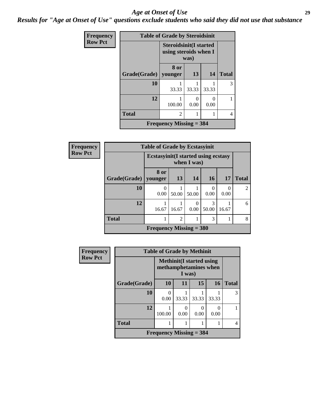#### *Age at Onset of Use* **29**

*Results for "Age at Onset of Use" questions exclude students who said they did not use that substance*

| <b>Frequency</b> | <b>Table of Grade by Steroidsinit</b> |                                                        |           |           |              |  |  |  |
|------------------|---------------------------------------|--------------------------------------------------------|-----------|-----------|--------------|--|--|--|
| <b>Row Pct</b>   |                                       | <b>Steroidsinit(I started</b><br>using steroids when I | was)      |           |              |  |  |  |
|                  | Grade(Grade)                          | 8 or<br>younger                                        | 13        | 14        | <b>Total</b> |  |  |  |
|                  | 10                                    | 33.33                                                  | 33.33     | 33.33     | 3            |  |  |  |
|                  | 12                                    | 100.00                                                 | 0<br>0.00 | 0<br>0.00 |              |  |  |  |
|                  | <b>Total</b>                          | $\mathfrak{D}$                                         |           |           | 4            |  |  |  |
|                  | <b>Frequency Missing = 384</b>        |                                                        |           |           |              |  |  |  |

| <b>Frequency</b> |              | <b>Table of Grade by Ecstasyinit</b>                       |                |           |                        |       |                |  |  |
|------------------|--------------|------------------------------------------------------------|----------------|-----------|------------------------|-------|----------------|--|--|
| <b>Row Pct</b>   |              | <b>Ecstasyinit</b> (I started using ecstasy<br>when I was) |                |           |                        |       |                |  |  |
|                  | Grade(Grade) | 8 or<br>younger                                            | 13             | <b>14</b> | <b>16</b>              | 17    | <b>Total</b>   |  |  |
|                  | 10           | $\Omega$<br>0.00                                           | 50.00          | 50.00     | 0<br>0.00              | 0.00  | $\overline{2}$ |  |  |
|                  | 12           | 16.67                                                      | 16.67          | 0<br>0.00 | $\mathcal{R}$<br>50.00 | 16.67 | 6              |  |  |
|                  | <b>Total</b> |                                                            | $\overline{2}$ |           | 3                      |       | 8              |  |  |
|                  |              | Frequency Missing $=$ 380                                  |                |           |                        |       |                |  |  |

| Frequency      | <b>Table of Grade by Methinit</b> |                                                           |                  |           |           |              |  |  |
|----------------|-----------------------------------|-----------------------------------------------------------|------------------|-----------|-----------|--------------|--|--|
| <b>Row Pct</b> |                                   | <b>Methinit</b> (I started using<br>methamphetamines when |                  |           |           |              |  |  |
|                | Grade(Grade)                      | <b>10</b>                                                 | 11               | 15        | <b>16</b> | <b>Total</b> |  |  |
|                | 10                                | 0.00                                                      | 33.33            | 33.33     | 33.33     | 3            |  |  |
|                | 12                                | 100.00                                                    | $\theta$<br>0.00 | 0<br>0.00 | 0.00      |              |  |  |
|                | <b>Total</b>                      |                                                           |                  |           |           | 4            |  |  |
|                |                                   | Frequency Missing $=$ 384                                 |                  |           |           |              |  |  |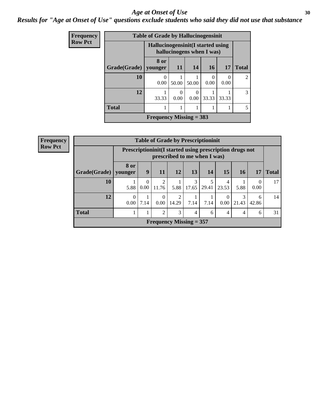#### Age at Onset of Use **30**

### *Results for "Age at Onset of Use" questions exclude students who said they did not use that substance*

| Frequency      | <b>Table of Grade by Hallucinogensinit</b> |                                    |                      |                           |       |           |                |  |  |
|----------------|--------------------------------------------|------------------------------------|----------------------|---------------------------|-------|-----------|----------------|--|--|
| <b>Row Pct</b> |                                            | Hallucinogensinit (I started using |                      | hallucinogens when I was) |       |           |                |  |  |
|                | Grade(Grade)                               | 8 or<br>vounger                    | 11                   | 14                        | 16    | 17        | <b>Total</b>   |  |  |
|                | 10                                         | 0.00                               | 50.00                | 50.00                     | 0.00  | 0<br>0.00 | $\mathfrak{D}$ |  |  |
|                | 12                                         | 33.33                              | $\mathbf{0}$<br>0.00 | $\left($<br>0.00          | 33.33 | 33.33     | $\mathcal{R}$  |  |  |
|                | <b>Total</b>                               |                                    |                      |                           |       |           |                |  |  |
|                |                                            | Frequency Missing $=$ 383          |                      |                           |       |           |                |  |  |

| Frequency      | <b>Table of Grade by Prescriptioninit</b> |                        |                                                                                            |                           |                         |                |       |                  |           |                  |              |
|----------------|-------------------------------------------|------------------------|--------------------------------------------------------------------------------------------|---------------------------|-------------------------|----------------|-------|------------------|-----------|------------------|--------------|
| <b>Row Pct</b> |                                           |                        | Prescription in it (I started using prescription drugs not<br>prescribed to me when I was) |                           |                         |                |       |                  |           |                  |              |
|                | Grade(Grade)                              | <b>8 or</b><br>vounger | 9                                                                                          | 11                        | 12                      | 13             | 14    | 15               | <b>16</b> | 17               | <b>Total</b> |
|                | 10                                        | 5.88                   | 0.00                                                                                       | $\overline{c}$<br>11.76   | 5.88                    | 3<br>17.65     | 29.41 | 4<br>23.53       | 5.88      | $\Omega$<br>0.00 | 17           |
|                | 12                                        | $\Omega$<br>0.00       | 7.14                                                                                       | 0<br>0.00 <sub>l</sub>    | $\overline{2}$<br>14.29 | 7.14           | 7.14  | $\theta$<br>0.00 | 21.43     | 6<br>42.86       | 14           |
|                | <b>Total</b>                              |                        |                                                                                            | $\overline{c}$            | 3                       | $\overline{4}$ | 6     | 4                | 4         | 6                | 31           |
|                |                                           |                        |                                                                                            | Frequency Missing $= 357$ |                         |                |       |                  |           |                  |              |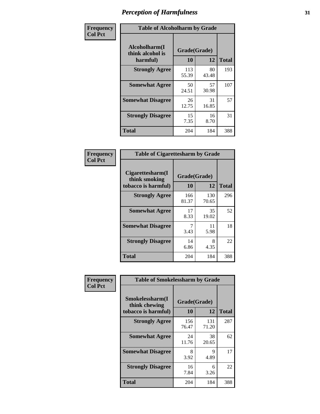| Frequency      | <b>Table of Alcoholharm by Grade</b>          |                    |             |              |  |  |  |
|----------------|-----------------------------------------------|--------------------|-------------|--------------|--|--|--|
| <b>Col Pct</b> | Alcoholharm(I<br>think alcohol is<br>harmful) | Grade(Grade)<br>10 | 12          | <b>Total</b> |  |  |  |
|                | <b>Strongly Agree</b>                         | 113<br>55.39       | 80<br>43.48 | 193          |  |  |  |
|                | <b>Somewhat Agree</b>                         | 50<br>24.51        | 57<br>30.98 | 107          |  |  |  |
|                | <b>Somewhat Disagree</b>                      | 26<br>12.75        | 31<br>16.85 | 57           |  |  |  |
|                | <b>Strongly Disagree</b>                      | 15<br>7.35         | 16<br>8.70  | 31           |  |  |  |
|                | <b>Total</b>                                  | 204                | 184         | 388          |  |  |  |

| <b>Table of Cigarettesharm by Grade</b>                  |                    |              |              |  |  |  |  |  |
|----------------------------------------------------------|--------------------|--------------|--------------|--|--|--|--|--|
| Cigarettesharm(I<br>think smoking<br>tobacco is harmful) | Grade(Grade)<br>10 | 12           | <b>Total</b> |  |  |  |  |  |
| <b>Strongly Agree</b>                                    | 166<br>81.37       | 130<br>70.65 | 296          |  |  |  |  |  |
| <b>Somewhat Agree</b>                                    | 17<br>8.33         | 35<br>19.02  | 52           |  |  |  |  |  |
| <b>Somewhat Disagree</b>                                 | 3.43               | 11<br>5.98   | 18           |  |  |  |  |  |
| <b>Strongly Disagree</b>                                 | 14<br>6.86         | 8<br>4.35    | 22           |  |  |  |  |  |
| <b>Total</b>                                             | 204                | 184          | 388          |  |  |  |  |  |

| Frequency      | <b>Table of Smokelessharm by Grade</b>                  |                    |              |              |  |  |  |  |
|----------------|---------------------------------------------------------|--------------------|--------------|--------------|--|--|--|--|
| <b>Col Pct</b> | Smokelessharm(I<br>think chewing<br>tobacco is harmful) | Grade(Grade)<br>10 | 12           | <b>Total</b> |  |  |  |  |
|                | <b>Strongly Agree</b>                                   | 156<br>76.47       | 131<br>71.20 | 287          |  |  |  |  |
|                | <b>Somewhat Agree</b>                                   | 24<br>11.76        | 38<br>20.65  | 62           |  |  |  |  |
|                | <b>Somewhat Disagree</b>                                | 8<br>3.92          | 9<br>4.89    | 17           |  |  |  |  |
|                | <b>Strongly Disagree</b>                                | 16<br>7.84         | 6<br>3.26    | 22           |  |  |  |  |
|                | Total                                                   | 204                | 184          | 388          |  |  |  |  |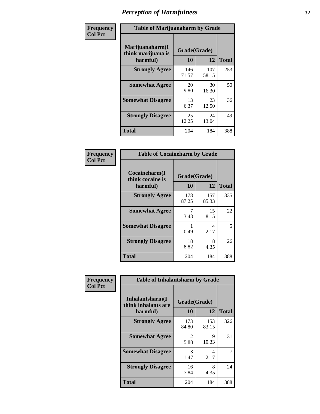| Frequency      | <b>Table of Marijuanaharm by Grade</b>            |                    |              |              |  |  |  |
|----------------|---------------------------------------------------|--------------------|--------------|--------------|--|--|--|
| <b>Col Pct</b> | Marijuanaharm(I<br>think marijuana is<br>harmful) | Grade(Grade)<br>10 | 12           | <b>Total</b> |  |  |  |
|                | <b>Strongly Agree</b>                             | 146<br>71.57       | 107<br>58.15 | 253          |  |  |  |
|                | <b>Somewhat Agree</b>                             | 20<br>9.80         | 30<br>16.30  | 50           |  |  |  |
|                | <b>Somewhat Disagree</b>                          | 13<br>6.37         | 23<br>12.50  | 36           |  |  |  |
|                | <b>Strongly Disagree</b>                          | 25<br>12.25        | 24<br>13.04  | 49           |  |  |  |
|                | <b>Total</b>                                      | 204                | 184          | 388          |  |  |  |

| <b>Table of Cocaineharm by Grade</b>          |                    |              |              |  |  |  |  |  |
|-----------------------------------------------|--------------------|--------------|--------------|--|--|--|--|--|
| Cocaineharm(I<br>think cocaine is<br>harmful) | Grade(Grade)<br>10 | 12           | <b>Total</b> |  |  |  |  |  |
| <b>Strongly Agree</b>                         | 178<br>87.25       | 157<br>85.33 | 335          |  |  |  |  |  |
| <b>Somewhat Agree</b>                         | 7<br>3.43          | 15<br>8.15   | 22           |  |  |  |  |  |
| <b>Somewhat Disagree</b>                      | 1<br>0.49          | 4<br>2.17    | 5            |  |  |  |  |  |
| <b>Strongly Disagree</b>                      | 18<br>8.82         | 8<br>4.35    | 26           |  |  |  |  |  |
| <b>Total</b>                                  | 204                | 184          | 388          |  |  |  |  |  |

| Frequency      | <b>Table of Inhalantsharm by Grade</b>             |                    |              |              |
|----------------|----------------------------------------------------|--------------------|--------------|--------------|
| <b>Col Pct</b> | Inhalantsharm(I<br>think inhalants are<br>harmful) | Grade(Grade)<br>10 | 12           | <b>Total</b> |
|                | <b>Strongly Agree</b>                              | 173<br>84.80       | 153<br>83.15 | 326          |
|                | <b>Somewhat Agree</b>                              | 12<br>5.88         | 19<br>10.33  | 31           |
|                | <b>Somewhat Disagree</b>                           | 3<br>1.47          | 4<br>2.17    | 7            |
|                | <b>Strongly Disagree</b>                           | 16<br>7.84         | 8<br>4.35    | 24           |
|                | <b>Total</b>                                       | 204                | 184          | 388          |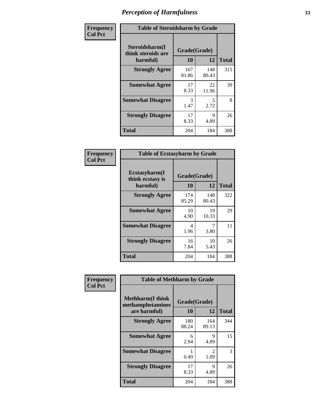| Frequency      | <b>Table of Steroidsharm by Grade</b>            |                    |              |              |
|----------------|--------------------------------------------------|--------------------|--------------|--------------|
| <b>Col Pct</b> | Steroidsharm(I<br>think steroids are<br>harmful) | Grade(Grade)<br>10 | 12           | <b>Total</b> |
|                | <b>Strongly Agree</b>                            | 167<br>81.86       | 148<br>80.43 | 315          |
|                | <b>Somewhat Agree</b>                            | 17<br>8.33         | 22<br>11.96  | 39           |
|                | <b>Somewhat Disagree</b>                         | 3<br>1.47          | 5<br>2.72    | 8            |
|                | <b>Strongly Disagree</b>                         | 17<br>8.33         | 9<br>4.89    | 26           |
|                | <b>Total</b>                                     | 204                | 184          | 388          |

| <b>Table of Ecstasyharm by Grade</b>          |                    |              |     |  |  |
|-----------------------------------------------|--------------------|--------------|-----|--|--|
| Ecstasyharm(I<br>think ecstasy is<br>harmful) | Grade(Grade)<br>10 | <b>Total</b> |     |  |  |
| <b>Strongly Agree</b>                         | 174<br>85.29       | 148<br>80.43 | 322 |  |  |
| <b>Somewhat Agree</b>                         | 10<br>4.90         | 19<br>10.33  | 29  |  |  |
| <b>Somewhat Disagree</b>                      | 4<br>1.96          | 7<br>3.80    | 11  |  |  |
| <b>Strongly Disagree</b>                      | 16<br>7.84         | 10<br>5.43   | 26  |  |  |
| <b>Total</b>                                  | 204                | 184          | 388 |  |  |

| Frequency      | <b>Table of Methharm by Grade</b>                            |                    |                        |              |
|----------------|--------------------------------------------------------------|--------------------|------------------------|--------------|
| <b>Col Pct</b> | <b>Methharm</b> (I think<br>methamphetamines<br>are harmful) | Grade(Grade)<br>10 | 12                     | <b>Total</b> |
|                | <b>Strongly Agree</b>                                        | 180<br>88.24       | 164<br>89.13           | 344          |
|                | <b>Somewhat Agree</b>                                        | 6<br>2.94          | 9<br>4.89              | 15           |
|                | <b>Somewhat Disagree</b>                                     | 0.49               | $\mathfrak{D}$<br>1.09 | 3            |
|                | <b>Strongly Disagree</b>                                     | 17<br>8.33         | 9<br>4.89              | 26           |
|                | <b>Total</b>                                                 | 204                | 184                    | 388          |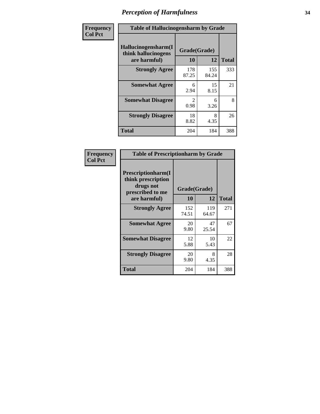| Frequency | <b>Table of Hallucinogensharm by Grade</b>                 |                       |              |              |
|-----------|------------------------------------------------------------|-----------------------|--------------|--------------|
| Col Pct   | Hallucinogensharm(I<br>think hallucinogens<br>are harmful) | Grade(Grade)<br>10    | 12           | <b>Total</b> |
|           | <b>Strongly Agree</b>                                      | 178<br>87.25          | 155<br>84.24 | 333          |
|           | <b>Somewhat Agree</b>                                      | 6<br>2.94             | 15<br>8.15   | 21           |
|           | <b>Somewhat Disagree</b>                                   | $\mathcal{L}$<br>0.98 | 6<br>3.26    | 8            |
|           | <b>Strongly Disagree</b>                                   | 18<br>8.82            | 8<br>4.35    | 26           |
|           | <b>Total</b>                                               | 204                   | 184          | 388          |

| <b>Table of Prescriptionharm by Grade</b>                                         |              |              |              |  |  |
|-----------------------------------------------------------------------------------|--------------|--------------|--------------|--|--|
| <b>Prescriptionharm(I)</b><br>think prescription<br>drugs not<br>prescribed to me | Grade(Grade) |              |              |  |  |
| are harmful)                                                                      | 10           | 12           | <b>Total</b> |  |  |
| <b>Strongly Agree</b>                                                             | 152<br>74.51 | 119<br>64.67 | 271          |  |  |
| <b>Somewhat Agree</b>                                                             | 20<br>9.80   | 47<br>25.54  | 67           |  |  |
| <b>Somewhat Disagree</b>                                                          | 12<br>5.88   | 10<br>5.43   | 22           |  |  |
| <b>Strongly Disagree</b>                                                          | 20<br>9.80   | 8<br>4.35    | 28           |  |  |
| Total                                                                             | 204          | 184          | 388          |  |  |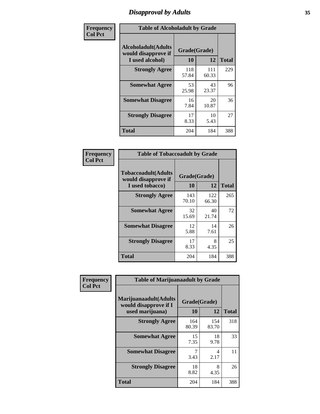# *Disapproval by Adults* **35**

| Frequency      | <b>Table of Alcoholadult by Grade</b>                                 |                    |              |              |
|----------------|-----------------------------------------------------------------------|--------------------|--------------|--------------|
| <b>Col Pct</b> | <b>Alcoholadult</b> (Adults<br>would disapprove if<br>I used alcohol) | Grade(Grade)<br>10 | 12           | <b>Total</b> |
|                | <b>Strongly Agree</b>                                                 | 118<br>57.84       | 111<br>60.33 | 229          |
|                | <b>Somewhat Agree</b>                                                 | 53<br>25.98        | 43<br>23.37  | 96           |
|                | <b>Somewhat Disagree</b>                                              | 16<br>7.84         | 20<br>10.87  | 36           |
|                | <b>Strongly Disagree</b>                                              | 17<br>8.33         | 10<br>5.43   | 27           |
|                | <b>Total</b>                                                          | 204                | 184          | 388          |

| <b>Table of Tobaccoadult by Grade</b>                                 |              |              |     |  |  |
|-----------------------------------------------------------------------|--------------|--------------|-----|--|--|
| <b>Tobaccoadult</b> (Adults<br>would disapprove if<br>I used tobacco) | <b>Total</b> |              |     |  |  |
| <b>Strongly Agree</b>                                                 | 143<br>70.10 | 122<br>66.30 | 265 |  |  |
| <b>Somewhat Agree</b>                                                 | 32<br>15.69  | 40<br>21.74  | 72  |  |  |
| <b>Somewhat Disagree</b>                                              | 12<br>5.88   | 14<br>7.61   | 26  |  |  |
| <b>Strongly Disagree</b>                                              | 17<br>8.33   | 8<br>4.35    | 25  |  |  |
| Total                                                                 | 204          | 184          | 388 |  |  |

| Frequency      | <b>Table of Marijuanaadult by Grade</b>                           |                    |              |              |
|----------------|-------------------------------------------------------------------|--------------------|--------------|--------------|
| <b>Col Pct</b> | Marijuanaadult(Adults<br>would disapprove if I<br>used marijuana) | Grade(Grade)<br>10 | 12           | <b>Total</b> |
|                | <b>Strongly Agree</b>                                             | 164<br>80.39       | 154<br>83.70 | 318          |
|                | <b>Somewhat Agree</b>                                             | 15<br>7.35         | 18<br>9.78   | 33           |
|                | <b>Somewhat Disagree</b>                                          | 7<br>3.43          | 4<br>2.17    | 11           |
|                | <b>Strongly Disagree</b>                                          | 18<br>8.82         | 8<br>4.35    | 26           |
|                | <b>Total</b>                                                      | 204                | 184          | 388          |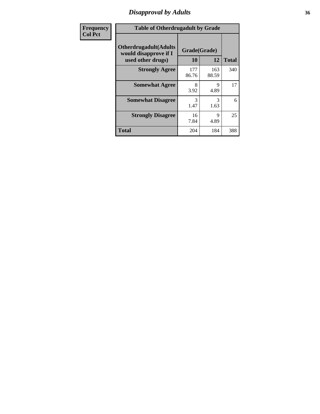# *Disapproval by Adults* **36**

| Frequency      | <b>Table of Otherdrugadult by Grade</b>                                     |                    |              |              |
|----------------|-----------------------------------------------------------------------------|--------------------|--------------|--------------|
| <b>Col Pct</b> | <b>Otherdrugadult</b> (Adults<br>would disapprove if I<br>used other drugs) | Grade(Grade)<br>10 | 12           | <b>Total</b> |
|                | <b>Strongly Agree</b>                                                       | 177<br>86.76       | 163<br>88.59 | 340          |
|                | <b>Somewhat Agree</b>                                                       | 8<br>3.92          | 9<br>4.89    | 17           |
|                | <b>Somewhat Disagree</b>                                                    | 3<br>1.47          | 3<br>1.63    | 6            |
|                | <b>Strongly Disagree</b>                                                    | 16<br>7.84         | 9<br>4.89    | 25           |
|                | <b>Total</b>                                                                | 204                | 184          | 388          |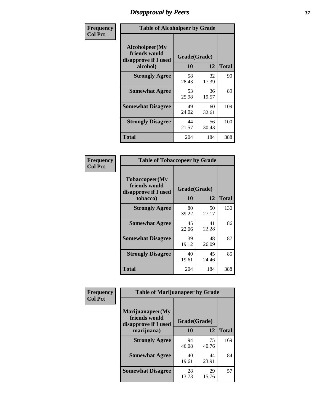# *Disapproval by Peers* **37**

| Frequency      | <b>Table of Alcoholpeer by Grade</b>                    |              |             |              |  |
|----------------|---------------------------------------------------------|--------------|-------------|--------------|--|
| <b>Col Pct</b> | Alcoholpeer(My<br>friends would<br>disapprove if I used | Grade(Grade) |             |              |  |
|                | alcohol)                                                | 10           | 12          | <b>Total</b> |  |
|                | <b>Strongly Agree</b>                                   | 58<br>28.43  | 32<br>17.39 | 90           |  |
|                | <b>Somewhat Agree</b>                                   | 53<br>25.98  | 36<br>19.57 | 89           |  |
|                | <b>Somewhat Disagree</b>                                | 49<br>24.02  | 60<br>32.61 | 109          |  |
|                | <b>Strongly Disagree</b>                                | 44<br>21.57  | 56<br>30.43 | 100          |  |
|                | Total                                                   | 204          | 184         | 388          |  |

| Frequency      | <b>Table of Tobaccopeer by Grade</b>                                |                    |             |              |
|----------------|---------------------------------------------------------------------|--------------------|-------------|--------------|
| <b>Col Pct</b> | Tobaccopeer(My<br>friends would<br>disapprove if I used<br>tobacco) | Grade(Grade)<br>10 | 12          | <b>Total</b> |
|                | <b>Strongly Agree</b>                                               | 80<br>39.22        | 50<br>27.17 | 130          |
|                | <b>Somewhat Agree</b>                                               | 45<br>22.06        | 41<br>22.28 | 86           |
|                | <b>Somewhat Disagree</b>                                            | 39<br>19.12        | 48<br>26.09 | 87           |
|                | <b>Strongly Disagree</b>                                            | 40<br>19.61        | 45<br>24.46 | 85           |
|                | <b>Total</b>                                                        | 204                | 184         | 388          |

| Frequency      | <b>Table of Marijuanapeer by Grade</b>                    |              |             |              |
|----------------|-----------------------------------------------------------|--------------|-------------|--------------|
| <b>Col Pct</b> | Marijuanapeer(My<br>friends would<br>disapprove if I used | Grade(Grade) |             |              |
|                | marijuana)                                                | 10           | 12          | <b>Total</b> |
|                | <b>Strongly Agree</b>                                     | 94<br>46.08  | 75<br>40.76 | 169          |
|                | <b>Somewhat Agree</b>                                     | 40<br>19.61  | 44<br>23.91 | 84           |
|                | <b>Somewhat Disagree</b>                                  | 28<br>13.73  | 29<br>15.76 | 57           |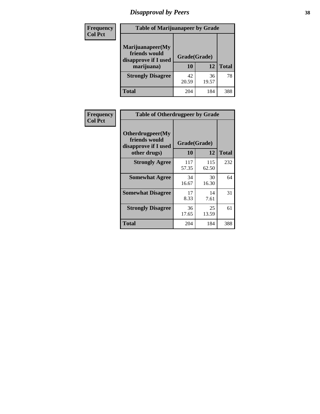# *Disapproval by Peers* **38**

| <b>Frequency</b> | <b>Table of Marijuanapeer by Grade</b>                                  |                    |             |              |  |
|------------------|-------------------------------------------------------------------------|--------------------|-------------|--------------|--|
| <b>Col Pct</b>   | Marijuanapeer(My<br>friends would<br>disapprove if I used<br>marijuana) | Grade(Grade)<br>10 | 12          | <b>Total</b> |  |
|                  | <b>Strongly Disagree</b>                                                | 42<br>20.59        | 36<br>19.57 | 78           |  |
|                  | <b>Total</b>                                                            | 204                | 184         | 388          |  |

| Frequency      | <b>Table of Otherdrugpeer by Grade</b>                                    |                           |              |              |
|----------------|---------------------------------------------------------------------------|---------------------------|--------------|--------------|
| <b>Col Pct</b> | Otherdrugpeer(My<br>friends would<br>disapprove if I used<br>other drugs) | Grade(Grade)<br><b>10</b> | 12           | <b>Total</b> |
|                | <b>Strongly Agree</b>                                                     | 117<br>57.35              | 115<br>62.50 | 232          |
|                | <b>Somewhat Agree</b>                                                     | 34<br>16.67               | 30<br>16.30  | 64           |
|                | <b>Somewhat Disagree</b>                                                  | 17<br>8.33                | 14<br>7.61   | 31           |
|                | <b>Strongly Disagree</b>                                                  | 36<br>17.65               | 25<br>13.59  | 61           |
|                | <b>Total</b>                                                              | 204                       | 184          | 388          |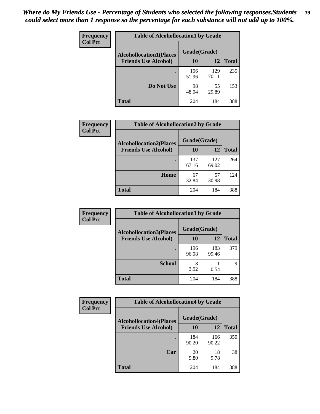| Frequency      | <b>Table of Alcohollocation1 by Grade</b> |              |              |              |
|----------------|-------------------------------------------|--------------|--------------|--------------|
| <b>Col Pct</b> | <b>Alcohollocation1(Places</b>            | Grade(Grade) |              |              |
|                | <b>Friends Use Alcohol)</b>               | 10           | 12           | <b>Total</b> |
|                |                                           | 106<br>51.96 | 129<br>70.11 | 235          |
|                | Do Not Use                                | 98<br>48.04  | 55<br>29.89  | 153          |
|                | <b>Total</b>                              | 204          | 184          | 388          |

| Frequency      | <b>Table of Alcohollocation2 by Grade</b>                     |                    |              |              |
|----------------|---------------------------------------------------------------|--------------------|--------------|--------------|
| <b>Col Pct</b> | <b>Alcohollocation2(Places</b><br><b>Friends Use Alcohol)</b> | Grade(Grade)<br>10 | <b>12</b>    | <b>Total</b> |
|                |                                                               | 137<br>67.16       | 127<br>69.02 | 264          |
|                | Home                                                          | 67<br>32.84        | 57<br>30.98  | 124          |
|                | <b>Total</b>                                                  | 204                | 184          | 388          |

| Frequency<br><b>Col Pct</b> | <b>Table of Alcohollocation 3 by Grade</b> |              |              |              |
|-----------------------------|--------------------------------------------|--------------|--------------|--------------|
|                             | <b>Alcohollocation3(Places</b>             | Grade(Grade) |              |              |
|                             | <b>Friends Use Alcohol)</b>                | 10           | 12           | <b>Total</b> |
|                             |                                            | 196<br>96.08 | 183<br>99.46 | 379          |
|                             | <b>School</b>                              | 8<br>3.92    | 0.54         | Q            |
|                             | <b>Total</b>                               | 204          | 184          | 388          |

| Frequency      | <b>Table of Alcohollocation4 by Grade</b> |              |              |              |
|----------------|-------------------------------------------|--------------|--------------|--------------|
| <b>Col Pct</b> | <b>Alcohollocation4(Places</b>            | Grade(Grade) |              |              |
|                | <b>Friends Use Alcohol)</b>               | 10           | 12           | <b>Total</b> |
|                |                                           | 184<br>90.20 | 166<br>90.22 | 350          |
|                | Car                                       | 20<br>9.80   | 18<br>9.78   | 38           |
|                | <b>Total</b>                              | 204          | 184          | 388          |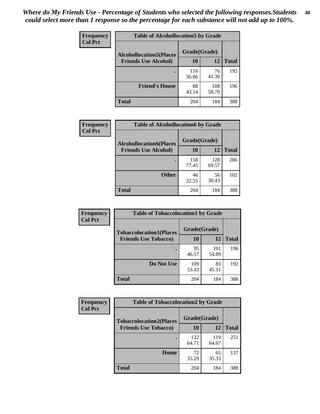| Frequency<br><b>Col Pct</b> | <b>Table of Alcohollocation5 by Grade</b> |              |              |              |  |
|-----------------------------|-------------------------------------------|--------------|--------------|--------------|--|
|                             | <b>Alcohollocation5(Places</b>            | Grade(Grade) |              |              |  |
|                             | <b>Friends Use Alcohol)</b>               | 10           | 12           | <b>Total</b> |  |
|                             |                                           | 116<br>56.86 | 76<br>41.30  | 192          |  |
|                             | <b>Friend's House</b>                     | 88<br>43.14  | 108<br>58.70 | 196          |  |
|                             | <b>Total</b>                              | 204          | 184          | 388          |  |

| Frequency      | <b>Table of Alcohollocation6 by Grade</b>                     |                    |              |              |
|----------------|---------------------------------------------------------------|--------------------|--------------|--------------|
| <b>Col Pct</b> | <b>Alcohollocation6(Places</b><br><b>Friends Use Alcohol)</b> | Grade(Grade)<br>10 | 12           | <b>Total</b> |
|                |                                                               | 158<br>77.45       | 128<br>69.57 | 286          |
|                | <b>Other</b>                                                  | 46<br>22.55        | 56<br>30.43  | 102          |
|                | Total                                                         | 204                | 184          | 388          |

| Frequency      | <b>Table of Tobaccolocation1 by Grade</b> |              |              |              |
|----------------|-------------------------------------------|--------------|--------------|--------------|
| <b>Col Pct</b> | <b>Tobaccolocation1(Places</b>            | Grade(Grade) |              |              |
|                | <b>Friends Use Tobacco)</b>               | 10           | <b>12</b>    | <b>Total</b> |
|                |                                           | 95<br>46.57  | 101<br>54.89 | 196          |
|                | <b>Do Not Use</b>                         | 109<br>53.43 | 83<br>45.11  | 192          |
|                | <b>Total</b>                              | 204          | 184          | 388          |

| <b>Frequency</b> | <b>Table of Tobaccolocation2 by Grade</b> |              |              |              |
|------------------|-------------------------------------------|--------------|--------------|--------------|
| <b>Col Pct</b>   | <b>Tobaccolocation2(Places</b>            | Grade(Grade) |              |              |
|                  | <b>Friends Use Tobacco)</b>               | 10           | 12           | <b>Total</b> |
|                  |                                           | 132<br>64.71 | 119<br>64.67 | 251          |
|                  | Home                                      | 72<br>35.29  | 65<br>35.33  | 137          |
|                  | <b>Total</b>                              | 204          | 184          | 388          |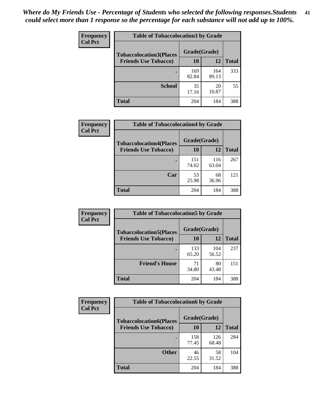| Frequency      | <b>Table of Tobaccolocation 3 by Grade</b> |              |              |              |
|----------------|--------------------------------------------|--------------|--------------|--------------|
| <b>Col Pct</b> | <b>Tobaccolocation3(Places</b>             | Grade(Grade) |              |              |
|                | <b>Friends Use Tobacco)</b>                | 10           | 12           | <b>Total</b> |
|                |                                            | 169<br>82.84 | 164<br>89.13 | 333          |
|                | <b>School</b>                              | 35<br>17.16  | 20<br>10.87  | 55           |
|                | <b>Total</b>                               | 204          | 184          | 388          |

| <b>Frequency</b> | <b>Table of Tobaccolocation4 by Grade</b> |              |              |              |
|------------------|-------------------------------------------|--------------|--------------|--------------|
| <b>Col Pct</b>   | <b>Tobaccolocation4(Places</b>            | Grade(Grade) |              |              |
|                  | <b>Friends Use Tobacco)</b>               | 10           | 12           | <b>Total</b> |
|                  |                                           | 151<br>74.02 | 116<br>63.04 | 267          |
|                  | Car                                       | 53<br>25.98  | 68<br>36.96  | 121          |
|                  | Total                                     | 204          | 184          | 388          |

| Frequency      | <b>Table of Tobaccolocation5 by Grade</b> |              |              |              |
|----------------|-------------------------------------------|--------------|--------------|--------------|
| <b>Col Pct</b> | <b>Tobaccolocation5(Places</b>            | Grade(Grade) |              |              |
|                | <b>Friends Use Tobacco)</b>               | 10           | 12           | <b>Total</b> |
|                |                                           | 133<br>65.20 | 104<br>56.52 | 237          |
|                | <b>Friend's House</b>                     | 71<br>34.80  | 80<br>43.48  | 151          |
|                | <b>Total</b>                              | 204          | 184          | 388          |

| <b>Frequency</b> | <b>Table of Tobaccolocation6 by Grade</b> |              |              |              |  |
|------------------|-------------------------------------------|--------------|--------------|--------------|--|
| <b>Col Pct</b>   | <b>Tobaccolocation6(Places</b>            | Grade(Grade) |              |              |  |
|                  | <b>Friends Use Tobacco)</b>               | 10           | 12           | <b>Total</b> |  |
|                  |                                           | 158<br>77.45 | 126<br>68.48 | 284          |  |
|                  | <b>Other</b>                              | 46<br>22.55  | 58<br>31.52  | 104          |  |
|                  | <b>Total</b>                              | 204          | 184          | 388          |  |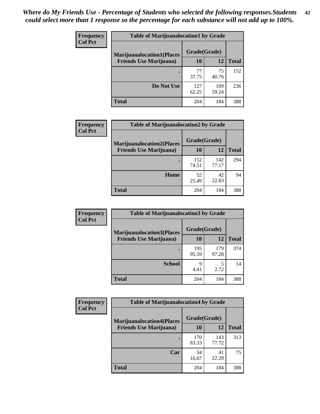| <b>Frequency</b> | <b>Table of Marijuanalocation1 by Grade</b> |              |              |              |
|------------------|---------------------------------------------|--------------|--------------|--------------|
| <b>Col Pct</b>   | <b>Marijuanalocation1(Places</b>            | Grade(Grade) |              |              |
|                  | <b>Friends Use Marijuana</b> )              | 10           | 12           | <b>Total</b> |
|                  |                                             | 77<br>37.75  | 75<br>40.76  | 152          |
|                  | Do Not Use                                  | 127<br>62.25 | 109<br>59.24 | 236          |
|                  | <b>Total</b>                                | 204          | 184          | 388          |

| <b>Frequency</b> | <b>Table of Marijuanalocation2 by Grade</b>                        |                    |              |              |
|------------------|--------------------------------------------------------------------|--------------------|--------------|--------------|
| <b>Col Pct</b>   | <b>Marijuanalocation2(Places</b><br><b>Friends Use Marijuana</b> ) | Grade(Grade)<br>10 | 12           | <b>Total</b> |
|                  |                                                                    | 152<br>74.51       | 142<br>77.17 | 294          |
|                  | Home                                                               | 52<br>25.49        | 42<br>22.83  | 94           |
|                  | <b>Total</b>                                                       | 204                | 184          | 388          |

| Frequency<br><b>Col Pct</b> | <b>Table of Marijuanalocation3 by Grade</b> |              |              |              |
|-----------------------------|---------------------------------------------|--------------|--------------|--------------|
|                             | <b>Marijuanalocation3</b> (Places           | Grade(Grade) |              |              |
|                             | <b>Friends Use Marijuana</b> )              | <b>10</b>    | 12           | <b>Total</b> |
|                             |                                             | 195<br>95.59 | 179<br>97.28 | 374          |
|                             | <b>School</b>                               | 9<br>4.41    | 2.72         | 14           |
|                             | <b>Total</b>                                | 204          | 184          | 388          |

| <b>Frequency</b> | <b>Table of Marijuanalocation4 by Grade</b> |              |              |              |  |
|------------------|---------------------------------------------|--------------|--------------|--------------|--|
| <b>Col Pct</b>   | <b>Marijuanalocation4(Places</b>            | Grade(Grade) |              |              |  |
|                  | <b>Friends Use Marijuana</b> )              | <b>10</b>    | 12           | <b>Total</b> |  |
|                  |                                             | 170<br>83.33 | 143<br>77.72 | 313          |  |
|                  | Car                                         | 34<br>16.67  | 41<br>22.28  | 75           |  |
|                  | <b>Total</b>                                | 204          | 184          | 388          |  |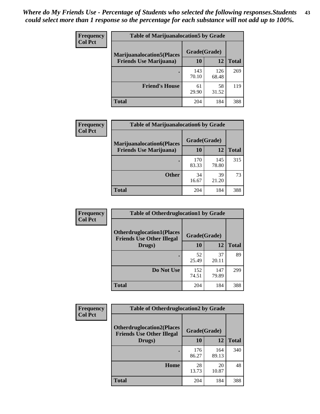| <b>Frequency</b> | <b>Table of Marijuanalocation5 by Grade</b> |              |              |              |
|------------------|---------------------------------------------|--------------|--------------|--------------|
| <b>Col Pct</b>   | <b>Marijuanalocation5</b> (Places           | Grade(Grade) |              |              |
|                  | <b>Friends Use Marijuana</b> )              | 10           | 12           | <b>Total</b> |
|                  |                                             | 143<br>70.10 | 126<br>68.48 | 269          |
|                  | <b>Friend's House</b>                       | 61<br>29.90  | 58<br>31.52  | 119          |
|                  | <b>Total</b>                                | 204          | 184          | 388          |

| <b>Frequency</b> | <b>Table of Marijuanalocation6 by Grade</b>                        |                    |              |              |
|------------------|--------------------------------------------------------------------|--------------------|--------------|--------------|
| <b>Col Pct</b>   | <b>Marijuanalocation6(Places</b><br><b>Friends Use Marijuana</b> ) | Grade(Grade)<br>10 | 12           | <b>Total</b> |
|                  |                                                                    | 170<br>83.33       | 145<br>78.80 | 315          |
|                  | <b>Other</b>                                                       | 34<br>16.67        | 39<br>21.20  | 73           |
|                  | <b>Total</b>                                                       | 204                | 184          | 388          |

| Frequency      | <b>Table of Otherdruglocation1 by Grade</b>                          |              |              |              |
|----------------|----------------------------------------------------------------------|--------------|--------------|--------------|
| <b>Col Pct</b> | <b>Otherdruglocation1(Places</b><br><b>Friends Use Other Illegal</b> | Grade(Grade) |              |              |
|                | Drugs)                                                               | 10           | 12           | <b>Total</b> |
|                |                                                                      | 52<br>25.49  | 37<br>20.11  | 89           |
|                | Do Not Use                                                           | 152<br>74.51 | 147<br>79.89 | 299          |
|                | <b>Total</b>                                                         | 204          | 184          | 388          |

| <b>Frequency</b> | <b>Table of Otherdruglocation2 by Grade</b>                          |              |              |              |
|------------------|----------------------------------------------------------------------|--------------|--------------|--------------|
| <b>Col Pct</b>   | <b>Otherdruglocation2(Places</b><br><b>Friends Use Other Illegal</b> | Grade(Grade) |              |              |
|                  | Drugs)                                                               | 10           | 12           | <b>Total</b> |
|                  |                                                                      | 176<br>86.27 | 164<br>89.13 | 340          |
|                  | Home                                                                 | 28<br>13.73  | 20<br>10.87  | 48           |
|                  | <b>Total</b>                                                         | 204          | 184          | 388          |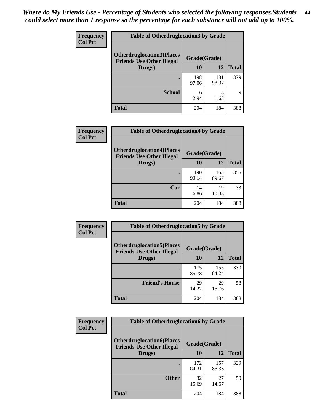| <b>Frequency</b> | <b>Table of Otherdruglocation3 by Grade</b>                           |              |              |              |
|------------------|-----------------------------------------------------------------------|--------------|--------------|--------------|
| <b>Col Pct</b>   | <b>Otherdruglocation3(Places)</b><br><b>Friends Use Other Illegal</b> | Grade(Grade) |              |              |
|                  | Drugs)                                                                | 10           | 12           | <b>Total</b> |
|                  |                                                                       | 198<br>97.06 | 181<br>98.37 | 379          |
|                  | <b>School</b>                                                         | 6<br>2.94    | 3<br>1.63    | 9            |
|                  | <b>Total</b>                                                          | 204          | 184          | 388          |

| Frequency      | <b>Table of Otherdruglocation4 by Grade</b>                          |              |              |              |
|----------------|----------------------------------------------------------------------|--------------|--------------|--------------|
| <b>Col Pct</b> | <b>Otherdruglocation4(Places</b><br><b>Friends Use Other Illegal</b> | Grade(Grade) |              |              |
|                | Drugs)                                                               | 10           | 12           | <b>Total</b> |
|                |                                                                      | 190<br>93.14 | 165<br>89.67 | 355          |
|                | Car                                                                  | 14<br>6.86   | 19<br>10.33  | 33           |
|                | <b>Total</b>                                                         | 204          | 184          | 388          |

| <b>Frequency</b> | <b>Table of Otherdruglocation5 by Grade</b>                          |              |              |              |
|------------------|----------------------------------------------------------------------|--------------|--------------|--------------|
| <b>Col Pct</b>   | <b>Otherdruglocation5(Places</b><br><b>Friends Use Other Illegal</b> | Grade(Grade) |              |              |
|                  | Drugs)                                                               | <b>10</b>    | 12           | <b>Total</b> |
|                  |                                                                      | 175<br>85.78 | 155<br>84.24 | 330          |
|                  | <b>Friend's House</b>                                                | 29<br>14.22  | 29<br>15.76  | 58           |
|                  | <b>Total</b>                                                         | 204          | 184          | 388          |

| <b>Frequency</b> | <b>Table of Otherdruglocation6 by Grade</b>                          |              |              |              |
|------------------|----------------------------------------------------------------------|--------------|--------------|--------------|
| <b>Col Pct</b>   | <b>Otherdruglocation6(Places</b><br><b>Friends Use Other Illegal</b> | Grade(Grade) |              |              |
|                  | Drugs)                                                               | <b>10</b>    | 12           | <b>Total</b> |
|                  |                                                                      | 172<br>84.31 | 157<br>85.33 | 329          |
|                  | <b>Other</b>                                                         | 32<br>15.69  | 27<br>14.67  | 59           |
|                  | <b>Total</b>                                                         | 204          | 184          | 388          |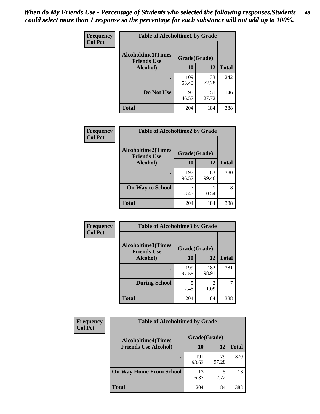| Frequency      | <b>Table of Alcoholtime1 by Grade</b>           |              |              |              |
|----------------|-------------------------------------------------|--------------|--------------|--------------|
| <b>Col Pct</b> | <b>Alcoholtime1(Times</b><br><b>Friends Use</b> | Grade(Grade) |              |              |
|                | Alcohol)                                        | 10           | 12           | <b>Total</b> |
|                |                                                 | 109<br>53.43 | 133<br>72.28 | 242          |
|                | Do Not Use                                      | 95<br>46.57  | 51<br>27.72  | 146          |
|                | <b>Total</b>                                    | 204          | 184          | 388          |

| Frequency      | <b>Table of Alcoholtime2 by Grade</b>           |              |              |              |
|----------------|-------------------------------------------------|--------------|--------------|--------------|
| <b>Col Pct</b> | <b>Alcoholtime2(Times</b><br><b>Friends Use</b> | Grade(Grade) |              |              |
|                | Alcohol)                                        | 10           | 12           | <b>Total</b> |
|                |                                                 | 197<br>96.57 | 183<br>99.46 | 380          |
|                | <b>On Way to School</b>                         | 3.43         | 0.54         | 8            |
|                | <b>Total</b>                                    | 204          | 184          | 388          |

| Frequency<br><b>Col Pct</b> | <b>Table of Alcoholtime3 by Grade</b>           |              |                        |              |
|-----------------------------|-------------------------------------------------|--------------|------------------------|--------------|
|                             | <b>Alcoholtime3(Times</b><br><b>Friends Use</b> | Grade(Grade) |                        |              |
|                             | Alcohol)                                        | 10           | 12                     | <b>Total</b> |
|                             |                                                 | 199<br>97.55 | 182<br>98.91           | 381          |
|                             | <b>During School</b>                            | 5<br>2.45    | $\mathfrak{D}$<br>1.09 |              |
|                             | <b>Total</b>                                    | 204          | 184                    | 388          |

| <b>Frequency</b><br><b>Col Pct</b> | <b>Table of Alcoholtime4 by Grade</b> |              |              |              |
|------------------------------------|---------------------------------------|--------------|--------------|--------------|
|                                    | <b>Alcoholtime4(Times</b>             | Grade(Grade) |              |              |
|                                    | <b>Friends Use Alcohol)</b>           | 10           | 12           | <b>Total</b> |
|                                    |                                       | 191<br>93.63 | 179<br>97.28 | 370          |
|                                    | <b>On Way Home From School</b>        | 13<br>6.37   | 2.72         | 18           |
|                                    | <b>Total</b>                          | 204          | 184          | 388          |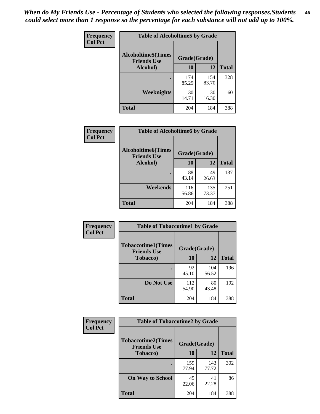*When do My Friends Use - Percentage of Students who selected the following responses.Students could select more than 1 response so the percentage for each substance will not add up to 100%.* **46**

| Frequency      | <b>Table of Alcoholtime5 by Grade</b>           |              |              |              |
|----------------|-------------------------------------------------|--------------|--------------|--------------|
| <b>Col Pct</b> | <b>Alcoholtime5(Times</b><br><b>Friends Use</b> | Grade(Grade) |              |              |
|                | <b>Alcohol</b> )                                | 10           | 12           | <b>Total</b> |
|                |                                                 | 174<br>85.29 | 154<br>83.70 | 328          |
|                | Weeknights                                      | 30<br>14.71  | 30<br>16.30  | 60           |
|                | <b>Total</b>                                    | 204          | 184          | 388          |

| Frequency      | <b>Table of Alcoholtime6 by Grade</b>           |              |              |              |
|----------------|-------------------------------------------------|--------------|--------------|--------------|
| <b>Col Pct</b> | <b>Alcoholtime6(Times</b><br><b>Friends Use</b> | Grade(Grade) |              |              |
|                | Alcohol)                                        | 10           | 12           | <b>Total</b> |
|                |                                                 | 88<br>43.14  | 49<br>26.63  | 137          |
|                | Weekends                                        | 116<br>56.86 | 135<br>73.37 | 251          |
|                | <b>Total</b>                                    | 204          | 184          | 388          |

| Frequency      | <b>Table of Tobaccotime1 by Grade</b>           |              |              |              |
|----------------|-------------------------------------------------|--------------|--------------|--------------|
| <b>Col Pct</b> | <b>Tobaccotime1(Times</b><br><b>Friends Use</b> | Grade(Grade) |              |              |
|                | <b>Tobacco</b> )                                | 10           | 12           | <b>Total</b> |
|                | ٠                                               | 92<br>45.10  | 104<br>56.52 | 196          |
|                | Do Not Use                                      | 112<br>54.90 | 80<br>43.48  | 192          |
|                | <b>Total</b>                                    | 204          | 184          | 388          |

| <b>Frequency</b> | <b>Table of Tobaccotime2 by Grade</b>           |              |              |              |
|------------------|-------------------------------------------------|--------------|--------------|--------------|
| <b>Col Pct</b>   | <b>Tobaccotime2(Times</b><br><b>Friends Use</b> | Grade(Grade) |              |              |
|                  | <b>Tobacco</b> )                                | 10           | 12           | <b>Total</b> |
|                  |                                                 | 159<br>77.94 | 143<br>77.72 | 302          |
|                  | <b>On Way to School</b>                         | 45<br>22.06  | 41<br>22.28  | 86           |
|                  | <b>Total</b>                                    | 204          | 184          | 388          |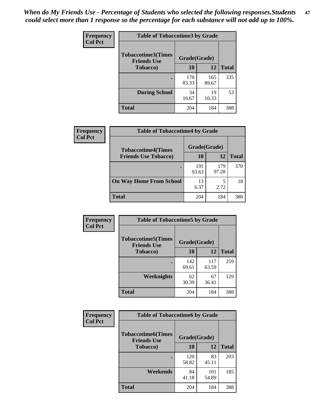*When do My Friends Use - Percentage of Students who selected the following responses.Students could select more than 1 response so the percentage for each substance will not add up to 100%.* **47**

| <b>Frequency</b> | <b>Table of Tobaccotime3 by Grade</b>           |              |              |              |  |
|------------------|-------------------------------------------------|--------------|--------------|--------------|--|
| <b>Col Pct</b>   | <b>Tobaccotime3(Times</b><br><b>Friends Use</b> |              | Grade(Grade) |              |  |
|                  | <b>Tobacco</b> )                                | 10           | 12           | <b>Total</b> |  |
|                  |                                                 | 170<br>83.33 | 165<br>89.67 | 335          |  |
|                  | <b>During School</b>                            | 34<br>16.67  | 19<br>10.33  | 53           |  |
|                  | <b>Total</b>                                    | 204          | 184          | 388          |  |

| <b>Frequency</b><br><b>Col Pct</b> | <b>Table of Tobaccotime4 by Grade</b> |              |              |              |
|------------------------------------|---------------------------------------|--------------|--------------|--------------|
|                                    | <b>Tobaccotime4(Times</b>             | Grade(Grade) |              |              |
|                                    | <b>Friends Use Tobacco)</b>           | 10           | 12           | <b>Total</b> |
|                                    |                                       | 191<br>93.63 | 179<br>97.28 | 370          |
|                                    | <b>On Way Home From School</b>        | 13<br>6.37   | 2.72         | 18           |
|                                    | <b>Total</b>                          | 204          | 184          | 388          |

| <b>Frequency</b> | <b>Table of Tobaccotime5 by Grade</b>            |              |              |              |
|------------------|--------------------------------------------------|--------------|--------------|--------------|
| <b>Col Pct</b>   | <b>Tobaccotime5</b> (Times<br><b>Friends Use</b> | Grade(Grade) |              |              |
|                  | <b>Tobacco</b> )                                 | 10           | 12           | <b>Total</b> |
|                  |                                                  | 142<br>69.61 | 117<br>63.59 | 259          |
|                  | Weeknights                                       | 62<br>30.39  | 67<br>36.41  | 129          |
|                  | <b>Total</b>                                     | 204          | 184          | 388          |

| Frequency<br><b>Col Pct</b> | <b>Table of Tobaccotime6 by Grade</b>           |              |              |              |  |
|-----------------------------|-------------------------------------------------|--------------|--------------|--------------|--|
|                             | <b>Tobaccotime6(Times</b><br><b>Friends Use</b> | Grade(Grade) |              |              |  |
|                             | <b>Tobacco</b> )                                | 10           | 12           | <b>Total</b> |  |
|                             |                                                 | 120<br>58.82 | 83<br>45.11  | 203          |  |
|                             | Weekends                                        | 84<br>41.18  | 101<br>54.89 | 185          |  |
|                             | <b>Total</b>                                    | 204          | 184          | 388          |  |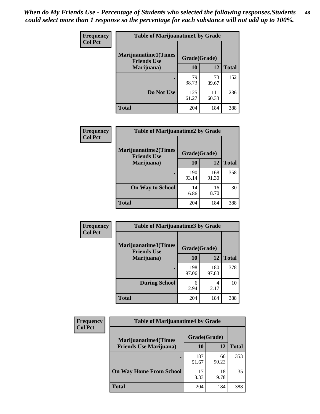| Frequency      | <b>Table of Marijuanatime1 by Grade</b>           |              |              |              |  |
|----------------|---------------------------------------------------|--------------|--------------|--------------|--|
| <b>Col Pct</b> | <b>Marijuanatime1(Times</b><br><b>Friends Use</b> | Grade(Grade) |              |              |  |
|                | Marijuana)                                        | 10           | <b>12</b>    | <b>Total</b> |  |
|                |                                                   | 79<br>38.73  | 73<br>39.67  | 152          |  |
|                | Do Not Use                                        | 125<br>61.27 | 111<br>60.33 | 236          |  |
|                | <b>Total</b>                                      | 204          | 184          | 388          |  |

| Frequency      | <b>Table of Marijuanatime2 by Grade</b>    |              |              |              |
|----------------|--------------------------------------------|--------------|--------------|--------------|
| <b>Col Pct</b> | Marijuanatime2(Times<br><b>Friends Use</b> | Grade(Grade) |              |              |
|                | Marijuana)                                 | 10           | 12           | <b>Total</b> |
|                | ٠                                          | 190<br>93.14 | 168<br>91.30 | 358          |
|                | <b>On Way to School</b>                    | 14<br>6.86   | 16<br>8.70   | 30           |
|                | <b>Total</b>                               | 204          | 184          | 388          |

| Frequency<br><b>Col Pct</b> | <b>Table of Marijuanatime3 by Grade</b>    |              |              |              |
|-----------------------------|--------------------------------------------|--------------|--------------|--------------|
|                             | Marijuanatime3(Times<br><b>Friends Use</b> | Grade(Grade) |              |              |
|                             | Marijuana)                                 | 10           | 12           | <b>Total</b> |
|                             |                                            | 198<br>97.06 | 180<br>97.83 | 378          |
|                             | <b>During School</b>                       | 6<br>2.94    | 4<br>2.17    | 10           |
|                             | <b>Total</b>                               | 204          | 184          | 388          |

| <b>Frequency</b><br><b>Col Pct</b> | <b>Table of Marijuanatime4 by Grade</b> |              |              |              |
|------------------------------------|-----------------------------------------|--------------|--------------|--------------|
|                                    | <b>Marijuanatime4</b> (Times            | Grade(Grade) |              |              |
|                                    | <b>Friends Use Marijuana</b> )          | 10           | 12           | <b>Total</b> |
|                                    |                                         | 187<br>91.67 | 166<br>90.22 | 353          |
|                                    | <b>On Way Home From School</b>          | 17<br>8.33   | 18<br>9.78   | 35           |
|                                    | <b>Total</b>                            | 204          | 184          | 388          |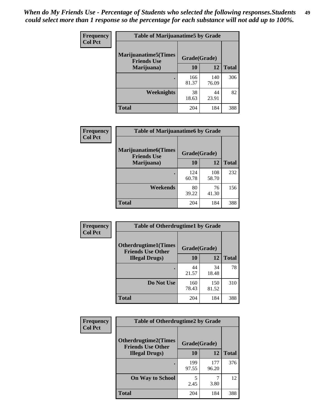| Frequency      | <b>Table of Marijuanatime5 by Grade</b>            |              |              |              |  |
|----------------|----------------------------------------------------|--------------|--------------|--------------|--|
| <b>Col Pct</b> | <b>Marijuanatime5</b> (Times<br><b>Friends Use</b> | Grade(Grade) |              |              |  |
|                | Marijuana)                                         | 10           | <b>12</b>    | <b>Total</b> |  |
|                |                                                    | 166<br>81.37 | 140<br>76.09 | 306          |  |
|                | Weeknights                                         | 38<br>18.63  | 44<br>23.91  | 82           |  |
|                | <b>Total</b>                                       | 204          | 184          | 388          |  |

| Frequency      | <b>Table of Marijuanatime6 by Grade</b>    |              |              |              |
|----------------|--------------------------------------------|--------------|--------------|--------------|
| <b>Col Pct</b> | Marijuanatime6(Times<br><b>Friends Use</b> | Grade(Grade) |              |              |
|                | Marijuana)                                 | 10           | 12           | <b>Total</b> |
|                |                                            | 124<br>60.78 | 108<br>58.70 | 232          |
|                | Weekends                                   | 80<br>39.22  | 76<br>41.30  | 156          |
|                | <b>Total</b>                               | 204          | 184          | 388          |

| Frequency      | <b>Table of Otherdrugtime1 by Grade</b>                 |              |              |              |
|----------------|---------------------------------------------------------|--------------|--------------|--------------|
| <b>Col Pct</b> | <b>Otherdrugtime1(Times</b><br><b>Friends Use Other</b> | Grade(Grade) |              |              |
|                | <b>Illegal Drugs</b> )                                  | 10           | 12           | <b>Total</b> |
|                |                                                         | 44<br>21.57  | 34<br>18.48  | 78           |
|                | Do Not Use                                              | 160<br>78.43 | 150<br>81.52 | 310          |
|                | Total                                                   | 204          | 184          | 388          |

| <b>Frequency</b> | <b>Table of Otherdrugtime2 by Grade</b>                 |              |              |              |  |  |
|------------------|---------------------------------------------------------|--------------|--------------|--------------|--|--|
| <b>Col Pct</b>   | <b>Otherdrugtime2(Times</b><br><b>Friends Use Other</b> | Grade(Grade) |              |              |  |  |
|                  | <b>Illegal Drugs</b> )                                  | 10           | 12           | <b>Total</b> |  |  |
|                  |                                                         | 199<br>97.55 | 177<br>96.20 | 376          |  |  |
|                  | <b>On Way to School</b>                                 | 2.45         | 3.80         | 12           |  |  |
|                  | Total                                                   | 204          | 184          | 388          |  |  |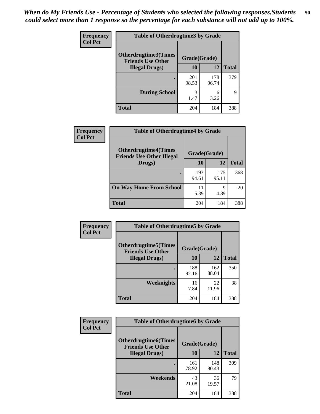| <b>Frequency</b><br><b>Col Pct</b> | <b>Table of Otherdrugtime3 by Grade</b>                 |              |              |              |  |  |
|------------------------------------|---------------------------------------------------------|--------------|--------------|--------------|--|--|
|                                    | <b>Otherdrugtime3(Times</b><br><b>Friends Use Other</b> | Grade(Grade) |              |              |  |  |
|                                    | <b>Illegal Drugs</b> )                                  | 10           | 12           | <b>Total</b> |  |  |
|                                    |                                                         | 201<br>98.53 | 178<br>96.74 | 379          |  |  |
|                                    | <b>During School</b>                                    | 3<br>1.47    | 6<br>3.26    | 9            |  |  |
|                                    | Total                                                   | 204          | 184          | 388          |  |  |

| <b>Frequency</b> | <b>Table of Otherdrugtime4 by Grade</b>                         |              |              |              |  |  |  |
|------------------|-----------------------------------------------------------------|--------------|--------------|--------------|--|--|--|
| <b>Col Pct</b>   | <b>Otherdrugtime4(Times</b><br><b>Friends Use Other Illegal</b> | Grade(Grade) |              |              |  |  |  |
|                  | Drugs)                                                          | 10           | 12           | <b>Total</b> |  |  |  |
|                  | $\bullet$                                                       | 193<br>94.61 | 175<br>95.11 | 368          |  |  |  |
|                  | <b>On Way Home From School</b>                                  | 11<br>5.39   | Q<br>4.89    | 20           |  |  |  |
|                  | <b>Total</b>                                                    | 204          | 184          | 388          |  |  |  |

| <b>Frequency</b> | <b>Table of Otherdrugtime5 by Grade</b>                  |              |              |              |  |  |  |
|------------------|----------------------------------------------------------|--------------|--------------|--------------|--|--|--|
| <b>Col Pct</b>   | <b>Otherdrugtime5</b> (Times<br><b>Friends Use Other</b> | Grade(Grade) |              |              |  |  |  |
|                  | <b>Illegal Drugs</b> )                                   | 10           | 12           | <b>Total</b> |  |  |  |
|                  |                                                          | 188<br>92.16 | 162<br>88.04 | 350          |  |  |  |
|                  | Weeknights                                               | 16<br>7.84   | 22<br>11.96  | 38           |  |  |  |
|                  | Total                                                    | 204          | 184          | 388          |  |  |  |

| <b>Frequency</b><br><b>Col Pct</b> | <b>Table of Otherdrugtime6 by Grade</b>                 |              |              |              |  |  |
|------------------------------------|---------------------------------------------------------|--------------|--------------|--------------|--|--|
|                                    | <b>Otherdrugtime6(Times</b><br><b>Friends Use Other</b> | Grade(Grade) |              |              |  |  |
|                                    | <b>Illegal Drugs</b> )                                  | 10           | 12           | <b>Total</b> |  |  |
|                                    |                                                         | 161<br>78.92 | 148<br>80.43 | 309          |  |  |
|                                    | Weekends                                                | 43<br>21.08  | 36<br>19.57  | 79           |  |  |
|                                    | <b>Total</b>                                            | 204          | 184          | 388          |  |  |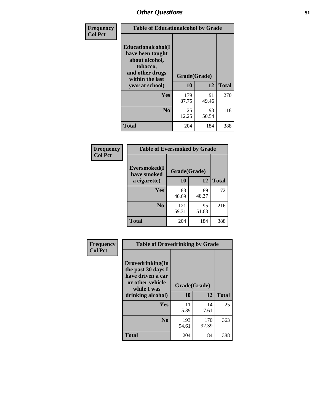| Frequency      | <b>Table of Educationalcohol by Grade</b>                                                                  |              |             |              |  |  |
|----------------|------------------------------------------------------------------------------------------------------------|--------------|-------------|--------------|--|--|
| <b>Col Pct</b> | Educationalcohol(I<br>have been taught<br>about alcohol,<br>tobacco,<br>and other drugs<br>within the last | Grade(Grade) |             |              |  |  |
|                | year at school)                                                                                            | 10           | 12          | <b>Total</b> |  |  |
|                | <b>Yes</b>                                                                                                 | 179<br>87.75 | 91<br>49.46 | 270          |  |  |
|                | N <sub>0</sub>                                                                                             | 25<br>12.25  | 93<br>50.54 | 118          |  |  |
|                | <b>Total</b>                                                                                               | 204          | 184         | 388          |  |  |

| Frequency      | <b>Table of Eversmoked by Grade</b> |              |             |              |  |  |  |
|----------------|-------------------------------------|--------------|-------------|--------------|--|--|--|
| <b>Col Pct</b> | Eversmoked(I<br>have smoked         | Grade(Grade) |             |              |  |  |  |
|                | a cigarette)                        | 10           | 12          | <b>Total</b> |  |  |  |
|                | <b>Yes</b>                          | 83<br>40.69  | 89<br>48.37 | 172          |  |  |  |
|                | N <sub>0</sub>                      | 121<br>59.31 | 95<br>51.63 | 216          |  |  |  |
|                | <b>Total</b>                        | 204          | 184         | 388          |  |  |  |

| Frequency      | <b>Table of Drovedrinking by Grade</b>                                                                              |                    |              |     |  |  |
|----------------|---------------------------------------------------------------------------------------------------------------------|--------------------|--------------|-----|--|--|
| <b>Col Pct</b> | Drovedrinking(In<br>the past 30 days I<br>have driven a car<br>or other vehicle<br>while I was<br>drinking alcohol) | Grade(Grade)<br>10 | <b>Total</b> |     |  |  |
|                | <b>Yes</b>                                                                                                          | 11<br>5.39         | 14<br>7.61   | 25  |  |  |
|                | N <sub>0</sub>                                                                                                      | 193<br>94.61       | 170<br>92.39 | 363 |  |  |
|                | <b>Total</b>                                                                                                        | 204                | 184          | 388 |  |  |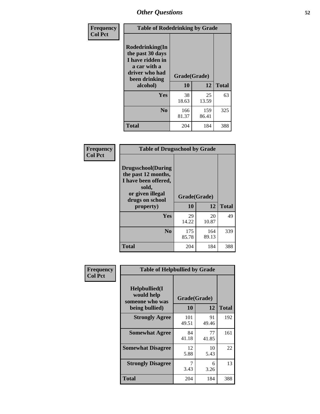| Frequency      | <b>Table of Rodedrinking by Grade</b>                                                                      |                    |              |     |  |  |
|----------------|------------------------------------------------------------------------------------------------------------|--------------------|--------------|-----|--|--|
| <b>Col Pct</b> | Rodedrinking(In<br>the past 30 days<br>I have ridden in<br>a car with a<br>driver who had<br>been drinking | Grade(Grade)<br>10 | <b>Total</b> |     |  |  |
|                | alcohol)                                                                                                   |                    | 12           |     |  |  |
|                | <b>Yes</b>                                                                                                 | 38<br>18.63        | 25<br>13.59  | 63  |  |  |
|                | N <sub>0</sub>                                                                                             | 166<br>81.37       | 159<br>86.41 | 325 |  |  |
|                | <b>Total</b>                                                                                               | 204                | 184          | 388 |  |  |

#### **Frequency Col Pct**

| <b>Table of Drugsschool by Grade</b>                                                                                      |              |              |              |  |  |  |
|---------------------------------------------------------------------------------------------------------------------------|--------------|--------------|--------------|--|--|--|
| <b>Drugsschool</b> (During<br>the past 12 months,<br>I have been offered,<br>sold,<br>or given illegal<br>drugs on school | Grade(Grade) |              |              |  |  |  |
| property)                                                                                                                 | 10           | 12           | <b>Total</b> |  |  |  |
| Yes                                                                                                                       | 29<br>14.22  | 20<br>10.87  | 49           |  |  |  |
| N <sub>0</sub>                                                                                                            | 175<br>85.78 | 164<br>89.13 | 339          |  |  |  |
| <b>Total</b>                                                                                                              | 204          | 184          | 388          |  |  |  |

| Frequency      | <b>Table of Helpbullied by Grade</b>                 |              |             |              |  |  |  |  |  |
|----------------|------------------------------------------------------|--------------|-------------|--------------|--|--|--|--|--|
| <b>Col Pct</b> | $Helpb$ ullied $(I$<br>would help<br>someone who was | Grade(Grade) |             |              |  |  |  |  |  |
|                | being bullied)                                       | 10           | 12          | <b>Total</b> |  |  |  |  |  |
|                | <b>Strongly Agree</b>                                | 101<br>49.51 | 91<br>49.46 | 192          |  |  |  |  |  |
|                | <b>Somewhat Agree</b>                                | 84<br>41.18  | 77<br>41.85 | 161          |  |  |  |  |  |
|                | <b>Somewhat Disagree</b>                             | 12<br>5.88   | 10<br>5.43  | 22           |  |  |  |  |  |
|                | <b>Strongly Disagree</b>                             | 3.43         | 6<br>3.26   | 13           |  |  |  |  |  |
|                | <b>Total</b>                                         | 204          | 184         | 388          |  |  |  |  |  |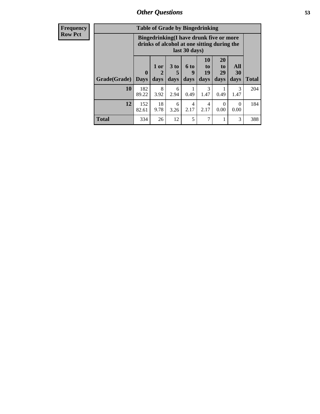| <b>Frequency</b> |              | <b>Table of Grade by Bingedrinking</b>                                                                         |                   |                              |                          |                        |                               |                          |              |
|------------------|--------------|----------------------------------------------------------------------------------------------------------------|-------------------|------------------------------|--------------------------|------------------------|-------------------------------|--------------------------|--------------|
| <b>Row Pct</b>   |              | <b>Bingedrinking(I have drunk five or more</b><br>drinks of alcohol at one sitting during the<br>last 30 days) |                   |                              |                          |                        |                               |                          |              |
|                  | Grade(Grade) | $\mathbf{0}$<br><b>Days</b>                                                                                    | 1 or<br>2<br>days | 3 <sub>to</sub><br>5<br>days | <b>6 to</b><br>9<br>days | 10<br>to<br>19<br>days | <b>20</b><br>to<br>29<br>days | All<br><b>30</b><br>days | <b>Total</b> |
|                  | 10           | 182<br>89.22                                                                                                   | 8<br>3.92         | 6<br>2.94                    | 0.49                     | 3<br>1.47              | 0.49                          | 3<br>1.47                | 204          |
|                  | 12           | 152<br>82.61                                                                                                   | 18<br>9.78        | 6<br>3.26                    | 4<br>2.17                | 4<br>2.17              | 0<br>0.00                     | 0<br>0.00                | 184          |
|                  | <b>Total</b> | 334                                                                                                            | 26                | 12                           | 5                        |                        |                               | 3                        | 388          |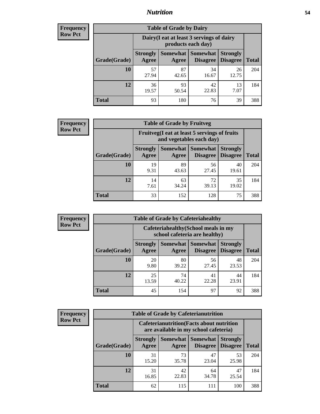### *Nutrition* **54**

| <b>Frequency</b> |
|------------------|
| <b>Row Pct</b>   |

| <b>Table of Grade by Dairy</b> |             |                                                                                                                                                                                                       |             |             |     |  |  |  |
|--------------------------------|-------------|-------------------------------------------------------------------------------------------------------------------------------------------------------------------------------------------------------|-------------|-------------|-----|--|--|--|
|                                |             | Dairy (I eat at least 3 servings of dairy<br>products each day)<br>Somewhat<br><b>Somewhat</b><br><b>Strongly</b><br><b>Strongly</b><br><b>Disagree</b><br>Agree<br>Disagree<br><b>Total</b><br>Agree |             |             |     |  |  |  |
| Grade(Grade)                   |             |                                                                                                                                                                                                       |             |             |     |  |  |  |
| 10                             | 57<br>27.94 | 87<br>42.65                                                                                                                                                                                           | 34<br>16.67 | 26<br>12.75 | 204 |  |  |  |
| 12                             | 36<br>19.57 | 93<br>50.54                                                                                                                                                                                           | 42<br>22.83 | 13<br>7.07  | 184 |  |  |  |
| <b>Total</b>                   | 93          | 180                                                                                                                                                                                                   | 76          | 39          | 388 |  |  |  |

| <b>Frequency</b> |  |
|------------------|--|
| <b>Row Pct</b>   |  |

| y | <b>Table of Grade by Fruitveg</b> |                          |                                                                          |                             |                                    |              |  |  |
|---|-----------------------------------|--------------------------|--------------------------------------------------------------------------|-----------------------------|------------------------------------|--------------|--|--|
|   |                                   |                          | Fruitveg(I eat at least 5 servings of fruits<br>and vegetables each day) |                             |                                    |              |  |  |
|   | Grade(Grade)                      | <b>Strongly</b><br>Agree | Somewhat  <br>Agree                                                      | <b>Somewhat</b><br>Disagree | <b>Strongly</b><br><b>Disagree</b> | <b>Total</b> |  |  |
|   | 10                                | 19<br>9.31               | 89<br>43.63                                                              | 56<br>27.45                 | 40<br>19.61                        | 204          |  |  |
|   | 12                                | 14<br>7.61               | 63<br>34.24                                                              | 72<br>39.13                 | 35<br>19.02                        | 184          |  |  |
|   | <b>Total</b>                      | 33                       | 152                                                                      | 128                         | 75                                 | 388          |  |  |

| <b>Frequency</b> | <b>Table of Grade by Cafeteriahealthy</b> |                                                                       |             |                                   |                                    |              |  |
|------------------|-------------------------------------------|-----------------------------------------------------------------------|-------------|-----------------------------------|------------------------------------|--------------|--|
| <b>Row Pct</b>   |                                           | Cafeteriahealthy (School meals in my<br>school cafeteria are healthy) |             |                                   |                                    |              |  |
|                  | Grade(Grade)                              | <b>Strongly</b><br>Agree                                              | Agree       | Somewhat   Somewhat  <br>Disagree | <b>Strongly</b><br><b>Disagree</b> | <b>Total</b> |  |
|                  | 10                                        | 20<br>9.80                                                            | 80<br>39.22 | 56<br>27.45                       | 48<br>23.53                        | 204          |  |
|                  | 12                                        | 25<br>13.59                                                           | 74<br>40.22 | 41<br>22.28                       | 44<br>23.91                        | 184          |  |
|                  | Total                                     | 45                                                                    | 154         | 97                                | 92                                 | 388          |  |

| <b>Frequency</b> |
|------------------|
| <b>Row Pct</b>   |

| <b>Table of Grade by Cafeterianutrition</b> |                                                                                           |                     |                                    |                                    |              |  |  |
|---------------------------------------------|-------------------------------------------------------------------------------------------|---------------------|------------------------------------|------------------------------------|--------------|--|--|
|                                             | <b>Cafeterianutrition</b> (Facts about nutrition<br>are available in my school cafeteria) |                     |                                    |                                    |              |  |  |
| Grade(Grade)                                | <b>Strongly</b><br>Agree                                                                  | Somewhat  <br>Agree | <b>Somewhat</b><br><b>Disagree</b> | <b>Strongly</b><br><b>Disagree</b> | <b>Total</b> |  |  |
| 10                                          | 31<br>15.20                                                                               | 73<br>35.78         | 47<br>23.04                        | 53<br>25.98                        | 204          |  |  |
| 12                                          | 31<br>16.85                                                                               | 42<br>22.83         | 64<br>34.78                        | 47<br>25.54                        | 184          |  |  |
| <b>Total</b>                                | 62                                                                                        | 115                 | 111                                | 100                                | 388          |  |  |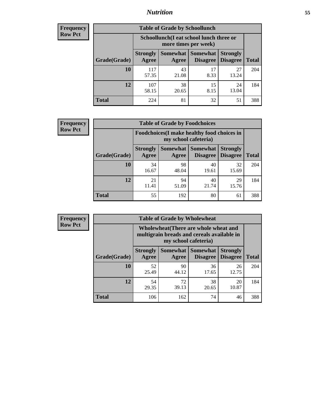### *Nutrition* **55**

| <b>Frequency</b> |
|------------------|
| <b>Row Pct</b>   |

| <b>Table of Grade by Schoollunch</b> |                                                                                                                                                                                                       |             |            |             |     |  |  |  |
|--------------------------------------|-------------------------------------------------------------------------------------------------------------------------------------------------------------------------------------------------------|-------------|------------|-------------|-----|--|--|--|
|                                      | Schoollunch(I eat school lunch three or<br>more times per week)<br>Somewhat<br><b>Somewhat</b><br><b>Strongly</b><br><b>Strongly</b><br><b>Disagree</b><br>Agree<br>Disagree<br><b>Total</b><br>Agree |             |            |             |     |  |  |  |
| Grade(Grade)                         |                                                                                                                                                                                                       |             |            |             |     |  |  |  |
| 10                                   | 117<br>57.35                                                                                                                                                                                          | 43<br>21.08 | 17<br>8.33 | 27<br>13.24 | 204 |  |  |  |
| 12                                   | 107<br>58.15                                                                                                                                                                                          | 38<br>20.65 | 15<br>8.15 | 24<br>13.04 | 184 |  |  |  |
| <b>Total</b>                         | 224                                                                                                                                                                                                   | 81          | 32         | 51          | 388 |  |  |  |

| <b>Frequency</b> |  |
|------------------|--|
| <b>Row Pct</b>   |  |

| <b>Table of Grade by Foodchoices</b> |                                                                     |             |                               |                                    |              |  |  |  |
|--------------------------------------|---------------------------------------------------------------------|-------------|-------------------------------|------------------------------------|--------------|--|--|--|
|                                      | Foodchoices (I make healthy food choices in<br>my school cafeteria) |             |                               |                                    |              |  |  |  |
| Grade(Grade)                         | <b>Strongly</b><br>Agree                                            | Agree       | Somewhat Somewhat<br>Disagree | <b>Strongly</b><br><b>Disagree</b> | <b>Total</b> |  |  |  |
| 10                                   | 34<br>16.67                                                         | 98<br>48.04 | 40<br>19.61                   | 32<br>15.69                        | 204          |  |  |  |
| 12                                   | 21<br>11.41                                                         | 94<br>51.09 | 40<br>21.74                   | 29<br>15.76                        | 184          |  |  |  |
| <b>Total</b>                         | 55                                                                  | 192         | 80                            | 61                                 | 388          |  |  |  |

| <b>Frequency</b> | <b>Table of Grade by Wholewheat</b> |                                                                                                             |             |                                      |                                    |              |  |  |
|------------------|-------------------------------------|-------------------------------------------------------------------------------------------------------------|-------------|--------------------------------------|------------------------------------|--------------|--|--|
| <b>Row Pct</b>   |                                     | Wholewheat (There are whole wheat and<br>multigrain breads and cereals available in<br>my school cafeteria) |             |                                      |                                    |              |  |  |
|                  | Grade(Grade)                        | <b>Strongly</b><br>Agree                                                                                    | Agree       | Somewhat Somewhat<br><b>Disagree</b> | <b>Strongly</b><br><b>Disagree</b> | <b>Total</b> |  |  |
|                  | 10                                  | 52<br>25.49                                                                                                 | 90<br>44.12 | 36<br>17.65                          | 26<br>12.75                        | 204          |  |  |
|                  | 12                                  | 54<br>29.35                                                                                                 | 72<br>39.13 | 38<br>20.65                          | 20<br>10.87                        | 184          |  |  |
|                  | <b>Total</b>                        | 106                                                                                                         | 162         | 74                                   | 46                                 | 388          |  |  |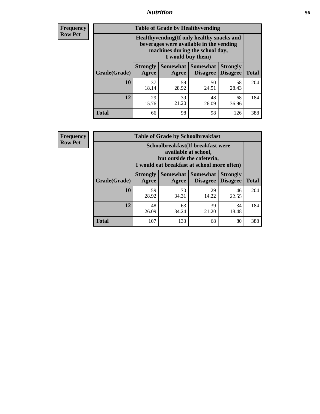### *Nutrition* **56**

**Frequency Row Pct**

| <b>Table of Grade by Healthyvending</b> |                                                                                                                                               |                          |                                    |                                    |              |  |
|-----------------------------------------|-----------------------------------------------------------------------------------------------------------------------------------------------|--------------------------|------------------------------------|------------------------------------|--------------|--|
|                                         | Healthyvending (If only healthy snacks and<br>beverages were available in the vending<br>machines during the school day,<br>I would buy them) |                          |                                    |                                    |              |  |
| Grade(Grade)                            | <b>Strongly</b><br>Agree                                                                                                                      | <b>Somewhat</b><br>Agree | <b>Somewhat</b><br><b>Disagree</b> | <b>Strongly</b><br><b>Disagree</b> | <b>Total</b> |  |
| 10                                      | 37<br>18.14                                                                                                                                   | 59<br>28.92              | 50<br>24.51                        | 58<br>28.43                        | 204          |  |
| 12                                      | 29<br>15.76                                                                                                                                   | 39<br>21.20              | 48<br>26.09                        | 68<br>36.96                        | 184          |  |
| <b>Total</b>                            | 66                                                                                                                                            | 98                       | 98                                 | 126                                | 388          |  |

**Frequency Row Pct**

| <b>Table of Grade by Schoolbreakfast</b> |                                                                                                                                         |                                           |                                    |                                    |              |  |  |
|------------------------------------------|-----------------------------------------------------------------------------------------------------------------------------------------|-------------------------------------------|------------------------------------|------------------------------------|--------------|--|--|
|                                          | Schoolbreakfast (If breakfast were<br>available at school,<br>but outside the cafeteria,<br>I would eat breakfast at school more often) |                                           |                                    |                                    |              |  |  |
| Grade(Grade)                             | <b>Strongly</b><br>Agree                                                                                                                | Somewhat  <br>Agree                       | <b>Somewhat</b><br><b>Disagree</b> | <b>Strongly</b><br><b>Disagree</b> | <b>Total</b> |  |  |
| 10                                       | 59<br>28.92                                                                                                                             | 70<br>34.31                               | 29<br>14.22                        | 46<br>22.55                        | 204          |  |  |
| 12                                       | 48<br>26.09                                                                                                                             | 39<br>63<br>34<br>21.20<br>18.48<br>34.24 |                                    |                                    |              |  |  |
| <b>Total</b>                             | 107                                                                                                                                     | 133                                       | 68                                 | 80                                 | 388          |  |  |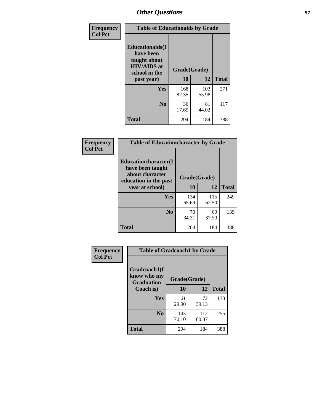| Frequency<br><b>Col Pct</b> | <b>Table of Educationaids by Grade</b>                                                                    |                    |              |              |
|-----------------------------|-----------------------------------------------------------------------------------------------------------|--------------------|--------------|--------------|
|                             | <b>Educationaids</b> (I<br>have been<br>taught about<br><b>HIV/AIDS</b> at<br>school in the<br>past year) | Grade(Grade)<br>10 | 12           | <b>Total</b> |
|                             | Yes                                                                                                       | 168<br>82.35       | 103<br>55.98 | 271          |
|                             | N <sub>0</sub>                                                                                            | 36<br>17.65        | 81<br>44.02  | 117          |
|                             | <b>Total</b>                                                                                              | 204                | 184          | 388          |

| <b>Frequency</b><br><b>Col Pct</b> | <b>Table of Educationcharacter by Grade</b>                                          |              |              |              |
|------------------------------------|--------------------------------------------------------------------------------------|--------------|--------------|--------------|
|                                    | Educationcharacter(I<br>have been taught<br>about character<br>education in the past | Grade(Grade) |              |              |
|                                    | year at school)                                                                      | 10           | 12           | <b>Total</b> |
|                                    | Yes                                                                                  | 134<br>65.69 | 115<br>62.50 | 249          |
|                                    | N <sub>0</sub>                                                                       | 70<br>34.31  | 69<br>37.50  | 139          |
|                                    | <b>Total</b>                                                                         | 204          | 184          | 388          |

| Frequency      | <b>Table of Gradcoach1 by Grade</b> |              |              |              |
|----------------|-------------------------------------|--------------|--------------|--------------|
| <b>Col Pct</b> | Gradcoach1(I<br>know who my         | Grade(Grade) |              |              |
|                | <b>Graduation</b><br>Coach is)      | 10           | 12           | <b>Total</b> |
|                | Yes                                 | 61<br>29.90  | 72<br>39.13  | 133          |
|                | N <sub>0</sub>                      | 143<br>70.10 | 112<br>60.87 | 255          |
|                | <b>Total</b>                        | 204          | 184          | 388          |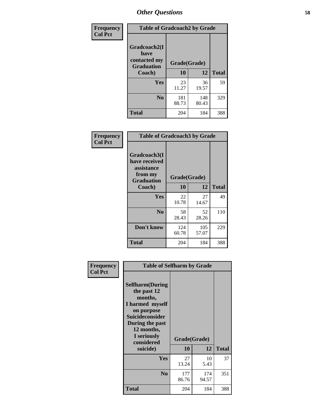| Frequency      | <b>Table of Gradcoach2 by Grade</b> |              |              |              |
|----------------|-------------------------------------|--------------|--------------|--------------|
| <b>Col Pct</b> | Gradcoach2(I<br>have                |              |              |              |
|                | contacted my<br><b>Graduation</b>   | Grade(Grade) |              |              |
|                | Coach)                              | 10           | 12           | <b>Total</b> |
|                | Yes                                 | 23<br>11.27  | 36<br>19.57  | 59           |
|                | N <sub>0</sub>                      | 181<br>88.73 | 148<br>80.43 | 329          |
|                | <b>Total</b>                        | 204          | 184          | 388          |

| <b>Frequency</b><br><b>Col Pct</b> |                                                                             | <b>Table of Gradcoach3 by Grade</b> |              |              |  |
|------------------------------------|-----------------------------------------------------------------------------|-------------------------------------|--------------|--------------|--|
|                                    | Gradcoach3(I<br>have received<br>assistance<br>from my<br><b>Graduation</b> | Grade(Grade)                        |              |              |  |
|                                    | Coach)                                                                      | 10                                  | 12           | <b>Total</b> |  |
|                                    | Yes                                                                         | 22<br>10.78                         | 27<br>14.67  | 49           |  |
|                                    | N <sub>0</sub>                                                              | 58<br>28.43                         | 52<br>28.26  | 110          |  |
|                                    | Don't know                                                                  | 124<br>60.78                        | 105<br>57.07 | 229          |  |
|                                    | <b>Total</b>                                                                | 204                                 | 184          | 388          |  |

|                | <b>Table of Selfharm by Grade</b>                                                                                               |              |              |              |
|----------------|---------------------------------------------------------------------------------------------------------------------------------|--------------|--------------|--------------|
| Frequency      |                                                                                                                                 |              |              |              |
| <b>Col Pct</b> | <b>Selfharm</b> (During<br>the past 12<br>months,<br>I harmed myself<br>on purpose<br><b>Suicideconsider</b><br>During the past |              |              |              |
|                | 12 months,<br>I seriously<br>considered                                                                                         | Grade(Grade) |              |              |
|                | suicide)                                                                                                                        | 10           | 12           | <b>Total</b> |
|                | Yes                                                                                                                             | 27<br>13.24  | 10<br>5.43   | 37           |
|                | N <sub>0</sub>                                                                                                                  | 177<br>86.76 | 174<br>94.57 | 351          |
|                | <b>Total</b>                                                                                                                    | 204          | 184          | 388          |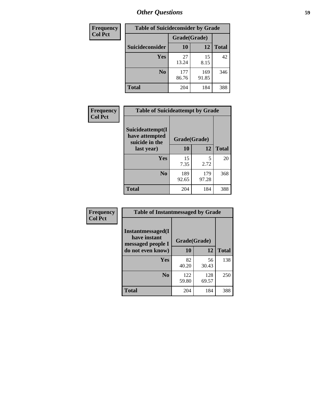| <b>Frequency</b> | <b>Table of Suicideconsider by Grade</b> |              |              |              |
|------------------|------------------------------------------|--------------|--------------|--------------|
| <b>Col Pct</b>   |                                          | Grade(Grade) |              |              |
|                  | Suicideconsider                          | <b>10</b>    | 12           | <b>Total</b> |
|                  | Yes                                      | 27<br>13.24  | 15<br>8.15   | 42           |
|                  | N <sub>0</sub>                           | 177<br>86.76 | 169<br>91.85 | 346          |
|                  | Total                                    | 204          | 184          | 388          |

| Frequency<br><b>Col Pct</b> | <b>Table of Suicideattempt by Grade</b>                              |              |              |              |
|-----------------------------|----------------------------------------------------------------------|--------------|--------------|--------------|
|                             | Suicideattempt(I<br>have attempted<br>Grade(Grade)<br>suicide in the |              |              |              |
|                             | last year)                                                           | 10           | 12           | <b>Total</b> |
|                             | Yes                                                                  | 15<br>7.35   | 5<br>2.72    | 20           |
|                             | N <sub>0</sub>                                                       | 189<br>92.65 | 179<br>97.28 | 368          |
|                             | <b>Total</b>                                                         | 204          | 184          | 388          |

| Frequency      | <b>Table of Instantmessaged by Grade</b> |              |              |              |
|----------------|------------------------------------------|--------------|--------------|--------------|
| <b>Col Pct</b> | Instantmessaged(I<br>have instant        | Grade(Grade) |              |              |
|                | messaged people I<br>do not even know)   | 10           | 12           | <b>Total</b> |
|                | Yes                                      | 82<br>40.20  | 56<br>30.43  | 138          |
|                | N <sub>0</sub>                           | 122<br>59.80 | 128<br>69.57 | 250          |
|                | <b>Total</b>                             | 204          | 184          | 388          |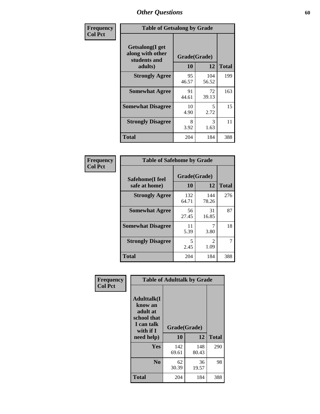| Frequency      | <b>Table of Getsalong by Grade</b>                          |             |              |              |
|----------------|-------------------------------------------------------------|-------------|--------------|--------------|
| <b>Col Pct</b> | <b>Getsalong</b> (I get<br>along with other<br>students and |             | Grade(Grade) |              |
|                | adults)                                                     | 10          | 12           | <b>Total</b> |
|                | <b>Strongly Agree</b>                                       | 95<br>46.57 | 104<br>56.52 | 199          |
|                | <b>Somewhat Agree</b>                                       | 91<br>44.61 | 72<br>39.13  | 163          |
|                | <b>Somewhat Disagree</b>                                    | 10<br>4.90  | 5<br>2.72    | 15           |
|                | <b>Strongly Disagree</b>                                    | 8<br>3.92   | 3<br>1.63    | 11           |
|                | <b>Total</b>                                                | 204         | 184          | 388          |

| Frequency      | <b>Table of Safehome by Grade</b> |                    |                        |              |  |  |  |
|----------------|-----------------------------------|--------------------|------------------------|--------------|--|--|--|
| <b>Col Pct</b> | Safehome(I feel<br>safe at home)  | Grade(Grade)<br>10 | 12                     | <b>Total</b> |  |  |  |
|                | <b>Strongly Agree</b>             | 132<br>64.71       | 144<br>78.26           | 276          |  |  |  |
|                | <b>Somewhat Agree</b>             | 56<br>27.45        | 31<br>16.85            | 87           |  |  |  |
|                | <b>Somewhat Disagree</b>          | 11<br>5.39         | 7<br>3.80              | 18           |  |  |  |
|                | <b>Strongly Disagree</b>          | 5<br>2.45          | $\mathfrak{D}$<br>1.09 |              |  |  |  |
|                | <b>Total</b>                      | 204                | 184                    | 388          |  |  |  |

| Frequency      |                                                                                     | <b>Table of Adulttalk by Grade</b> |              |              |
|----------------|-------------------------------------------------------------------------------------|------------------------------------|--------------|--------------|
| <b>Col Pct</b> | <b>Adulttalk(I</b><br>know an<br>adult at<br>school that<br>I can talk<br>with if I | Grade(Grade)                       |              |              |
|                | need help)                                                                          | 10                                 | 12           | <b>Total</b> |
|                | <b>Yes</b>                                                                          | 142<br>69.61                       | 148<br>80.43 | 290          |
|                | N <sub>0</sub>                                                                      | 62<br>30.39                        | 36<br>19.57  | 98           |
|                | <b>Total</b>                                                                        | 204                                | 184          | 388          |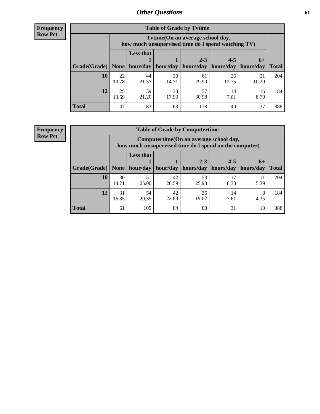**Frequency Row Pct**

r

| <b>Table of Grade by Tvtime</b> |             |                                                                                         |                     |             |             |             |              |  |  |  |
|---------------------------------|-------------|-----------------------------------------------------------------------------------------|---------------------|-------------|-------------|-------------|--------------|--|--|--|
|                                 |             | Tytime (On an average school day,<br>how much unsupervised time do I spend watching TV) |                     |             |             |             |              |  |  |  |
|                                 |             | <b>Less that</b>                                                                        |                     | $2 - 3$     | $4 - 5$     | $6+$        |              |  |  |  |
| Grade(Grade)   None             |             |                                                                                         | hour/day   hour/day | hours/day   | hours/day   | hours/day   | <b>Total</b> |  |  |  |
| 10                              | 22<br>10.78 | 44<br>21.57                                                                             | 30<br>14.71         | 61<br>29.90 | 26<br>12.75 | 21<br>10.29 | 204          |  |  |  |
| 12                              | 25<br>13.59 | 39<br>21.20                                                                             | 33<br>17.93         | 57<br>30.98 | 14<br>7.61  | 16<br>8.70  | 184          |  |  |  |
| <b>Total</b>                    | 47          | 83                                                                                      | 63                  | 118         | 40          | 37          | 388          |  |  |  |

**Frequency Row Pct**

| <b>Table of Grade by Computertime</b> |             |                                                                                                   |                     |                      |                      |                   |              |  |  |
|---------------------------------------|-------------|---------------------------------------------------------------------------------------------------|---------------------|----------------------|----------------------|-------------------|--------------|--|--|
|                                       |             | Computertime (On an average school day,<br>how much unsupervised time do I spend on the computer) |                     |                      |                      |                   |              |  |  |
| Grade(Grade)                          | None $ $    | <b>Less that</b>                                                                                  | hour/day   hour/day | $2 - 3$<br>hours/day | $4 - 5$<br>hours/day | $6+$<br>hours/day | <b>Total</b> |  |  |
| 10                                    | 30<br>14.71 | 51<br>25.00                                                                                       | 42<br>20.59         | 53<br>25.98          | 17<br>8.33           | 11<br>5.39        | 204          |  |  |
| 12                                    | 31<br>16.85 | 54<br>42<br>35<br>14<br>8<br>22.83<br>29.35<br>19.02<br>7.61<br>4.35                              |                     |                      |                      |                   |              |  |  |
| <b>Total</b>                          | 61          | 105                                                                                               | 84                  | 88                   | 31                   | 19                | 388          |  |  |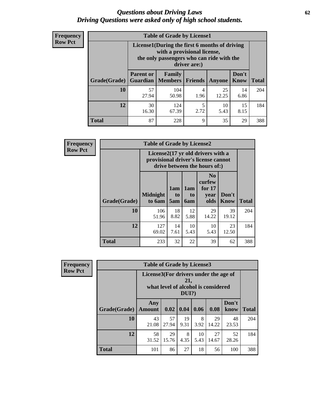#### *Questions about Driving Laws* **62** *Driving Questions were asked only of high school students.*

| <b>Frequency</b> |
|------------------|
| <b>Row Pct</b>   |

| <b>Table of Grade by License1</b> |                                                                      |                                                                                                                                           |                |             |               |              |  |  |  |
|-----------------------------------|----------------------------------------------------------------------|-------------------------------------------------------------------------------------------------------------------------------------------|----------------|-------------|---------------|--------------|--|--|--|
|                                   |                                                                      | License1(During the first 6 months of driving<br>with a provisional license,<br>the only passengers who can ride with the<br>driver are:) |                |             |               |              |  |  |  |
| Grade(Grade)                      | <b>Parent or</b><br><b>Guardian</b>                                  | Family<br>  Members                                                                                                                       | <b>Friends</b> | Anyone      | Don't<br>Know | <b>Total</b> |  |  |  |
| 10                                | 57<br>27.94                                                          | 104<br>50.98                                                                                                                              | 4<br>1.96      | 25<br>12.25 | 14<br>6.86    | 204          |  |  |  |
| 12                                | 30<br>5<br>15<br>124<br>10<br>2.72<br>8.15<br>16.30<br>67.39<br>5.43 |                                                                                                                                           |                |             |               |              |  |  |  |
| <b>Total</b>                      | 87                                                                   | 228                                                                                                                                       | 9              | 35          | 29            | 388          |  |  |  |

| <b>Frequency</b> | <b>Table of Grade by License2</b> |                                                                                                          |                  |                         |                                                      |                      |              |  |
|------------------|-----------------------------------|----------------------------------------------------------------------------------------------------------|------------------|-------------------------|------------------------------------------------------|----------------------|--------------|--|
| <b>Row Pct</b>   |                                   | License2(17 yr old drivers with a<br>provisional driver's license cannot<br>drive between the hours of:) |                  |                         |                                                      |                      |              |  |
|                  | Grade(Grade)                      | <b>Midnight</b><br>to 6am                                                                                | 1am<br>to<br>5am | 1am<br>to<br><b>6am</b> | N <sub>0</sub><br>curfew<br>for $17$<br>year<br>olds | Don't<br><b>Know</b> | <b>Total</b> |  |
|                  | 10                                | 106<br>51.96                                                                                             | 18<br>8.82       | 12<br>5.88              | 29<br>14.22                                          | 39<br>19.12          | 204          |  |
|                  | 12                                | 127<br>69.02                                                                                             | 14<br>7.61       | 10<br>5.43              | 10<br>5.43                                           | 23<br>12.50          | 184          |  |
|                  | <b>Total</b>                      | 233                                                                                                      | 32               | 22                      | 39                                                   | 62                   | 388          |  |

| Frequency      | <b>Table of Grade by License3</b> |                                       |             |                 |            |                                     |               |              |
|----------------|-----------------------------------|---------------------------------------|-------------|-----------------|------------|-------------------------------------|---------------|--------------|
| <b>Row Pct</b> |                                   | License3(For drivers under the age of |             | 21,<br>$DUI$ ?) |            | what level of alcohol is considered |               |              |
|                | Grade(Grade)                      | Any<br><b>Amount</b>                  | 0.02        | 0.04            | 0.06       | 0.08                                | Don't<br>know | <b>Total</b> |
|                | 10                                | 43<br>21.08                           | 57<br>27.94 | 19<br>9.31      | 8<br>3.92  | 29<br>14.22                         | 48<br>23.53   | 204          |
|                | 12                                | 58<br>31.52                           | 29<br>15.76 | 8<br>4.35       | 10<br>5.43 | 27<br>14.67                         | 52<br>28.26   | 184          |
|                | <b>Total</b>                      | 101                                   | 86          | 27              | 18         | 56                                  | 100           | 388          |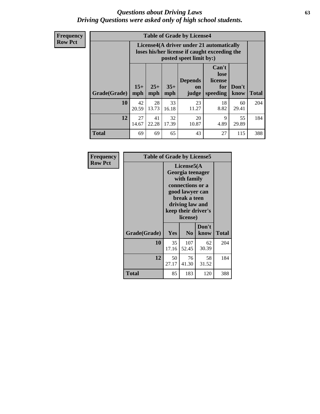#### *Questions about Driving Laws* **63** *Driving Questions were asked only of high school students.*

**Frequency Row Pct**

| <b>Table of Grade by License4</b> |             |                                                                                                                                                                                                                                                                                       |             |             |            |             |     |  |
|-----------------------------------|-------------|---------------------------------------------------------------------------------------------------------------------------------------------------------------------------------------------------------------------------------------------------------------------------------------|-------------|-------------|------------|-------------|-----|--|
|                                   |             | License4(A driver under 21 automatically<br>loses his/her license if caught exceeding the<br>posted speet limit by:)<br>Can't<br>lose<br>license<br><b>Depends</b><br>$15+$<br>$25+$<br>$35+$<br>Don't<br>for<br><b>on</b><br>speeding<br><b>Total</b><br>mph<br>mph<br>know<br>judge |             |             |            |             |     |  |
| Grade(Grade)                      | mph         |                                                                                                                                                                                                                                                                                       |             |             |            |             |     |  |
| 10                                | 42<br>20.59 | 28<br>13.73                                                                                                                                                                                                                                                                           | 33<br>16.18 | 23<br>11.27 | 18<br>8.82 | 60<br>29.41 | 204 |  |
| 12                                | 27<br>14.67 | 41<br>22.28                                                                                                                                                                                                                                                                           | 32<br>17.39 | 20<br>10.87 | 9<br>4.89  | 55<br>29.89 | 184 |  |
| <b>Total</b>                      | 69          | 69                                                                                                                                                                                                                                                                                    | 65          | 43          | 27         | 115         | 388 |  |

| Frequency      | <b>Table of Grade by License5</b> |             |                                                                                                                                      |                     |       |  |  |  |  |
|----------------|-----------------------------------|-------------|--------------------------------------------------------------------------------------------------------------------------------------|---------------------|-------|--|--|--|--|
| <b>Row Pct</b> |                                   |             | License5(A)<br>Georgia teenager<br>with family<br>connections or a<br>good lawyer can<br>break a teen<br>driving law and<br>license) | keep their driver's |       |  |  |  |  |
|                | Grade(Grade)                      | Yes         | N <sub>0</sub>                                                                                                                       | Don't<br>know       | Total |  |  |  |  |
|                | 10                                | 35<br>17.16 | 107<br>52.45                                                                                                                         | 62<br>30.39         | 204   |  |  |  |  |
|                | 12                                | 50<br>27.17 | 76<br>41.30                                                                                                                          | 58<br>31.52         | 184   |  |  |  |  |
|                | <b>Total</b>                      | 85          | 183                                                                                                                                  | 120                 | 388   |  |  |  |  |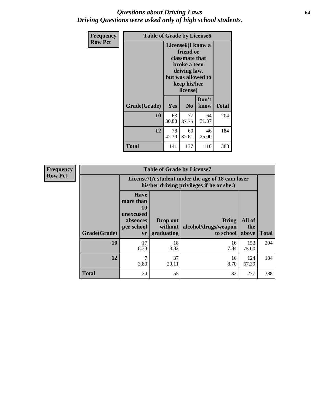#### *Questions about Driving Laws* **64** *Driving Questions were asked only of high school students.*

| <b>Frequency</b> | <b>Table of Grade by License6</b> |             |                                                                                                                           |                    |              |  |
|------------------|-----------------------------------|-------------|---------------------------------------------------------------------------------------------------------------------------|--------------------|--------------|--|
| <b>Row Pct</b>   |                                   |             | License <sub>6</sub> (I know a<br>friend or<br>classmate that<br>broke a teen<br>driving law,<br>keep his/her<br>license) | but was allowed to |              |  |
|                  | Grade(Grade)                      | Yes         | N <sub>0</sub>                                                                                                            | Don't<br>know      | <b>Total</b> |  |
|                  | 10                                | 63<br>30.88 | 77<br>37.75                                                                                                               | 64<br>31.37        | 204          |  |
|                  | 12                                | 78<br>42.39 | 60<br>32.61                                                                                                               | 46<br>25.00        | 184          |  |
|                  | <b>Total</b>                      | 141         | 137                                                                                                                       | 110                | 388          |  |

| Frequency      |              |                                                                             | <b>Table of Grade by License7</b>                                                             |                                                   |                        |              |  |  |  |
|----------------|--------------|-----------------------------------------------------------------------------|-----------------------------------------------------------------------------------------------|---------------------------------------------------|------------------------|--------------|--|--|--|
| <b>Row Pct</b> |              |                                                                             | License7(A student under the age of 18 cam loser<br>his/her driving privileges if he or she:) |                                                   |                        |              |  |  |  |
|                | Grade(Grade) | <b>Have</b><br>more than<br>10<br>unexcused<br>absences<br>per school<br>yr | Drop out<br>without  <br>graduating                                                           | <b>Bring</b><br>alcohol/drugs/weapon<br>to school | All of<br>the<br>above | <b>Total</b> |  |  |  |
|                | 10           | 17<br>8.33                                                                  | 18<br>8.82                                                                                    | 16<br>7.84                                        | 153<br>75.00           | 204          |  |  |  |
|                | 12           | 7<br>3.80                                                                   | 37<br>20.11                                                                                   | 16<br>8.70                                        | 124<br>67.39           | 184          |  |  |  |
|                | <b>Total</b> | 24                                                                          | 55                                                                                            | 32                                                | 277                    | 388          |  |  |  |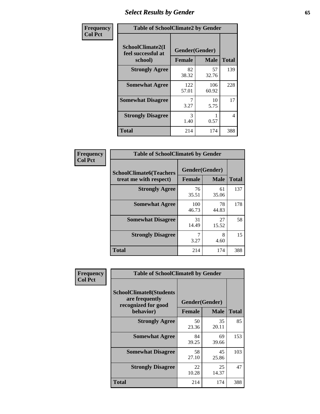# *Select Results by Gender* **65**

| Frequency      | <b>Table of SchoolClimate2 by Gender</b>          |                                 |              |              |
|----------------|---------------------------------------------------|---------------------------------|--------------|--------------|
| <b>Col Pct</b> | SchoolClimate2(I<br>feel successful at<br>school) | Gender(Gender)<br><b>Female</b> | <b>Male</b>  | <b>Total</b> |
|                | <b>Strongly Agree</b>                             | 82<br>38.32                     | 57<br>32.76  | 139          |
|                | <b>Somewhat Agree</b>                             | 122<br>57.01                    | 106<br>60.92 | 228          |
|                | <b>Somewhat Disagree</b>                          | 3.27                            | 10<br>5.75   | 17           |
|                | <b>Strongly Disagree</b>                          | 3<br>1.40                       | 0.57         | 4            |
|                | <b>Total</b>                                      | 214                             | 174          | 388          |

| Frequency      | <b>Table of SchoolClimate6 by Gender</b>                 |                          |             |              |  |
|----------------|----------------------------------------------------------|--------------------------|-------------|--------------|--|
| <b>Col Pct</b> | <b>SchoolClimate6(Teachers</b><br>treat me with respect) | Gender(Gender)<br>Female | <b>Male</b> | <b>Total</b> |  |
|                | <b>Strongly Agree</b>                                    | 76<br>35.51              | 61<br>35.06 | 137          |  |
|                | <b>Somewhat Agree</b>                                    | 100<br>46.73             | 78<br>44.83 | 178          |  |
|                | <b>Somewhat Disagree</b>                                 | 31<br>14.49              | 27<br>15.52 | 58           |  |
|                | <b>Strongly Disagree</b>                                 | 7<br>3.27                | 8<br>4.60   | 15           |  |
|                | <b>Total</b>                                             | 214                      | 174         | 388          |  |

| <b>Frequency</b> | <b>Table of SchoolClimate8 by Gender</b>                                             |               |                               |              |
|------------------|--------------------------------------------------------------------------------------|---------------|-------------------------------|--------------|
| <b>Col Pct</b>   | <b>SchoolClimate8(Students</b><br>are frequently<br>recognized for good<br>behavior) | <b>Female</b> | Gender(Gender)<br><b>Male</b> | <b>Total</b> |
|                  | <b>Strongly Agree</b>                                                                | 50            | 35                            | 85           |
|                  |                                                                                      | 23.36         | 20.11                         |              |
|                  | <b>Somewhat Agree</b>                                                                | 84<br>39.25   | 69<br>39.66                   | 153          |
|                  | <b>Somewhat Disagree</b>                                                             | 58<br>27.10   | 45<br>25.86                   | 103          |
|                  | <b>Strongly Disagree</b>                                                             | 22<br>10.28   | 25<br>14.37                   | 47           |
|                  | Total                                                                                | 214           | 174                           | 388          |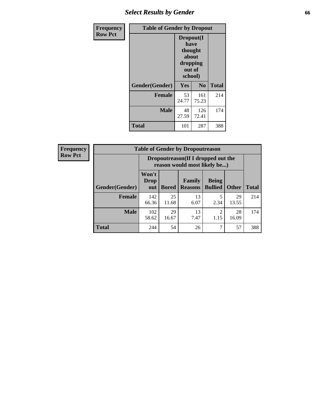# *Select Results by Gender* **66**

| Frequency      | <b>Table of Gender by Dropout</b> |                                                                        |                |              |
|----------------|-----------------------------------|------------------------------------------------------------------------|----------------|--------------|
| <b>Row Pct</b> |                                   | Dropout(I<br>have<br>thought<br>about<br>dropping<br>out of<br>school) |                |              |
|                | Gender(Gender)                    | Yes                                                                    | N <sub>0</sub> | <b>Total</b> |
|                | <b>Female</b>                     | 53<br>24.77                                                            | 161<br>75.23   | 214          |
|                | <b>Male</b>                       | 48<br>27.59                                                            | 126<br>72.41   | 174          |
|                | <b>Total</b>                      | 101                                                                    | 287            | 388          |

| <b>Frequency</b> | <b>Table of Gender by Dropoutreason</b> |                             |              |                                                                     |                                |              |              |
|------------------|-----------------------------------------|-----------------------------|--------------|---------------------------------------------------------------------|--------------------------------|--------------|--------------|
| <b>Row Pct</b>   |                                         |                             |              | Dropoutreason (If I dropped out the<br>reason would most likely be) |                                |              |              |
|                  | Gender(Gender)                          | Won't<br><b>Drop</b><br>out | <b>Bored</b> | Family<br><b>Reasons</b>                                            | <b>Being</b><br><b>Bullied</b> | <b>Other</b> | <b>Total</b> |
|                  | <b>Female</b>                           | 142<br>66.36                | 25<br>11.68  | 13<br>6.07                                                          | 5<br>2.34                      | 29<br>13.55  | 214          |
|                  | <b>Male</b>                             | 102<br>58.62                | 29<br>16.67  | 13<br>7.47                                                          | 2<br>1.15                      | 28<br>16.09  | 174          |
|                  | <b>Total</b>                            | 244                         | 54           | 26                                                                  | 7                              | 57           | 388          |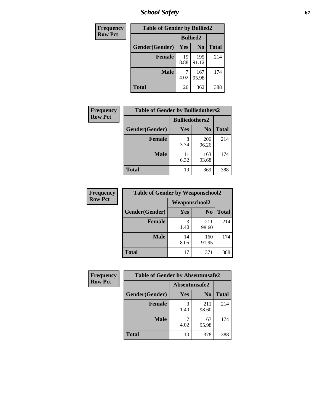*School Safety* **67**

| Frequency      | <b>Table of Gender by Bullied2</b> |                 |                |              |
|----------------|------------------------------------|-----------------|----------------|--------------|
| <b>Row Pct</b> |                                    | <b>Bullied2</b> |                |              |
|                | Gender(Gender)                     | Yes             | N <sub>0</sub> | <b>Total</b> |
|                | <b>Female</b>                      | 19<br>8.88      | 195<br>91.12   | 214          |
|                | <b>Male</b>                        | 4.02            | 167<br>95.98   | 174          |
|                | <b>Total</b>                       | 26              | 362            | 388          |

| Frequency      | <b>Table of Gender by Bulliedothers2</b> |                       |                |              |
|----------------|------------------------------------------|-----------------------|----------------|--------------|
| <b>Row Pct</b> |                                          | <b>Bulliedothers2</b> |                |              |
|                | Gender(Gender)                           | Yes                   | N <sub>0</sub> | <b>Total</b> |
|                | <b>Female</b>                            | 8<br>3.74             | 206<br>96.26   | 214          |
|                | <b>Male</b>                              | 11<br>6.32            | 163<br>93.68   | 174          |
|                | <b>Total</b>                             | 19                    | 369            | 388          |

| Frequency      | <b>Table of Gender by Weaponschool2</b> |               |                |       |
|----------------|-----------------------------------------|---------------|----------------|-------|
| <b>Row Pct</b> |                                         | Weaponschool2 |                |       |
|                | Gender(Gender)                          | Yes           | N <sub>0</sub> | Total |
|                | <b>Female</b>                           | 3<br>1.40     | 211<br>98.60   | 214   |
|                | <b>Male</b>                             | 14<br>8.05    | 160<br>91.95   | 174   |
|                | <b>Total</b>                            | 17            | 371            | 388   |

| Frequency      | <b>Table of Gender by Absentunsafe2</b> |               |                |              |
|----------------|-----------------------------------------|---------------|----------------|--------------|
| <b>Row Pct</b> |                                         | Absentunsafe2 |                |              |
|                | Gender(Gender)                          | Yes           | N <sub>0</sub> | <b>Total</b> |
|                | <b>Female</b>                           | 1.40          | 211<br>98.60   | 214          |
|                | <b>Male</b>                             | 4.02          | 167<br>95.98   | 174          |
|                | <b>Total</b>                            | 10            | 378            | 388          |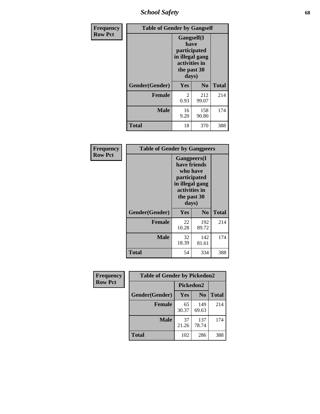*School Safety* **68**

| Frequency      | <b>Table of Gender by Gangself</b> |                                                                                                |                |              |
|----------------|------------------------------------|------------------------------------------------------------------------------------------------|----------------|--------------|
| <b>Row Pct</b> |                                    | Gangself(I<br>have<br>participated<br>in illegal gang<br>activities in<br>the past 30<br>days) |                |              |
|                | Gender(Gender)                     | Yes                                                                                            | N <sub>0</sub> | <b>Total</b> |
|                | <b>Female</b>                      | 2<br>0.93                                                                                      | 212<br>99.07   | 214          |
|                | <b>Male</b>                        | 16<br>9.20                                                                                     | 158<br>90.80   | 174          |
|                | <b>Total</b>                       | 18                                                                                             | 370            | 388          |

| Frequency      | <b>Table of Gender by Gangpeers</b> |                                                                                                                             |                |              |
|----------------|-------------------------------------|-----------------------------------------------------------------------------------------------------------------------------|----------------|--------------|
| <b>Row Pct</b> |                                     | <b>Gangpeers</b> (I<br>have friends<br>who have<br>participated<br>in illegal gang<br>activities in<br>the past 30<br>days) |                |              |
|                | Gender(Gender)                      | <b>Yes</b>                                                                                                                  | N <sub>0</sub> | <b>Total</b> |
|                | <b>Female</b>                       | 22<br>10.28                                                                                                                 | 192<br>89.72   | 214          |
|                | <b>Male</b>                         | 32<br>18.39                                                                                                                 | 142<br>81.61   | 174          |
|                | <b>Total</b>                        | 54                                                                                                                          | 334            | 388          |

| Frequency      | <b>Table of Gender by Pickedon2</b> |             |                |              |
|----------------|-------------------------------------|-------------|----------------|--------------|
| <b>Row Pct</b> |                                     | Pickedon2   |                |              |
|                | Gender(Gender)                      | Yes         | N <sub>0</sub> | <b>Total</b> |
|                | <b>Female</b>                       | 65<br>30.37 | 149<br>69.63   | 214          |
|                | <b>Male</b>                         | 37<br>21.26 | 137<br>78.74   | 174          |
|                | <b>Total</b>                        | 102         | 286            | 388          |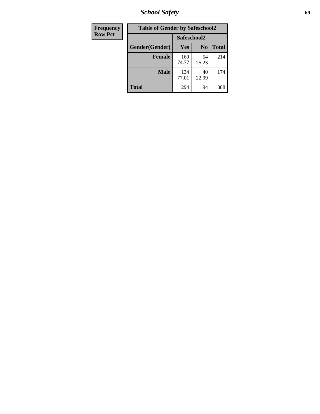*School Safety* **69**

| Frequency      | <b>Table of Gender by Safeschool2</b> |              |                |              |  |
|----------------|---------------------------------------|--------------|----------------|--------------|--|
| <b>Row Pct</b> |                                       | Safeschool2  |                |              |  |
|                | Gender(Gender)                        | Yes          | N <sub>0</sub> | <b>Total</b> |  |
|                | <b>Female</b>                         | 160<br>74.77 | 54<br>25.23    | 214          |  |
|                | Male                                  | 134<br>77.01 | 40<br>22.99    | 174          |  |
|                | <b>Total</b>                          | 294          | 94             | 388          |  |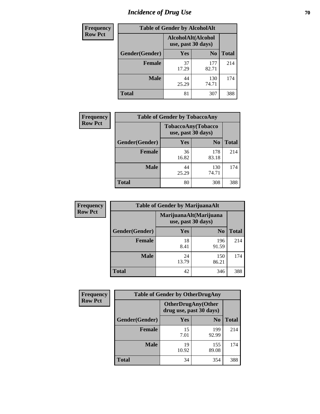# *Incidence of Drug Use* **70**

| <b>Frequency</b> | <b>Table of Gender by AlcoholAlt</b> |                                          |                |              |  |
|------------------|--------------------------------------|------------------------------------------|----------------|--------------|--|
| <b>Row Pct</b>   |                                      | AlcoholAlt(Alcohol<br>use, past 30 days) |                |              |  |
|                  | Gender(Gender)                       | Yes                                      | N <sub>0</sub> | <b>Total</b> |  |
|                  | <b>Female</b>                        | 37<br>17.29                              | 177<br>82.71   | 214          |  |
|                  | <b>Male</b>                          | 44<br>25.29                              | 130<br>74.71   | 174          |  |
|                  | <b>Total</b>                         | 81                                       | 307            | 388          |  |

| <b>Frequency</b> | <b>Table of Gender by TobaccoAny</b> |                                          |                |              |  |
|------------------|--------------------------------------|------------------------------------------|----------------|--------------|--|
| <b>Row Pct</b>   |                                      | TobaccoAny(Tobacco<br>use, past 30 days) |                |              |  |
|                  | Gender(Gender)                       | Yes                                      | N <sub>0</sub> | <b>Total</b> |  |
|                  | <b>Female</b>                        | 36<br>16.82                              | 178<br>83.18   | 214          |  |
|                  | <b>Male</b>                          | 44<br>25.29                              | 130<br>74.71   | 174          |  |
|                  | <b>Total</b>                         | 80                                       | 308            | 388          |  |

| <b>Frequency</b> | <b>Table of Gender by MarijuanaAlt</b> |                    |                        |              |
|------------------|----------------------------------------|--------------------|------------------------|--------------|
| <b>Row Pct</b>   |                                        | use, past 30 days) | MarijuanaAlt(Marijuana |              |
|                  | Gender(Gender)                         | <b>Yes</b>         | N <sub>0</sub>         | <b>Total</b> |
|                  | Female                                 | 18<br>8.41         | 196<br>91.59           | 214          |
|                  | <b>Male</b>                            | 24<br>13.79        | 150<br>86.21           | 174          |
|                  | <b>Total</b>                           | 42                 | 346                    | 388          |

| <b>Frequency</b> | <b>Table of Gender by OtherDrugAny</b> |                                                      |                |              |
|------------------|----------------------------------------|------------------------------------------------------|----------------|--------------|
| <b>Row Pct</b>   |                                        | <b>OtherDrugAny(Other</b><br>drug use, past 30 days) |                |              |
|                  | Gender(Gender)                         | <b>Yes</b>                                           | N <sub>0</sub> | <b>Total</b> |
|                  | <b>Female</b>                          | 15<br>7.01                                           | 199<br>92.99   | 214          |
|                  | <b>Male</b>                            | 19<br>10.92                                          | 155<br>89.08   | 174          |
|                  | <b>Total</b>                           | 34                                                   | 354            | 388          |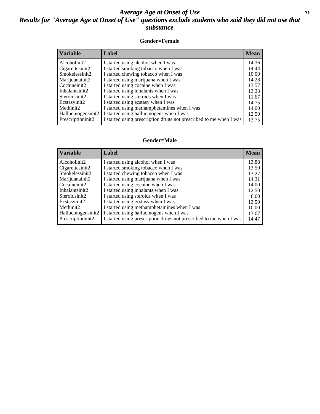#### *Average Age at Onset of Use* **71** *Results for "Average Age at Onset of Use" questions exclude students who said they did not use that substance*

#### **Gender=Female**

| <b>Variable</b>    | <b>Label</b>                                                       | <b>Mean</b> |
|--------------------|--------------------------------------------------------------------|-------------|
| Alcoholinit2       | I started using alcohol when I was                                 | 14.36       |
| Cigarettesinit2    | I started smoking tobacco when I was                               | 14.44       |
| Smokelessinit2     | I started chewing tobacco when I was                               | 10.00       |
| Marijuanainit2     | I started using marijuana when I was                               | 14.28       |
| Cocaineinit2       | I started using cocaine when I was                                 | 13.57       |
| Inhalantsinit2     | I started using inhalants when I was                               | 13.33       |
| Steroidsinit2      | I started using steroids when I was                                | 11.67       |
| Ecstasyinit2       | I started using ecstasy when I was                                 | 14.75       |
| Methinit2          | I started using methamphetamines when I was                        | 14.00       |
| Hallucinogensinit2 | I started using hallucinogens when I was                           | 12.50       |
| Prescription in t2 | I started using prescription drugs not prescribed to me when I was | 13.75       |

#### **Gender=Male**

| <b>Variable</b>                 | Label                                                              | <b>Mean</b> |
|---------------------------------|--------------------------------------------------------------------|-------------|
| Alcoholinit2                    | I started using alcohol when I was                                 | 13.88       |
| Cigarettesinit2                 | I started smoking tobacco when I was                               | 13.50       |
| Smokelessinit2                  | I started chewing tobacco when I was                               | 13.27       |
| Marijuanainit2                  | I started using marijuana when I was                               | 14.31       |
| Cocaineinit2                    | I started using cocaine when I was                                 | 14.00       |
| Inhalantsinit2                  | I started using inhalants when I was                               | 12.50       |
| Steroidsinit2                   | I started using steroids when I was                                | 8.00        |
| Ecstasyinit2                    | I started using ecstasy when I was                                 | 13.50       |
| Methinit2                       | I started using methamphetamines when I was                        | 10.00       |
| Hallucinogensinit2              | I started using hallucinogens when I was                           | 13.67       |
| Prescription in it <sub>2</sub> | I started using prescription drugs not prescribed to me when I was | 14.47       |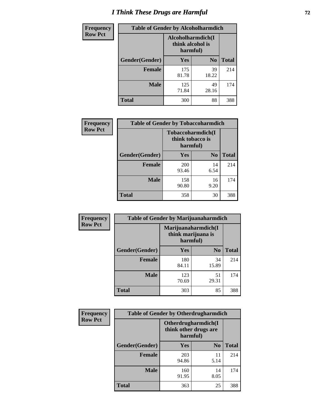# *I Think These Drugs are Harmful* **72**

| Frequency      | <b>Table of Gender by Alcoholharmdich</b> |                                                   |                |              |  |
|----------------|-------------------------------------------|---------------------------------------------------|----------------|--------------|--|
| <b>Row Pct</b> |                                           | Alcoholharmdich(I<br>think alcohol is<br>harmful) |                |              |  |
|                | Gender(Gender)                            | <b>Yes</b>                                        | N <sub>0</sub> | <b>Total</b> |  |
|                | <b>Female</b>                             | 175<br>81.78                                      | 39<br>18.22    | 214          |  |
|                | <b>Male</b>                               | 125<br>71.84                                      | 49<br>28.16    | 174          |  |
|                | <b>Total</b>                              | 300                                               | 88             | 388          |  |

| Frequency      | <b>Table of Gender by Tobaccoharmdich</b> |                  |                               |              |
|----------------|-------------------------------------------|------------------|-------------------------------|--------------|
| <b>Row Pct</b> |                                           | think tobacco is | Tobaccoharmdich(I<br>harmful) |              |
|                | Gender(Gender)                            | Yes              | N <sub>0</sub>                | <b>Total</b> |
|                | <b>Female</b>                             | 200<br>93.46     | 14<br>6.54                    | 214          |
|                | <b>Male</b>                               | 158<br>90.80     | 16<br>9.20                    | 174          |
|                | <b>Total</b>                              | 358              | 30                            | 388          |

| Frequency      | <b>Table of Gender by Marijuanaharmdich</b> |                                                       |                |              |  |
|----------------|---------------------------------------------|-------------------------------------------------------|----------------|--------------|--|
| <b>Row Pct</b> |                                             | Marijuanaharmdich(I<br>think marijuana is<br>harmful) |                |              |  |
|                | Gender(Gender)                              | <b>Yes</b>                                            | N <sub>0</sub> | <b>Total</b> |  |
|                | <b>Female</b>                               | 180<br>84.11                                          | 34<br>15.89    | 214          |  |
|                | <b>Male</b>                                 | 123<br>70.69                                          | 51<br>29.31    | 174          |  |
|                | <b>Total</b>                                | 303                                                   | 85             | 388          |  |

| Frequency      | <b>Table of Gender by Otherdrugharmdich</b> |                                                          |                |              |  |
|----------------|---------------------------------------------|----------------------------------------------------------|----------------|--------------|--|
| <b>Row Pct</b> |                                             | Otherdrugharmdich(I<br>think other drugs are<br>harmful) |                |              |  |
|                | Gender(Gender)                              | <b>Yes</b>                                               | N <sub>0</sub> | <b>Total</b> |  |
|                | <b>Female</b>                               | 203<br>94.86                                             | 11<br>5.14     | 214          |  |
|                | <b>Male</b>                                 | 160<br>91.95                                             | 14<br>8.05     | 174          |  |
|                | <b>Total</b>                                | 363                                                      | 25             | 388          |  |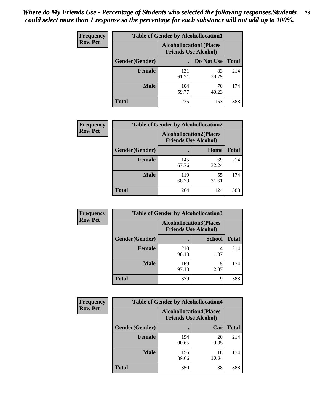| <b>Frequency</b> | <b>Table of Gender by Alcohollocation1</b> |                                                               |             |              |
|------------------|--------------------------------------------|---------------------------------------------------------------|-------------|--------------|
| <b>Row Pct</b>   |                                            | <b>Alcohollocation1(Places</b><br><b>Friends Use Alcohol)</b> |             |              |
|                  | Gender(Gender)                             |                                                               | Do Not Use  | <b>Total</b> |
|                  | <b>Female</b>                              | 131<br>61.21                                                  | 83<br>38.79 | 214          |
|                  | <b>Male</b>                                | 104<br>59.77                                                  | 70<br>40.23 | 174          |
|                  | <b>Total</b>                               | 235                                                           | 153         | 388          |

| <b>Frequency</b> | <b>Table of Gender by Alcohollocation2</b> |              |                                                               |              |
|------------------|--------------------------------------------|--------------|---------------------------------------------------------------|--------------|
| <b>Row Pct</b>   |                                            |              | <b>Alcohollocation2(Places</b><br><b>Friends Use Alcohol)</b> |              |
|                  | Gender(Gender)                             |              | Home                                                          | <b>Total</b> |
|                  | <b>Female</b>                              | 145<br>67.76 | 69<br>32.24                                                   | 214          |
|                  | <b>Male</b>                                | 119<br>68.39 | 55<br>31.61                                                   | 174          |
|                  | <b>Total</b>                               | 264          | 124                                                           | 388          |

| Frequency      | <b>Table of Gender by Alcohollocation3</b> |              |                                                               |              |
|----------------|--------------------------------------------|--------------|---------------------------------------------------------------|--------------|
| <b>Row Pct</b> |                                            |              | <b>Alcohollocation3(Places</b><br><b>Friends Use Alcohol)</b> |              |
|                | Gender(Gender)                             |              | <b>School</b>                                                 | <b>Total</b> |
|                | <b>Female</b>                              | 210<br>98.13 | 1.87                                                          | 214          |
|                | <b>Male</b>                                | 169<br>97.13 | 2.87                                                          | 174          |
|                | <b>Total</b>                               | 379          | q                                                             | 388          |

| <b>Frequency</b> | <b>Table of Gender by Alcohollocation4</b> |                                                               |             |              |
|------------------|--------------------------------------------|---------------------------------------------------------------|-------------|--------------|
| <b>Row Pct</b>   |                                            | <b>Alcohollocation4(Places</b><br><b>Friends Use Alcohol)</b> |             |              |
|                  | <b>Gender</b> (Gender)                     |                                                               | Car         | <b>Total</b> |
|                  | <b>Female</b>                              | 194<br>90.65                                                  | 20<br>9.35  | 214          |
|                  | <b>Male</b>                                | 156<br>89.66                                                  | 18<br>10.34 | 174          |
|                  | <b>Total</b>                               | 350                                                           | 38          | 388          |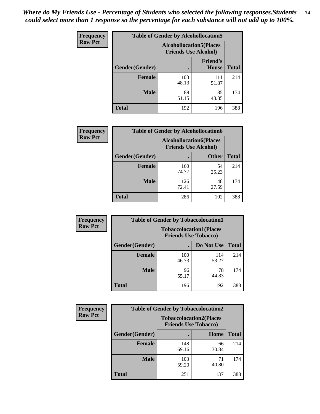| <b>Frequency</b> |                | <b>Table of Gender by Alcohollocation5</b> |                                                               |              |
|------------------|----------------|--------------------------------------------|---------------------------------------------------------------|--------------|
| <b>Row Pct</b>   |                |                                            | <b>Alcohollocation5(Places</b><br><b>Friends Use Alcohol)</b> |              |
|                  | Gender(Gender) | $\bullet$                                  | <b>Friend's</b><br><b>House</b>                               | <b>Total</b> |
|                  | <b>Female</b>  | 103<br>48.13                               | 111<br>51.87                                                  | 214          |
|                  | <b>Male</b>    | 89<br>51.15                                | 85<br>48.85                                                   | 174          |
|                  | <b>Total</b>   | 192                                        | 196                                                           | 388          |

| Frequency      |                        | <b>Table of Gender by Alcohollocation6</b>                    |              |              |
|----------------|------------------------|---------------------------------------------------------------|--------------|--------------|
| <b>Row Pct</b> |                        | <b>Alcohollocation6(Places</b><br><b>Friends Use Alcohol)</b> |              |              |
|                | <b>Gender</b> (Gender) |                                                               | <b>Other</b> | <b>Total</b> |
|                | <b>Female</b>          | 160<br>74.77                                                  | 54<br>25.23  | 214          |
|                | <b>Male</b>            | 126<br>72.41                                                  | 48<br>27.59  | 174          |
|                | <b>Total</b>           | 286                                                           | 102          | 388          |

| Frequency      | <b>Table of Gender by Tobaccolocation1</b> |                                                               |              |              |  |
|----------------|--------------------------------------------|---------------------------------------------------------------|--------------|--------------|--|
| <b>Row Pct</b> |                                            | <b>Tobaccolocation1(Places</b><br><b>Friends Use Tobacco)</b> |              |              |  |
|                | Gender(Gender)                             |                                                               | Do Not Use   | <b>Total</b> |  |
|                | Female                                     | 100<br>46.73                                                  | 114<br>53.27 | 214          |  |
|                | <b>Male</b>                                | 96<br>55.17                                                   | 78<br>44.83  | 174          |  |
|                | <b>Total</b>                               | 196                                                           | 192          | 388          |  |

| Frequency      | <b>Table of Gender by Tobaccolocation2</b> |              |                                                               |              |
|----------------|--------------------------------------------|--------------|---------------------------------------------------------------|--------------|
| <b>Row Pct</b> |                                            |              | <b>Tobaccolocation2(Places</b><br><b>Friends Use Tobacco)</b> |              |
|                | Gender(Gender)                             |              | Home                                                          | <b>Total</b> |
|                | Female                                     | 148<br>69.16 | 66<br>30.84                                                   | 214          |
|                | <b>Male</b>                                | 103<br>59.20 | 71<br>40.80                                                   | 174          |
|                | <b>Total</b>                               | 251          | 137                                                           | 388          |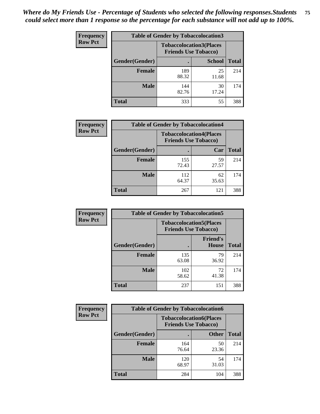| <b>Frequency</b> | <b>Table of Gender by Tobaccolocation3</b> |                                                               |               |              |
|------------------|--------------------------------------------|---------------------------------------------------------------|---------------|--------------|
| <b>Row Pct</b>   |                                            | <b>Tobaccolocation3(Places</b><br><b>Friends Use Tobacco)</b> |               |              |
|                  | Gender(Gender)                             |                                                               | <b>School</b> | <b>Total</b> |
|                  | <b>Female</b>                              | 189<br>88.32                                                  | 25<br>11.68   | 214          |
|                  | <b>Male</b>                                | 144<br>82.76                                                  | 30<br>17.24   | 174          |
|                  | <b>Total</b>                               | 333                                                           | 55            | 388          |

| <b>Frequency</b> | <b>Table of Gender by Tobaccolocation4</b> |                             |                                |              |
|------------------|--------------------------------------------|-----------------------------|--------------------------------|--------------|
| <b>Row Pct</b>   |                                            | <b>Friends Use Tobacco)</b> | <b>Tobaccolocation4(Places</b> |              |
|                  | Gender(Gender)                             |                             | Car                            | <b>Total</b> |
|                  | <b>Female</b>                              | 155<br>72.43                | 59<br>27.57                    | 214          |
|                  | <b>Male</b>                                | 112<br>64.37                | 62<br>35.63                    | 174          |
|                  | <b>Total</b>                               | 267                         | 121                            | 388          |

| <b>Frequency</b> | <b>Table of Gender by Tobaccolocation5</b> |                                                               |                                 |              |
|------------------|--------------------------------------------|---------------------------------------------------------------|---------------------------------|--------------|
| <b>Row Pct</b>   |                                            | <b>Tobaccolocation5(Places</b><br><b>Friends Use Tobacco)</b> |                                 |              |
|                  | Gender(Gender)                             |                                                               | <b>Friend's</b><br><b>House</b> | <b>Total</b> |
|                  | <b>Female</b>                              | 135<br>63.08                                                  | 79<br>36.92                     | 214          |
|                  | <b>Male</b>                                | 102<br>58.62                                                  | 72<br>41.38                     | 174          |
|                  | <b>Total</b>                               | 237                                                           | 151                             | 388          |

| <b>Frequency</b> | <b>Table of Gender by Tobaccolocation6</b> |                                                               |              |              |
|------------------|--------------------------------------------|---------------------------------------------------------------|--------------|--------------|
| <b>Row Pct</b>   |                                            | <b>Tobaccolocation6(Places</b><br><b>Friends Use Tobacco)</b> |              |              |
|                  | Gender(Gender)                             |                                                               | <b>Other</b> | <b>Total</b> |
|                  | Female                                     | 164<br>76.64                                                  | 50<br>23.36  | 214          |
|                  | <b>Male</b>                                | 120<br>68.97                                                  | 54<br>31.03  | 174          |
|                  | <b>Total</b>                               | 284                                                           | 104          | 388          |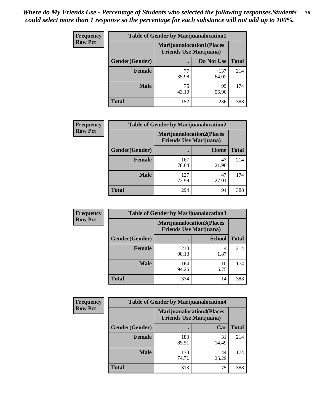| <b>Frequency</b> | <b>Table of Gender by Marijuanalocation1</b> |                                                                    |              |              |
|------------------|----------------------------------------------|--------------------------------------------------------------------|--------------|--------------|
| <b>Row Pct</b>   |                                              | <b>Marijuanalocation1(Places</b><br><b>Friends Use Marijuana</b> ) |              |              |
|                  | Gender(Gender)                               |                                                                    | Do Not Use   | <b>Total</b> |
|                  | <b>Female</b>                                | 77<br>35.98                                                        | 137<br>64.02 | 214          |
|                  | <b>Male</b>                                  | 75<br>43.10                                                        | 99<br>56.90  | 174          |
|                  | <b>Total</b>                                 | 152                                                                | 236          | 388          |

| <b>Frequency</b> | <b>Table of Gender by Marijuanalocation2</b> |                                                                    |             |              |
|------------------|----------------------------------------------|--------------------------------------------------------------------|-------------|--------------|
| <b>Row Pct</b>   |                                              | <b>Marijuanalocation2(Places</b><br><b>Friends Use Marijuana</b> ) |             |              |
|                  | Gender(Gender)                               |                                                                    | Home        | <b>Total</b> |
|                  | <b>Female</b>                                | 167<br>78.04                                                       | 47<br>21.96 | 214          |
|                  | <b>Male</b>                                  | 127<br>72.99                                                       | 47<br>27.01 | 174          |
|                  | <b>Total</b>                                 | 294                                                                | 94          | 388          |

| Frequency      | <b>Table of Gender by Marijuanalocation3</b> |              |                                                                     |              |
|----------------|----------------------------------------------|--------------|---------------------------------------------------------------------|--------------|
| <b>Row Pct</b> |                                              |              | <b>Marijuanalocation3(Places)</b><br><b>Friends Use Marijuana</b> ) |              |
|                | Gender(Gender)                               |              | <b>School</b>                                                       | <b>Total</b> |
|                | Female                                       | 210<br>98.13 | 1.87                                                                | 214          |
|                | <b>Male</b>                                  | 164<br>94.25 | 10<br>5.75                                                          | 174          |
|                | <b>Total</b>                                 | 374          | 14                                                                  | 388          |

| <b>Frequency</b> | <b>Table of Gender by Marijuanalocation4</b> |                                |                                  |              |  |
|------------------|----------------------------------------------|--------------------------------|----------------------------------|--------------|--|
| <b>Row Pct</b>   |                                              | <b>Friends Use Marijuana</b> ) | <b>Marijuanalocation4(Places</b> |              |  |
|                  | Gender(Gender)                               |                                | Car                              | <b>Total</b> |  |
|                  | <b>Female</b>                                | 183<br>85.51                   | 31<br>14.49                      | 214          |  |
|                  | <b>Male</b>                                  | 130<br>74.71                   | 44<br>25.29                      | 174          |  |
|                  | <b>Total</b>                                 | 313                            | 75                               | 388          |  |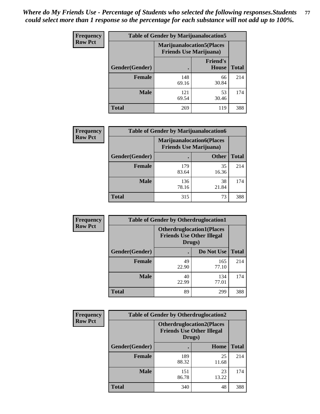| <b>Frequency</b> | <b>Table of Gender by Marijuanalocation5</b> |                                                                     |                                 |              |
|------------------|----------------------------------------------|---------------------------------------------------------------------|---------------------------------|--------------|
| <b>Row Pct</b>   |                                              | <b>Marijuanalocation5</b> (Places<br><b>Friends Use Marijuana</b> ) |                                 |              |
|                  | Gender(Gender)                               |                                                                     | <b>Friend's</b><br><b>House</b> | <b>Total</b> |
|                  | <b>Female</b>                                | 148<br>69.16                                                        | 66<br>30.84                     | 214          |
|                  | <b>Male</b>                                  | 121<br>69.54                                                        | 53<br>30.46                     | 174          |
|                  | <b>Total</b>                                 | 269                                                                 | 119                             | 388          |

| <b>Frequency</b> | <b>Table of Gender by Marijuanalocation6</b> |              |                                                                    |              |
|------------------|----------------------------------------------|--------------|--------------------------------------------------------------------|--------------|
| <b>Row Pct</b>   |                                              |              | <b>Marijuanalocation6(Places</b><br><b>Friends Use Marijuana</b> ) |              |
|                  | <b>Gender</b> (Gender)                       |              | <b>Other</b>                                                       | <b>Total</b> |
|                  | <b>Female</b>                                | 179<br>83.64 | 35<br>16.36                                                        | 214          |
|                  | <b>Male</b>                                  | 136<br>78.16 | 38<br>21.84                                                        | 174          |
|                  | Total                                        | 315          | 73                                                                 | 388          |

| <b>Frequency</b> | <b>Table of Gender by Otherdruglocation1</b> |                                                                                |              |              |
|------------------|----------------------------------------------|--------------------------------------------------------------------------------|--------------|--------------|
| <b>Row Pct</b>   |                                              | <b>Otherdruglocation1(Places</b><br><b>Friends Use Other Illegal</b><br>Drugs) |              |              |
|                  | Gender(Gender)                               |                                                                                | Do Not Use   | <b>Total</b> |
|                  | <b>Female</b>                                | 49<br>22.90                                                                    | 165<br>77.10 | 214          |
|                  | <b>Male</b>                                  | 40<br>22.99                                                                    | 134<br>77.01 | 174          |
|                  | <b>Total</b>                                 | 89                                                                             | 299          | 388          |

| Frequency      | <b>Table of Gender by Otherdruglocation2</b> |                                                                                |             |              |
|----------------|----------------------------------------------|--------------------------------------------------------------------------------|-------------|--------------|
| <b>Row Pct</b> |                                              | <b>Otherdruglocation2(Places</b><br><b>Friends Use Other Illegal</b><br>Drugs) |             |              |
|                | Gender(Gender)                               |                                                                                | Home        | <b>Total</b> |
|                | <b>Female</b>                                | 189<br>88.32                                                                   | 25<br>11.68 | 214          |
|                | <b>Male</b>                                  | 151<br>86.78                                                                   | 23<br>13.22 | 174          |
|                | <b>Total</b>                                 | 340                                                                            | 48          | 388          |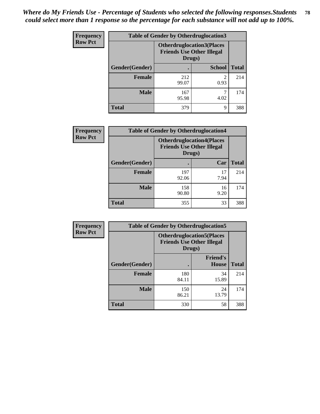| Frequency      | <b>Table of Gender by Otherdruglocation3</b> |                                                                                |               |              |
|----------------|----------------------------------------------|--------------------------------------------------------------------------------|---------------|--------------|
| <b>Row Pct</b> |                                              | <b>Otherdruglocation3(Places</b><br><b>Friends Use Other Illegal</b><br>Drugs) |               |              |
|                | Gender(Gender)                               |                                                                                | <b>School</b> | <b>Total</b> |
|                | Female                                       | 212<br>99.07                                                                   | 2<br>0.93     | 214          |
|                | <b>Male</b>                                  | 167<br>95.98                                                                   | 4.02          | 174          |
|                | <b>Total</b>                                 | 379                                                                            | 9             | 388          |

| <b>Frequency</b> | <b>Table of Gender by Otherdruglocation4</b> |                                                                                |            |              |
|------------------|----------------------------------------------|--------------------------------------------------------------------------------|------------|--------------|
| <b>Row Pct</b>   |                                              | <b>Otherdruglocation4(Places</b><br><b>Friends Use Other Illegal</b><br>Drugs) |            |              |
|                  | Gender(Gender)                               |                                                                                | Car        | <b>Total</b> |
|                  | Female                                       | 197<br>92.06                                                                   | 17<br>7.94 | 214          |
|                  | <b>Male</b>                                  | 158<br>90.80                                                                   | 16<br>9.20 | 174          |
|                  | <b>Total</b>                                 | 355                                                                            | 33         | 388          |

| Frequency      | <b>Table of Gender by Otherdruglocation5</b> |                                                                                |                                 |              |
|----------------|----------------------------------------------|--------------------------------------------------------------------------------|---------------------------------|--------------|
| <b>Row Pct</b> |                                              | <b>Otherdruglocation5(Places</b><br><b>Friends Use Other Illegal</b><br>Drugs) |                                 |              |
|                | Gender(Gender)                               |                                                                                | <b>Friend's</b><br><b>House</b> | <b>Total</b> |
|                | <b>Female</b>                                | 180<br>84.11                                                                   | 34<br>15.89                     | 214          |
|                | <b>Male</b>                                  | 150<br>86.21                                                                   | 24<br>13.79                     | 174          |
|                | <b>Total</b>                                 | 330                                                                            | 58                              | 388          |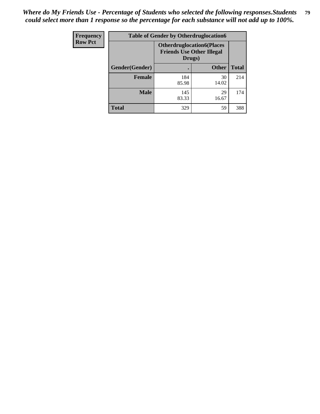| Frequency      | <b>Table of Gender by Otherdruglocation6</b> |                                                                                |              |              |
|----------------|----------------------------------------------|--------------------------------------------------------------------------------|--------------|--------------|
| <b>Row Pct</b> |                                              | <b>Otherdruglocation6(Places</b><br><b>Friends Use Other Illegal</b><br>Drugs) |              |              |
|                | Gender(Gender)                               |                                                                                | <b>Other</b> | <b>Total</b> |
|                | Female                                       | 184<br>85.98                                                                   | 30<br>14.02  | 214          |
|                | <b>Male</b>                                  | 145<br>83.33                                                                   | 29<br>16.67  | 174          |
|                | <b>Total</b>                                 | 329                                                                            | 59           | 388          |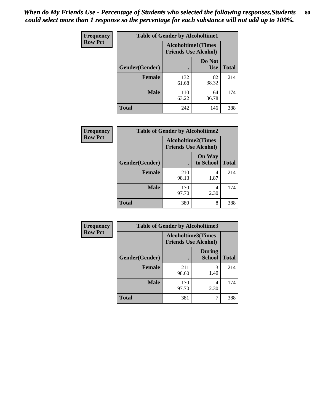| <b>Frequency</b> | <b>Table of Gender by Alcoholtime1</b> |                                                          |                      |              |
|------------------|----------------------------------------|----------------------------------------------------------|----------------------|--------------|
| <b>Row Pct</b>   |                                        | <b>Alcoholtime1(Times</b><br><b>Friends Use Alcohol)</b> |                      |              |
|                  | Gender(Gender)                         | $\bullet$                                                | Do Not<br><b>Use</b> | <b>Total</b> |
|                  | <b>Female</b>                          | 132<br>61.68                                             | 82<br>38.32          | 214          |
|                  | <b>Male</b>                            | 110<br>63.22                                             | 64<br>36.78          | 174          |
|                  | <b>Total</b>                           | 242                                                      | 146                  | 388          |

| <b>Frequency</b> | <b>Table of Gender by Alcoholtime2</b> |                                                          |                            |              |
|------------------|----------------------------------------|----------------------------------------------------------|----------------------------|--------------|
| <b>Row Pct</b>   |                                        | <b>Alcoholtime2(Times</b><br><b>Friends Use Alcohol)</b> |                            |              |
|                  | Gender(Gender)                         |                                                          | <b>On Way</b><br>to School | <b>Total</b> |
|                  | <b>Female</b>                          | 210<br>98.13                                             | 4<br>1.87                  | 214          |
|                  | <b>Male</b>                            | 170<br>97.70                                             | 4<br>2.30                  | 174          |
|                  | <b>Total</b>                           | 380                                                      | 8                          | 388          |

| Frequency      | <b>Table of Gender by Alcoholtime3</b> |                                                          |                                |              |
|----------------|----------------------------------------|----------------------------------------------------------|--------------------------------|--------------|
| <b>Row Pct</b> |                                        | <b>Alcoholtime3(Times</b><br><b>Friends Use Alcohol)</b> |                                |              |
|                | Gender(Gender)                         |                                                          | <b>During</b><br><b>School</b> | <b>Total</b> |
|                | Female                                 | 211<br>98.60                                             | 3<br>1.40                      | 214          |
|                | <b>Male</b>                            | 170<br>97.70                                             | 4<br>2.30                      | 174          |
|                | <b>Total</b>                           | 381                                                      | 7                              | 388          |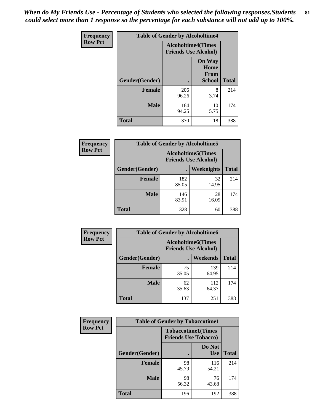*When do My Friends Use - Percentage of Students who selected the following responses.Students could select more than 1 response so the percentage for each substance will not add up to 100%.* **81**

| <b>Frequency</b> | <b>Table of Gender by Alcoholtime4</b> |                                                          |                                                |              |
|------------------|----------------------------------------|----------------------------------------------------------|------------------------------------------------|--------------|
| <b>Row Pct</b>   |                                        | <b>Alcoholtime4(Times</b><br><b>Friends Use Alcohol)</b> |                                                |              |
|                  | Gender(Gender)                         |                                                          | <b>On Way</b><br>Home<br>From<br><b>School</b> | <b>Total</b> |
|                  | <b>Female</b>                          | 206<br>96.26                                             | 8<br>3.74                                      | 214          |
|                  | <b>Male</b>                            | 164<br>94.25                                             | 10<br>5.75                                     | 174          |
|                  | <b>Total</b>                           | 370                                                      | 18                                             | 388          |

| <b>Frequency</b> | <b>Table of Gender by Alcoholtime5</b> |                                                           |             |              |
|------------------|----------------------------------------|-----------------------------------------------------------|-------------|--------------|
| <b>Row Pct</b>   |                                        | <b>Alcoholtime5</b> (Times<br><b>Friends Use Alcohol)</b> |             |              |
|                  | Gender(Gender)                         |                                                           | Weeknights  | <b>Total</b> |
|                  | <b>Female</b>                          | 182<br>85.05                                              | 32<br>14.95 | 214          |
|                  | <b>Male</b>                            | 146<br>83.91                                              | 28<br>16.09 | 174          |
|                  | <b>Total</b>                           | 328                                                       | 60          | 388          |

| <b>Frequency</b> | <b>Table of Gender by Alcoholtime6</b> |             |                                                           |              |
|------------------|----------------------------------------|-------------|-----------------------------------------------------------|--------------|
| <b>Row Pct</b>   |                                        |             | <b>Alcoholtime6</b> (Times<br><b>Friends Use Alcohol)</b> |              |
|                  | Gender(Gender)                         |             | Weekends                                                  | <b>Total</b> |
|                  | <b>Female</b>                          | 75<br>35.05 | 139<br>64.95                                              | 214          |
|                  | <b>Male</b>                            | 62<br>35.63 | 112<br>64.37                                              | 174          |
|                  | <b>Total</b>                           | 137         | 251                                                       | 388          |

| Frequency      | <b>Table of Gender by Tobaccotime1</b> |                                                          |                      |              |
|----------------|----------------------------------------|----------------------------------------------------------|----------------------|--------------|
| <b>Row Pct</b> |                                        | <b>Tobaccotime1(Times</b><br><b>Friends Use Tobacco)</b> |                      |              |
|                | Gender(Gender)                         |                                                          | Do Not<br><b>Use</b> | <b>Total</b> |
|                | Female                                 | 98<br>45.79                                              | 116<br>54.21         | 214          |
|                | <b>Male</b>                            | 98<br>56.32                                              | 76<br>43.68          | 174          |
|                | <b>Total</b>                           | 196                                                      | 192                  | 388          |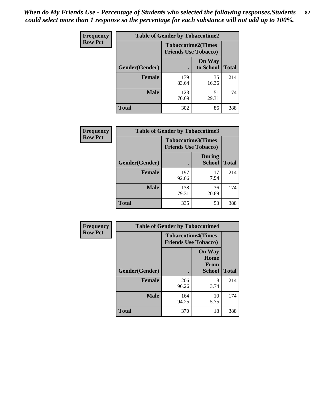| <b>Frequency</b> | <b>Table of Gender by Tobaccotime2</b> |                             |                            |              |
|------------------|----------------------------------------|-----------------------------|----------------------------|--------------|
| <b>Row Pct</b>   |                                        | <b>Friends Use Tobacco)</b> | <b>Tobaccotime2(Times</b>  |              |
|                  | Gender(Gender)                         |                             | <b>On Way</b><br>to School | <b>Total</b> |
|                  | <b>Female</b>                          | 179<br>83.64                | 35<br>16.36                | 214          |
|                  | <b>Male</b>                            | 123<br>70.69                | 51<br>29.31                | 174          |
|                  | <b>Total</b>                           | 302                         | 86                         | 388          |

| Frequency      | <b>Table of Gender by Tobaccotime3</b> |                                                          |                                |              |
|----------------|----------------------------------------|----------------------------------------------------------|--------------------------------|--------------|
| <b>Row Pct</b> |                                        | <b>Tobaccotime3(Times</b><br><b>Friends Use Tobacco)</b> |                                |              |
|                | Gender(Gender)                         |                                                          | <b>During</b><br><b>School</b> | <b>Total</b> |
|                | Female                                 | 197<br>92.06                                             | 17<br>7.94                     | 214          |
|                | <b>Male</b>                            | 138<br>79.31                                             | 36<br>20.69                    | 174          |
|                | <b>Total</b>                           | 335                                                      | 53                             | 388          |

| <b>Frequency</b> | <b>Table of Gender by Tobaccotime4</b> |                                                          |                                                       |              |
|------------------|----------------------------------------|----------------------------------------------------------|-------------------------------------------------------|--------------|
| <b>Row Pct</b>   |                                        | <b>Tobaccotime4(Times</b><br><b>Friends Use Tobacco)</b> |                                                       |              |
|                  | Gender(Gender)                         |                                                          | <b>On Way</b><br>Home<br><b>From</b><br><b>School</b> | <b>Total</b> |
|                  | <b>Female</b>                          | 206<br>96.26                                             | 8<br>3.74                                             | 214          |
|                  | <b>Male</b>                            | 164<br>94.25                                             | 10<br>5.75                                            | 174          |
|                  | <b>Total</b>                           | 370                                                      | 18                                                    | 388          |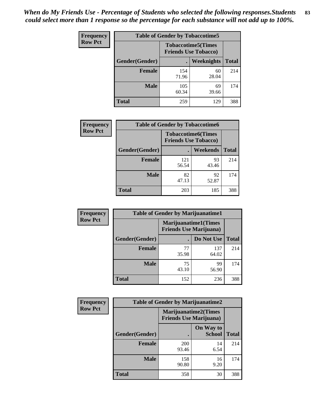| Frequency      | <b>Table of Gender by Tobaccotime5</b> |              |                                                          |              |  |
|----------------|----------------------------------------|--------------|----------------------------------------------------------|--------------|--|
| <b>Row Pct</b> |                                        |              | <b>Tobaccotime5(Times</b><br><b>Friends Use Tobacco)</b> |              |  |
|                | Gender(Gender)                         |              | Weeknights                                               | <b>Total</b> |  |
|                | <b>Female</b>                          | 154<br>71.96 | 60<br>28.04                                              | 214          |  |
|                | <b>Male</b>                            | 105<br>60.34 | 69<br>39.66                                              | 174          |  |
|                | <b>Total</b>                           | 259          | 129                                                      | 388          |  |

| Frequency      | <b>Table of Gender by Tobaccotime6</b> |                                                          |             |              |
|----------------|----------------------------------------|----------------------------------------------------------|-------------|--------------|
| <b>Row Pct</b> |                                        | <b>Tobaccotime6(Times</b><br><b>Friends Use Tobacco)</b> |             |              |
|                | Gender(Gender)                         |                                                          | Weekends    | <b>Total</b> |
|                | Female                                 | 121<br>56.54                                             | 93<br>43.46 | 214          |
|                | <b>Male</b>                            | 82<br>47.13                                              | 92<br>52.87 | 174          |
|                | <b>Total</b>                           | 203                                                      | 185         | 388          |

| <b>Frequency</b> | <b>Table of Gender by Marijuanatime1</b> |                                |                             |              |
|------------------|------------------------------------------|--------------------------------|-----------------------------|--------------|
| <b>Row Pct</b>   |                                          | <b>Friends Use Marijuana</b> ) | <b>Marijuanatime1(Times</b> |              |
|                  | Gender(Gender)                           |                                | Do Not Use                  | <b>Total</b> |
|                  | <b>Female</b>                            | 77<br>35.98                    | 137<br>64.02                | 214          |
|                  | <b>Male</b>                              | 75<br>43.10                    | 99<br>56.90                 | 174          |
|                  | <b>Total</b>                             | 152                            | 236                         | 388          |

| <b>Frequency</b> | <b>Table of Gender by Marijuanatime2</b> |                                                               |                            |              |
|------------------|------------------------------------------|---------------------------------------------------------------|----------------------------|--------------|
| <b>Row Pct</b>   |                                          | <b>Marijuanatime2(Times</b><br><b>Friends Use Marijuana</b> ) |                            |              |
|                  | Gender(Gender)                           |                                                               | On Way to<br><b>School</b> | <b>Total</b> |
|                  | Female                                   | 200<br>93.46                                                  | 14<br>6.54                 | 214          |
|                  | <b>Male</b>                              | 158<br>90.80                                                  | 16<br>9.20                 | 174          |
|                  | <b>Total</b>                             | 358                                                           | 30                         | 388          |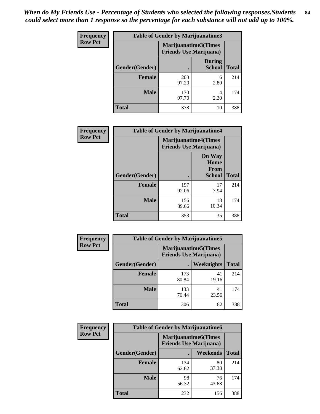*When do My Friends Use - Percentage of Students who selected the following responses.Students could select more than 1 response so the percentage for each substance will not add up to 100%.* **84**

| <b>Frequency</b> | Table of Gender by Marijuanatime3 |                                                        |                                |              |
|------------------|-----------------------------------|--------------------------------------------------------|--------------------------------|--------------|
| <b>Row Pct</b>   |                                   | Marijuanatime3(Times<br><b>Friends Use Marijuana</b> ) |                                |              |
|                  | Gender(Gender)                    |                                                        | <b>During</b><br><b>School</b> | <b>Total</b> |
|                  | <b>Female</b>                     | 208<br>97.20                                           | 6<br>2.80                      | 214          |
|                  | <b>Male</b>                       | 170<br>97.70                                           | 4<br>2.30                      | 174          |
|                  | <b>Total</b>                      | 378                                                    | 10                             | 388          |

| Frequency      | <b>Table of Gender by Marijuanatime4</b> |              |                                                                |              |
|----------------|------------------------------------------|--------------|----------------------------------------------------------------|--------------|
| <b>Row Pct</b> |                                          |              | <b>Marijuanatime4</b> (Times<br><b>Friends Use Marijuana</b> ) |              |
|                | Gender(Gender)                           |              | <b>On Way</b><br>Home<br><b>From</b><br><b>School</b>          | <b>Total</b> |
|                | <b>Female</b>                            | 197<br>92.06 | 17<br>7.94                                                     | 214          |
|                | <b>Male</b>                              | 156<br>89.66 | 18<br>10.34                                                    | 174          |
|                | <b>Total</b>                             | 353          | 35                                                             | 388          |

| Frequency      | <b>Table of Gender by Marijuanatime5</b> |                                                                |             |              |
|----------------|------------------------------------------|----------------------------------------------------------------|-------------|--------------|
| <b>Row Pct</b> |                                          | <b>Marijuanatime5</b> (Times<br><b>Friends Use Marijuana</b> ) |             |              |
|                | Gender(Gender)                           | $\blacksquare$                                                 | Weeknights  | <b>Total</b> |
|                | <b>Female</b>                            | 173<br>80.84                                                   | 41<br>19.16 | 214          |
|                | <b>Male</b>                              | 133<br>76.44                                                   | 41<br>23.56 | 174          |
|                | <b>Total</b>                             | 306                                                            | 82          | 388          |

| <b>Frequency</b> | <b>Table of Gender by Marijuanatime6</b> |                                                               |             |              |
|------------------|------------------------------------------|---------------------------------------------------------------|-------------|--------------|
| <b>Row Pct</b>   |                                          | <b>Marijuanatime6(Times</b><br><b>Friends Use Marijuana</b> ) |             |              |
|                  | Gender(Gender)                           |                                                               | Weekends    | <b>Total</b> |
|                  | <b>Female</b>                            | 134<br>62.62                                                  | 80<br>37.38 | 214          |
|                  | <b>Male</b>                              | 98<br>56.32                                                   | 76<br>43.68 | 174          |
|                  | <b>Total</b>                             | 232                                                           | 156         | 388          |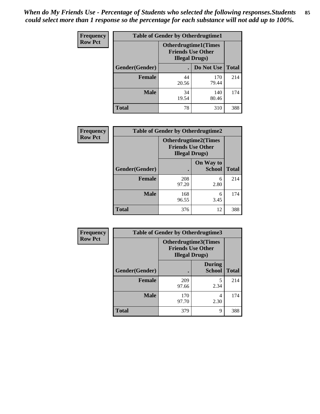| <b>Frequency</b> | <b>Table of Gender by Otherdrugtime1</b> |                                                                                   |              |              |
|------------------|------------------------------------------|-----------------------------------------------------------------------------------|--------------|--------------|
| <b>Row Pct</b>   |                                          | <b>Otherdrugtime1(Times</b><br><b>Friends Use Other</b><br><b>Illegal Drugs</b> ) |              |              |
|                  | Gender(Gender)                           |                                                                                   | Do Not Use   | <b>Total</b> |
|                  | <b>Female</b>                            | 44<br>20.56                                                                       | 170<br>79.44 | 214          |
|                  | Male                                     | 34<br>19.54                                                                       | 140<br>80.46 | 174          |
|                  | <b>Total</b>                             | 78                                                                                | 310          | 388          |

| Frequency      | <b>Table of Gender by Otherdrugtime2</b> |                                                                                   |                            |              |
|----------------|------------------------------------------|-----------------------------------------------------------------------------------|----------------------------|--------------|
| <b>Row Pct</b> |                                          | <b>Otherdrugtime2(Times</b><br><b>Friends Use Other</b><br><b>Illegal Drugs</b> ) |                            |              |
|                | Gender(Gender)                           |                                                                                   | On Way to<br><b>School</b> | <b>Total</b> |
|                | <b>Female</b>                            | 208<br>97.20                                                                      | 6<br>2.80                  | 214          |
|                | <b>Male</b>                              | 168<br>96.55                                                                      | 6<br>3.45                  | 174          |
|                | <b>Total</b>                             | 376                                                                               | 12                         | 388          |

| <b>Frequency</b> | Table of Gender by Otherdrugtime3 |                                                                            |                                |              |
|------------------|-----------------------------------|----------------------------------------------------------------------------|--------------------------------|--------------|
| <b>Row Pct</b>   |                                   | Otherdrugtime3(Times<br><b>Friends Use Other</b><br><b>Illegal Drugs</b> ) |                                |              |
|                  | Gender(Gender)                    |                                                                            | <b>During</b><br><b>School</b> | <b>Total</b> |
|                  | <b>Female</b>                     | 209<br>97.66                                                               | 5<br>2.34                      | 214          |
|                  | <b>Male</b>                       | 170<br>97.70                                                               | 4<br>2.30                      | 174          |
|                  | <b>Total</b>                      | 379                                                                        | 9                              | 388          |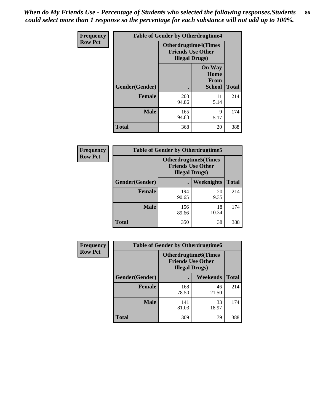*When do My Friends Use - Percentage of Students who selected the following responses.Students could select more than 1 response so the percentage for each substance will not add up to 100%.* **86**

| <b>Frequency</b> | <b>Table of Gender by Otherdrugtime4</b> |                        |                                                         |              |
|------------------|------------------------------------------|------------------------|---------------------------------------------------------|--------------|
| <b>Row Pct</b>   |                                          | <b>Illegal Drugs</b> ) | <b>Otherdrugtime4(Times</b><br><b>Friends Use Other</b> |              |
|                  | Gender(Gender)                           |                        | <b>On Way</b><br>Home<br><b>From</b><br><b>School</b>   | <b>Total</b> |
|                  | <b>Female</b>                            | 203<br>94.86           | 11<br>5.14                                              | 214          |
|                  | <b>Male</b>                              | 165<br>94.83           | 9<br>5.17                                               | 174          |
|                  | <b>Total</b>                             | 368                    | 20                                                      | 388          |

| Frequency      | <b>Table of Gender by Otherdrugtime5</b> |                                                                                    |             |              |
|----------------|------------------------------------------|------------------------------------------------------------------------------------|-------------|--------------|
| <b>Row Pct</b> |                                          | <b>Otherdrugtime5</b> (Times<br><b>Friends Use Other</b><br><b>Illegal Drugs</b> ) |             |              |
|                | Gender(Gender)                           |                                                                                    | Weeknights  | <b>Total</b> |
|                | <b>Female</b>                            | 194<br>90.65                                                                       | 20<br>9.35  | 214          |
|                | <b>Male</b>                              | 156<br>89.66                                                                       | 18<br>10.34 | 174          |
|                | <b>Total</b>                             | 350                                                                                | 38          | 388          |

| <b>Frequency</b> | <b>Table of Gender by Otherdrugtime6</b> |                                                                                   |             |              |  |
|------------------|------------------------------------------|-----------------------------------------------------------------------------------|-------------|--------------|--|
| <b>Row Pct</b>   |                                          | <b>Otherdrugtime6(Times</b><br><b>Friends Use Other</b><br><b>Illegal Drugs</b> ) |             |              |  |
|                  | Gender(Gender)                           |                                                                                   | Weekends    | <b>Total</b> |  |
|                  | <b>Female</b>                            | 168<br>78.50                                                                      | 46<br>21.50 | 214          |  |
|                  | <b>Male</b>                              | 141<br>81.03                                                                      | 33<br>18.97 | 174          |  |
|                  | <b>Total</b>                             | 309                                                                               | 79          | 388          |  |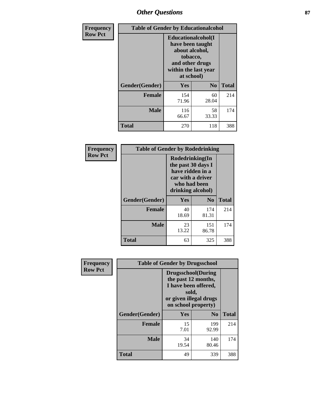# *Other Questions* **87**

| <b>Frequency</b> | <b>Table of Gender by Educationalcohol</b> |                                                                                                                                       |                |              |  |
|------------------|--------------------------------------------|---------------------------------------------------------------------------------------------------------------------------------------|----------------|--------------|--|
| <b>Row Pct</b>   |                                            | <b>Educationalcohol</b> (I<br>have been taught<br>about alcohol,<br>tobacco,<br>and other drugs<br>within the last year<br>at school) |                |              |  |
|                  | Gender(Gender)                             | <b>Yes</b>                                                                                                                            | N <sub>0</sub> | <b>Total</b> |  |
|                  | <b>Female</b>                              | 154<br>71.96                                                                                                                          | 60<br>28.04    | 214          |  |
|                  | <b>Male</b>                                | 116<br>66.67                                                                                                                          | 58<br>33.33    | 174          |  |
|                  | <b>Total</b>                               | 270                                                                                                                                   | 118            | 388          |  |

| Frequency      | <b>Table of Gender by Rodedrinking</b> |                                                                                                                     |                |              |  |
|----------------|----------------------------------------|---------------------------------------------------------------------------------------------------------------------|----------------|--------------|--|
| <b>Row Pct</b> |                                        | Rodedrinking(In<br>the past 30 days I<br>have ridden in a<br>car with a driver<br>who had been<br>drinking alcohol) |                |              |  |
|                | Gender(Gender)                         | Yes                                                                                                                 | N <sub>0</sub> | <b>Total</b> |  |
|                | <b>Female</b>                          | 40<br>18.69                                                                                                         | 174<br>81.31   | 214          |  |
|                | <b>Male</b>                            | 23<br>13.22                                                                                                         | 151<br>86.78   | 174          |  |
|                | <b>Total</b>                           | 63                                                                                                                  | 325            | 388          |  |

| Frequency      | <b>Table of Gender by Drugsschool</b> |                                                                                                                                     |                |              |  |
|----------------|---------------------------------------|-------------------------------------------------------------------------------------------------------------------------------------|----------------|--------------|--|
| <b>Row Pct</b> |                                       | <b>Drugsschool</b> (During<br>the past 12 months,<br>I have been offered,<br>sold,<br>or given illegal drugs<br>on school property) |                |              |  |
|                | Gender(Gender)                        | <b>Yes</b>                                                                                                                          | N <sub>0</sub> | <b>Total</b> |  |
|                | <b>Female</b>                         | 15<br>7.01                                                                                                                          | 199<br>92.99   | 214          |  |
|                | <b>Male</b>                           | 34<br>19.54                                                                                                                         | 140<br>80.46   | 174          |  |
|                | <b>Total</b>                          | 49                                                                                                                                  | 339            | 388          |  |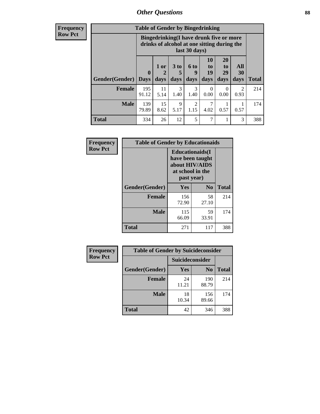# *Other Questions* **88**

**Frequency Row Pct**

| <b>Table of Gender by Bingedrinking</b> |                         |                                                                                                         |                   |                        |                        |                               |                        |              |
|-----------------------------------------|-------------------------|---------------------------------------------------------------------------------------------------------|-------------------|------------------------|------------------------|-------------------------------|------------------------|--------------|
|                                         |                         | Bingedrinking(I have drunk five or more<br>drinks of alcohol at one sitting during the<br>last 30 days) |                   |                        |                        |                               |                        |              |
| <b>Gender</b> (Gender)                  | $\bf{0}$<br><b>Days</b> | $1$ or<br>2<br>days                                                                                     | 3 to<br>5<br>days | 6 to<br>9<br>days      | 10<br>to<br>19<br>days | <b>20</b><br>to<br>29<br>days | All<br>30<br>days      | <b>Total</b> |
| <b>Female</b>                           | 195<br>91.12            | 11<br>5.14                                                                                              | 3<br>1.40         | 3<br>1.40              | 0<br>0.00              | 0<br>0.00                     | $\mathfrak{D}$<br>0.93 | 214          |
| <b>Male</b>                             | 139<br>79.89            | 15<br>8.62                                                                                              | 9<br>5.17         | $\mathfrak{D}$<br>1.15 | 7<br>4.02              | 0.57                          | 0.57                   | 174          |
|                                         |                         |                                                                                                         |                   |                        |                        |                               |                        |              |

| Frequency      | <b>Table of Gender by Educationaids</b> |                                                                                                 |             |              |  |  |
|----------------|-----------------------------------------|-------------------------------------------------------------------------------------------------|-------------|--------------|--|--|
| <b>Row Pct</b> |                                         | <b>Educationaids</b> (I<br>have been taught<br>about HIV/AIDS<br>at school in the<br>past year) |             |              |  |  |
|                | Gender(Gender)                          | Yes                                                                                             | $\bf N_0$   | <b>Total</b> |  |  |
|                | <b>Female</b>                           | 156<br>72.90                                                                                    | 58<br>27.10 | 214          |  |  |
|                | <b>Male</b>                             | 115<br>66.09                                                                                    | 59<br>33.91 | 174          |  |  |
|                | <b>Total</b>                            | 271                                                                                             | 117         | 388          |  |  |

| Frequency      | <b>Table of Gender by Suicideconsider</b> |                        |                |              |  |
|----------------|-------------------------------------------|------------------------|----------------|--------------|--|
| <b>Row Pct</b> |                                           | <b>Suicideconsider</b> |                |              |  |
|                | Gender(Gender)                            | Yes                    | N <sub>0</sub> | <b>Total</b> |  |
|                | <b>Female</b>                             | 24<br>11.21            | 190<br>88.79   | 214          |  |
|                | <b>Male</b>                               | 18<br>10.34            | 156<br>89.66   | 174          |  |
|                | <b>Total</b>                              | 42                     | 346            | 388          |  |